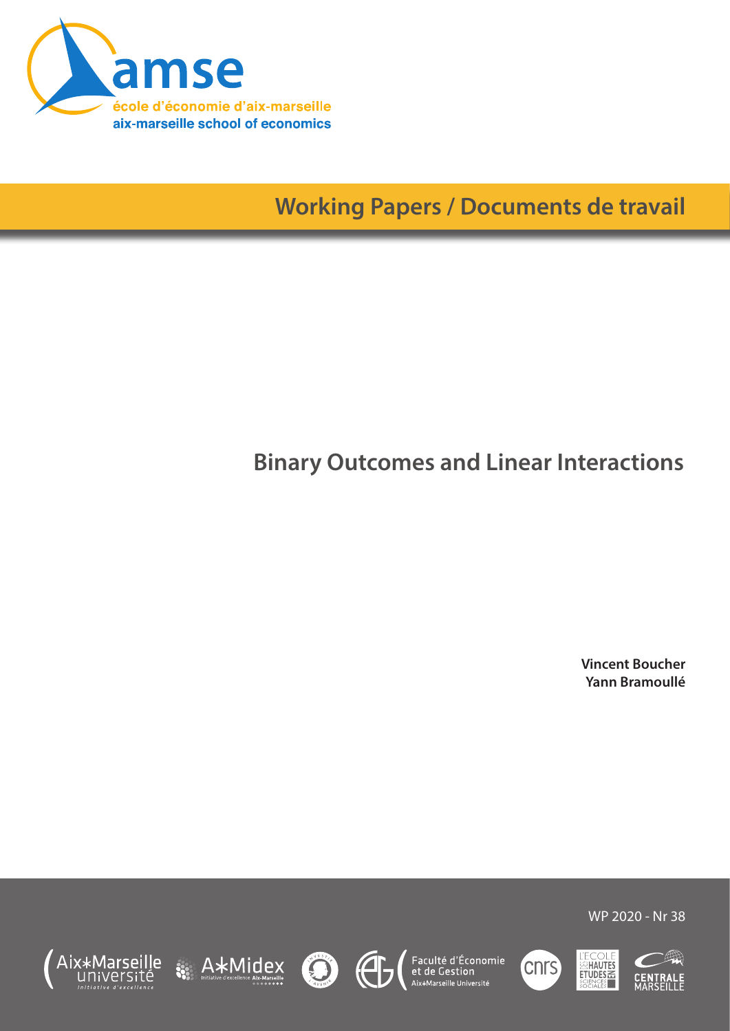

**Working Papers / Documents de travail**

# **Binary Outcomes and Linear Interactions**

**Vincent Boucher Yann Bramoullé**















WP 2020 - Nr 38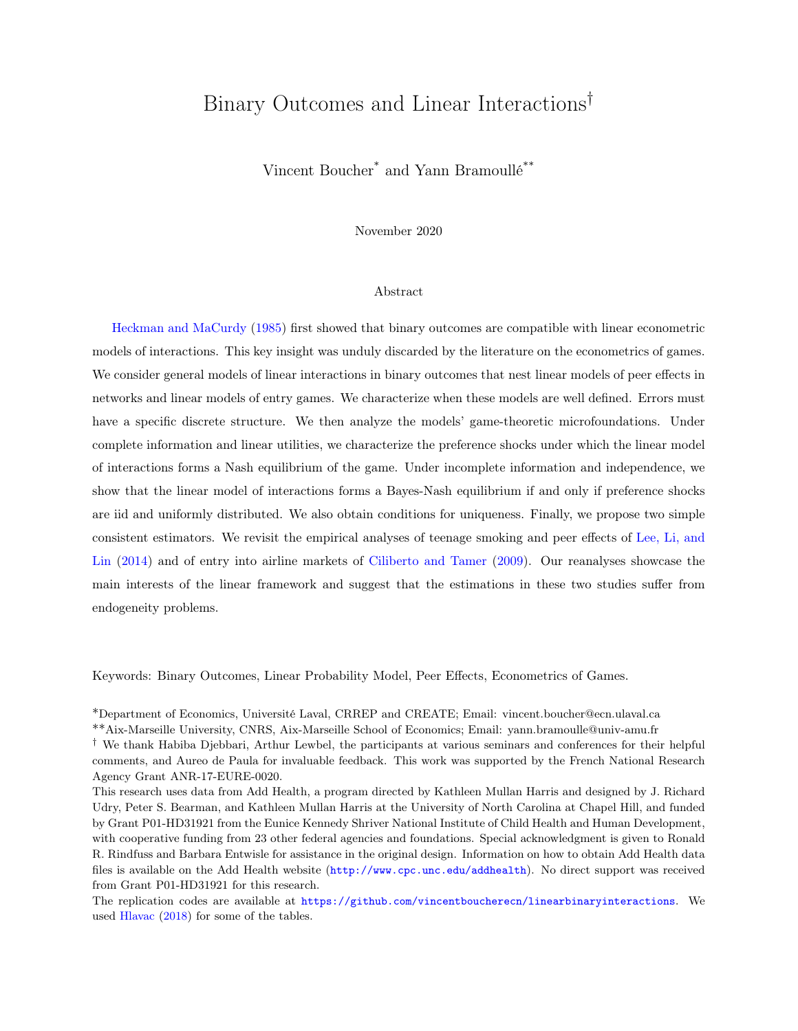## Binary Outcomes and Linear Interactions†

Vincent Boucher\* and Yann Bramoullé\*\*

November 2020

#### Abstract

[Heckman and MaCurdy](#page-30-0) [\(1985\)](#page-30-0) first showed that binary outcomes are compatible with linear econometric models of interactions. This key insight was unduly discarded by the literature on the econometrics of games. We consider general models of linear interactions in binary outcomes that nest linear models of peer effects in networks and linear models of entry games. We characterize when these models are well defined. Errors must have a specific discrete structure. We then analyze the models' game-theoretic microfoundations. Under complete information and linear utilities, we characterize the preference shocks under which the linear model of interactions forms a Nash equilibrium of the game. Under incomplete information and independence, we show that the linear model of interactions forms a Bayes-Nash equilibrium if and only if preference shocks are iid and uniformly distributed. We also obtain conditions for uniqueness. Finally, we propose two simple consistent estimators. We revisit the empirical analyses of teenage smoking and peer effects of [Lee, Li, and](#page-31-0) [Lin](#page-31-0) [\(2014\)](#page-31-0) and of entry into airline markets of [Ciliberto and Tamer](#page-29-0) [\(2009\)](#page-29-0). Our reanalyses showcase the main interests of the linear framework and suggest that the estimations in these two studies suffer from endogeneity problems.

Keywords: Binary Outcomes, Linear Probability Model, Peer Effects, Econometrics of Games.

\*Department of Economics, Université Laval, CRREP and CREATE; Email: vincent.boucher@ecn.ulaval.ca

\*\*Aix-Marseille University, CNRS, Aix-Marseille School of Economics; Email: yann.bramoulle@univ-amu.fr

<sup>†</sup> We thank Habiba Djebbari, Arthur Lewbel, the participants at various seminars and conferences for their helpful comments, and Aureo de Paula for invaluable feedback. This work was supported by the French National Research Agency Grant ANR-17-EURE-0020.

This research uses data from Add Health, a program directed by Kathleen Mullan Harris and designed by J. Richard Udry, Peter S. Bearman, and Kathleen Mullan Harris at the University of North Carolina at Chapel Hill, and funded by Grant P01-HD31921 from the Eunice Kennedy Shriver National Institute of Child Health and Human Development, with cooperative funding from 23 other federal agencies and foundations. Special acknowledgment is given to Ronald R. Rindfuss and Barbara Entwisle for assistance in the original design. Information on how to obtain Add Health data files is available on the Add Health website (<http://www.cpc.unc.edu/addhealth>). No direct support was received from Grant P01-HD31921 for this research.

The replication codes are available at <https://github.com/vincentboucherecn/linearbinaryinteractions>. We used [Hlavac](#page-30-1) [\(2018\)](#page-30-1) for some of the tables.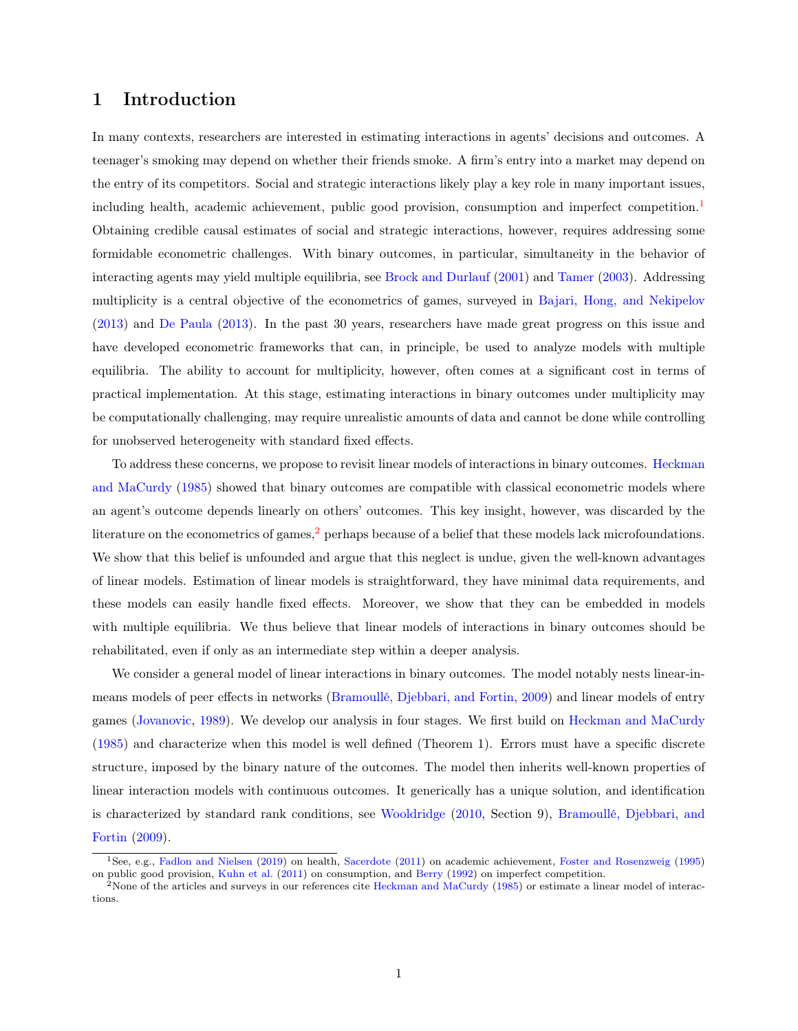## 1 Introduction

In many contexts, researchers are interested in estimating interactions in agents' decisions and outcomes. A teenager's smoking may depend on whether their friends smoke. A firm's entry into a market may depend on the entry of its competitors. Social and strategic interactions likely play a key role in many important issues, including health, academic achievement, public good provision, consumption and imperfect competition.<sup>[1](#page-2-0)</sup> Obtaining credible causal estimates of social and strategic interactions, however, requires addressing some formidable econometric challenges. With binary outcomes, in particular, simultaneity in the behavior of interacting agents may yield multiple equilibria, see [Brock and Durlauf](#page-29-1) [\(2001\)](#page-29-1) and [Tamer](#page-32-0) [\(2003\)](#page-32-0). Addressing multiplicity is a central objective of the econometrics of games, surveyed in [Bajari, Hong, and Nekipelov](#page-28-0) [\(2013\)](#page-28-0) and [De Paula](#page-30-2) [\(2013\)](#page-30-2). In the past 30 years, researchers have made great progress on this issue and have developed econometric frameworks that can, in principle, be used to analyze models with multiple equilibria. The ability to account for multiplicity, however, often comes at a significant cost in terms of practical implementation. At this stage, estimating interactions in binary outcomes under multiplicity may be computationally challenging, may require unrealistic amounts of data and cannot be done while controlling for unobserved heterogeneity with standard fixed effects.

To address these concerns, we propose to revisit linear models of interactions in binary outcomes. [Heckman](#page-30-0) [and MaCurdy](#page-30-0) [\(1985\)](#page-30-0) showed that binary outcomes are compatible with classical econometric models where an agent's outcome depends linearly on others' outcomes. This key insight, however, was discarded by the literature on the econometrics of games,<sup>[2](#page-2-1)</sup> perhaps because of a belief that these models lack microfoundations. We show that this belief is unfounded and argue that this neglect is undue, given the well-known advantages of linear models. Estimation of linear models is straightforward, they have minimal data requirements, and these models can easily handle fixed effects. Moreover, we show that they can be embedded in models with multiple equilibria. We thus believe that linear models of interactions in binary outcomes should be rehabilitated, even if only as an intermediate step within a deeper analysis.

We consider a general model of linear interactions in binary outcomes. The model notably nests linear-inmeans models of peer effects in networks [\(Bramoullé, Djebbari, and Fortin,](#page-29-2) [2009\)](#page-29-2) and linear models of entry games [\(Jovanovic,](#page-30-3) [1989\)](#page-30-3). We develop our analysis in four stages. We first build on [Heckman and MaCurdy](#page-30-0) [\(1985\)](#page-30-0) and characterize when this model is well defined (Theorem 1). Errors must have a specific discrete structure, imposed by the binary nature of the outcomes. The model then inherits well-known properties of linear interaction models with continuous outcomes. It generically has a unique solution, and identification is characterized by standard rank conditions, see [Wooldridge](#page-32-1) [\(2010,](#page-32-1) Section 9), [Bramoullé, Djebbari, and](#page-29-2) [Fortin](#page-29-2) [\(2009\)](#page-29-2).

<span id="page-2-0"></span><sup>1</sup>See, e.g., [Fadlon and Nielsen](#page-30-4) [\(2019\)](#page-30-4) on health, [Sacerdote](#page-32-2) [\(2011\)](#page-32-2) on academic achievement, [Foster and Rosenzweig](#page-30-5) [\(1995\)](#page-30-5) on public good provision, [Kuhn et al.](#page-30-6) [\(2011\)](#page-30-6) on consumption, and [Berry](#page-28-1) [\(1992\)](#page-28-1) on imperfect competition.

<span id="page-2-1"></span><sup>&</sup>lt;sup>2</sup>None of the articles and surveys in our references cite [Heckman and MaCurdy](#page-30-0) [\(1985\)](#page-30-0) or estimate a linear model of interactions.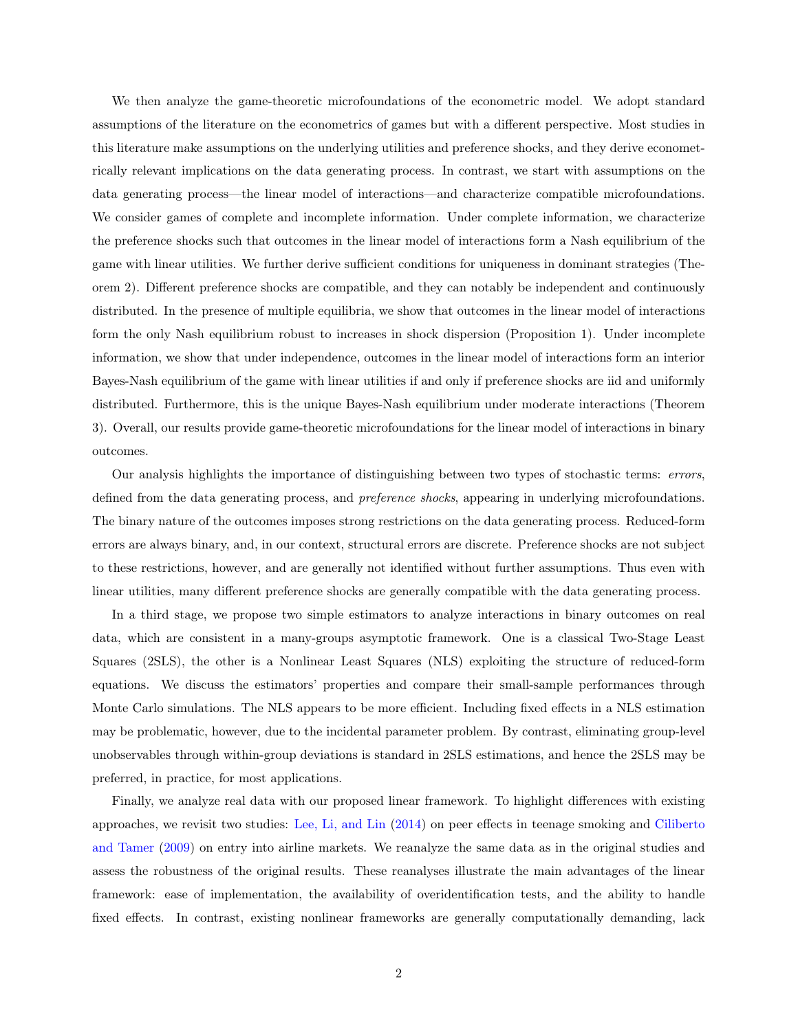We then analyze the game-theoretic microfoundations of the econometric model. We adopt standard assumptions of the literature on the econometrics of games but with a different perspective. Most studies in this literature make assumptions on the underlying utilities and preference shocks, and they derive econometrically relevant implications on the data generating process. In contrast, we start with assumptions on the data generating process—the linear model of interactions—and characterize compatible microfoundations. We consider games of complete and incomplete information. Under complete information, we characterize the preference shocks such that outcomes in the linear model of interactions form a Nash equilibrium of the game with linear utilities. We further derive sufficient conditions for uniqueness in dominant strategies (Theorem 2). Different preference shocks are compatible, and they can notably be independent and continuously distributed. In the presence of multiple equilibria, we show that outcomes in the linear model of interactions form the only Nash equilibrium robust to increases in shock dispersion (Proposition 1). Under incomplete information, we show that under independence, outcomes in the linear model of interactions form an interior Bayes-Nash equilibrium of the game with linear utilities if and only if preference shocks are iid and uniformly distributed. Furthermore, this is the unique Bayes-Nash equilibrium under moderate interactions (Theorem 3). Overall, our results provide game-theoretic microfoundations for the linear model of interactions in binary outcomes.

Our analysis highlights the importance of distinguishing between two types of stochastic terms: errors, defined from the data generating process, and *preference shocks*, appearing in underlying microfoundations. The binary nature of the outcomes imposes strong restrictions on the data generating process. Reduced-form errors are always binary, and, in our context, structural errors are discrete. Preference shocks are not subject to these restrictions, however, and are generally not identified without further assumptions. Thus even with linear utilities, many different preference shocks are generally compatible with the data generating process.

In a third stage, we propose two simple estimators to analyze interactions in binary outcomes on real data, which are consistent in a many-groups asymptotic framework. One is a classical Two-Stage Least Squares (2SLS), the other is a Nonlinear Least Squares (NLS) exploiting the structure of reduced-form equations. We discuss the estimators' properties and compare their small-sample performances through Monte Carlo simulations. The NLS appears to be more efficient. Including fixed effects in a NLS estimation may be problematic, however, due to the incidental parameter problem. By contrast, eliminating group-level unobservables through within-group deviations is standard in 2SLS estimations, and hence the 2SLS may be preferred, in practice, for most applications.

Finally, we analyze real data with our proposed linear framework. To highlight differences with existing approaches, we revisit two studies: [Lee, Li, and Lin](#page-31-0) [\(2014\)](#page-31-0) on peer effects in teenage smoking and [Ciliberto](#page-29-0) [and Tamer](#page-29-0) [\(2009\)](#page-29-0) on entry into airline markets. We reanalyze the same data as in the original studies and assess the robustness of the original results. These reanalyses illustrate the main advantages of the linear framework: ease of implementation, the availability of overidentification tests, and the ability to handle fixed effects. In contrast, existing nonlinear frameworks are generally computationally demanding, lack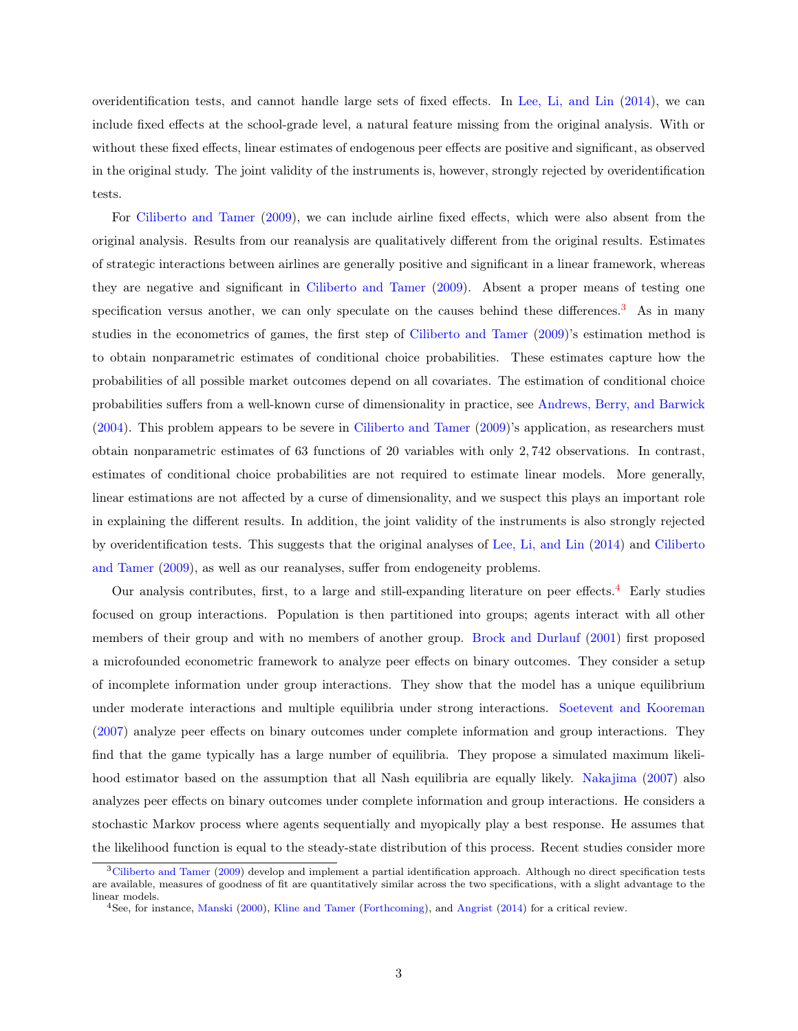overidentification tests, and cannot handle large sets of fixed effects. In [Lee, Li, and Lin](#page-31-0) [\(2014\)](#page-31-0), we can include fixed effects at the school-grade level, a natural feature missing from the original analysis. With or without these fixed effects, linear estimates of endogenous peer effects are positive and significant, as observed in the original study. The joint validity of the instruments is, however, strongly rejected by overidentification tests.

For [Ciliberto and Tamer](#page-29-0) [\(2009\)](#page-29-0), we can include airline fixed effects, which were also absent from the original analysis. Results from our reanalysis are qualitatively different from the original results. Estimates of strategic interactions between airlines are generally positive and significant in a linear framework, whereas they are negative and significant in [Ciliberto and Tamer](#page-29-0) [\(2009\)](#page-29-0). Absent a proper means of testing one specification versus another, we can only speculate on the causes behind these differences.<sup>[3](#page-4-0)</sup> As in many studies in the econometrics of games, the first step of [Ciliberto and Tamer](#page-29-0) [\(2009\)](#page-29-0)'s estimation method is to obtain nonparametric estimates of conditional choice probabilities. These estimates capture how the probabilities of all possible market outcomes depend on all covariates. The estimation of conditional choice probabilities suffers from a well-known curse of dimensionality in practice, see [Andrews, Berry, and Barwick](#page-28-2) [\(2004\)](#page-28-2). This problem appears to be severe in [Ciliberto and Tamer](#page-29-0) [\(2009\)](#page-29-0)'s application, as researchers must obtain nonparametric estimates of 63 functions of 20 variables with only 2, 742 observations. In contrast, estimates of conditional choice probabilities are not required to estimate linear models. More generally, linear estimations are not affected by a curse of dimensionality, and we suspect this plays an important role in explaining the different results. In addition, the joint validity of the instruments is also strongly rejected by overidentification tests. This suggests that the original analyses of [Lee, Li, and Lin](#page-31-0) [\(2014\)](#page-31-0) and [Ciliberto](#page-29-0) [and Tamer](#page-29-0) [\(2009\)](#page-29-0), as well as our reanalyses, suffer from endogeneity problems.

Our analysis contributes, first, to a large and still-expanding literature on peer effects.[4](#page-4-1) Early studies focused on group interactions. Population is then partitioned into groups; agents interact with all other members of their group and with no members of another group. [Brock and Durlauf](#page-29-1) [\(2001\)](#page-29-1) first proposed a microfounded econometric framework to analyze peer effects on binary outcomes. They consider a setup of incomplete information under group interactions. They show that the model has a unique equilibrium under moderate interactions and multiple equilibria under strong interactions. [Soetevent and Kooreman](#page-32-3) [\(2007\)](#page-32-3) analyze peer effects on binary outcomes under complete information and group interactions. They find that the game typically has a large number of equilibria. They propose a simulated maximum likelihood estimator based on the assumption that all Nash equilibria are equally likely. [Nakajima](#page-32-4) [\(2007\)](#page-32-4) also analyzes peer effects on binary outcomes under complete information and group interactions. He considers a stochastic Markov process where agents sequentially and myopically play a best response. He assumes that the likelihood function is equal to the steady-state distribution of this process. Recent studies consider more

<span id="page-4-0"></span><sup>&</sup>lt;sup>3</sup>[Ciliberto and Tamer](#page-29-0) [\(2009\)](#page-29-0) develop and implement a partial identification approach. Although no direct specification tests are available, measures of goodness of fit are quantitatively similar across the two specifications, with a slight advantage to the linear models.

<span id="page-4-1"></span><sup>4</sup>See, for instance, [Manski](#page-31-1) [\(2000\)](#page-31-1), [Kline and Tamer](#page-30-7) [\(Forthcoming\)](#page-30-7), and [Angrist](#page-28-3) [\(2014\)](#page-28-3) for a critical review.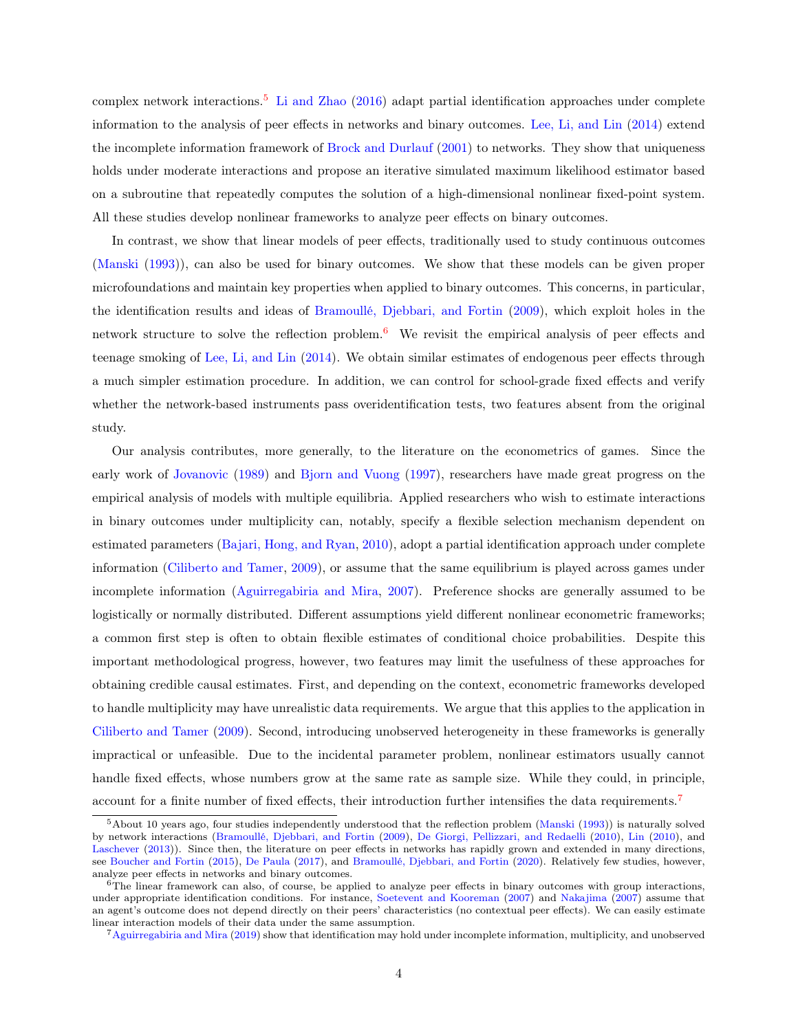complex network interactions.[5](#page-5-0) [Li and Zhao](#page-31-2) [\(2016\)](#page-31-2) adapt partial identification approaches under complete information to the analysis of peer effects in networks and binary outcomes. [Lee, Li, and Lin](#page-31-0) [\(2014\)](#page-31-0) extend the incomplete information framework of [Brock and Durlauf](#page-29-1) [\(2001\)](#page-29-1) to networks. They show that uniqueness holds under moderate interactions and propose an iterative simulated maximum likelihood estimator based on a subroutine that repeatedly computes the solution of a high-dimensional nonlinear fixed-point system. All these studies develop nonlinear frameworks to analyze peer effects on binary outcomes.

In contrast, we show that linear models of peer effects, traditionally used to study continuous outcomes [\(Manski](#page-31-3) [\(1993\)](#page-31-3)), can also be used for binary outcomes. We show that these models can be given proper microfoundations and maintain key properties when applied to binary outcomes. This concerns, in particular, the identification results and ideas of [Bramoullé, Djebbari, and Fortin](#page-29-2) [\(2009\)](#page-29-2), which exploit holes in the network structure to solve the reflection problem. $6\text{ }$  $6\text{ }$  We revisit the empirical analysis of peer effects and teenage smoking of [Lee, Li, and Lin](#page-31-0) [\(2014\)](#page-31-0). We obtain similar estimates of endogenous peer effects through a much simpler estimation procedure. In addition, we can control for school-grade fixed effects and verify whether the network-based instruments pass overidentification tests, two features absent from the original study.

Our analysis contributes, more generally, to the literature on the econometrics of games. Since the early work of [Jovanovic](#page-30-3) [\(1989\)](#page-30-3) and [Bjorn and Vuong](#page-28-4) [\(1997\)](#page-28-4), researchers have made great progress on the empirical analysis of models with multiple equilibria. Applied researchers who wish to estimate interactions in binary outcomes under multiplicity can, notably, specify a flexible selection mechanism dependent on estimated parameters [\(Bajari, Hong, and Ryan,](#page-28-5) [2010\)](#page-28-5), adopt a partial identification approach under complete information [\(Ciliberto and Tamer,](#page-29-0) [2009\)](#page-29-0), or assume that the same equilibrium is played across games under incomplete information [\(Aguirregabiria and Mira,](#page-28-6) [2007\)](#page-28-6). Preference shocks are generally assumed to be logistically or normally distributed. Different assumptions yield different nonlinear econometric frameworks; a common first step is often to obtain flexible estimates of conditional choice probabilities. Despite this important methodological progress, however, two features may limit the usefulness of these approaches for obtaining credible causal estimates. First, and depending on the context, econometric frameworks developed to handle multiplicity may have unrealistic data requirements. We argue that this applies to the application in [Ciliberto and Tamer](#page-29-0) [\(2009\)](#page-29-0). Second, introducing unobserved heterogeneity in these frameworks is generally impractical or unfeasible. Due to the incidental parameter problem, nonlinear estimators usually cannot handle fixed effects, whose numbers grow at the same rate as sample size. While they could, in principle, account for a finite number of fixed effects, their introduction further intensifies the data requirements.[7](#page-5-2)

<span id="page-5-0"></span><sup>5</sup>About 10 years ago, four studies independently understood that the reflection problem [\(Manski](#page-31-3) [\(1993\)](#page-31-3)) is naturally solved by network interactions [\(Bramoullé, Djebbari, and Fortin](#page-29-2) [\(2009\)](#page-29-2), [De Giorgi, Pellizzari, and Redaelli](#page-29-3) [\(2010\)](#page-29-3), [Lin](#page-31-4) [\(2010\)](#page-31-4), and [Laschever](#page-31-5) [\(2013\)](#page-31-5)). Since then, the literature on peer effects in networks has rapidly grown and extended in many directions, see [Boucher and Fortin](#page-28-7) [\(2015\)](#page-28-7), [De Paula](#page-30-8) [\(2017\)](#page-30-8), and [Bramoullé, Djebbari, and Fortin](#page-29-4) [\(2020\)](#page-29-4). Relatively few studies, however, analyze peer effects in networks and binary outcomes.

<span id="page-5-1"></span> $6$ The linear framework can also, of course, be applied to analyze peer effects in binary outcomes with group interactions, under appropriate identification conditions. For instance, [Soetevent and Kooreman](#page-32-3) [\(2007\)](#page-32-3) and [Nakajima](#page-32-4) [\(2007\)](#page-32-4) assume that an agent's outcome does not depend directly on their peers' characteristics (no contextual peer effects). We can easily estimate linear interaction models of their data under the same assumption.

<span id="page-5-2"></span><sup>7</sup>[Aguirregabiria and Mira](#page-28-8) [\(2019\)](#page-28-8) show that identification may hold under incomplete information, multiplicity, and unobserved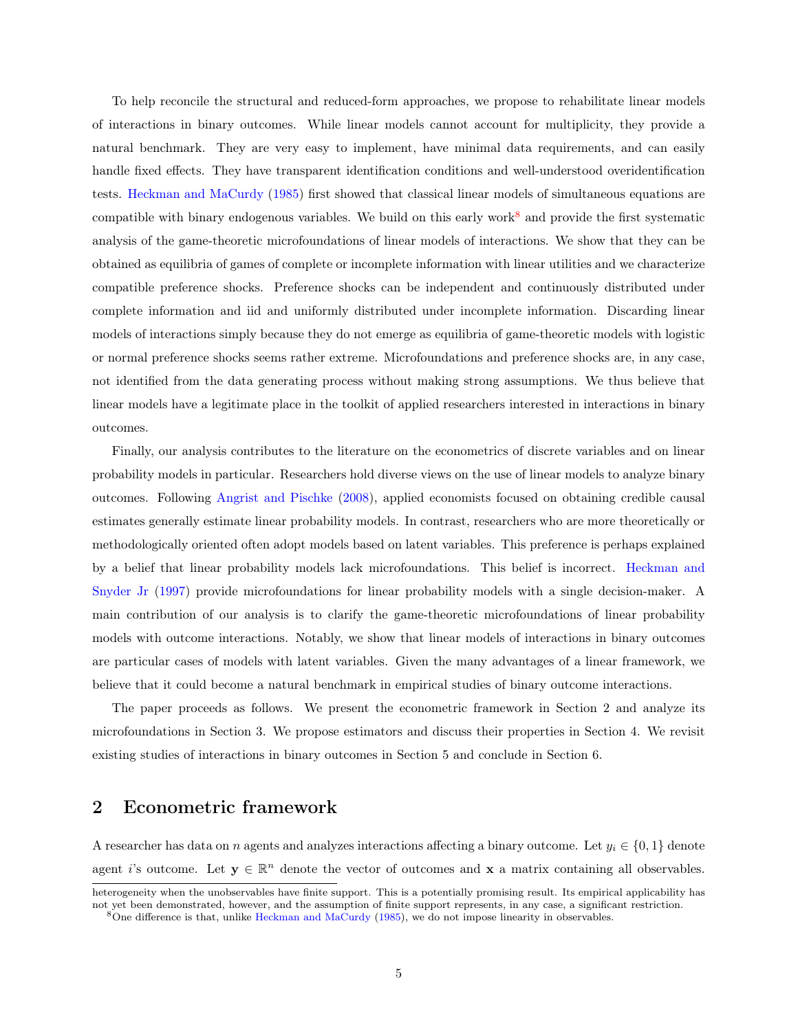To help reconcile the structural and reduced-form approaches, we propose to rehabilitate linear models of interactions in binary outcomes. While linear models cannot account for multiplicity, they provide a natural benchmark. They are very easy to implement, have minimal data requirements, and can easily handle fixed effects. They have transparent identification conditions and well-understood overidentification tests. [Heckman and MaCurdy](#page-30-0) [\(1985\)](#page-30-0) first showed that classical linear models of simultaneous equations are compatible with binary endogenous variables. We build on this early work<sup>[8](#page-6-0)</sup> and provide the first systematic analysis of the game-theoretic microfoundations of linear models of interactions. We show that they can be obtained as equilibria of games of complete or incomplete information with linear utilities and we characterize compatible preference shocks. Preference shocks can be independent and continuously distributed under complete information and iid and uniformly distributed under incomplete information. Discarding linear models of interactions simply because they do not emerge as equilibria of game-theoretic models with logistic or normal preference shocks seems rather extreme. Microfoundations and preference shocks are, in any case, not identified from the data generating process without making strong assumptions. We thus believe that linear models have a legitimate place in the toolkit of applied researchers interested in interactions in binary outcomes.

Finally, our analysis contributes to the literature on the econometrics of discrete variables and on linear probability models in particular. Researchers hold diverse views on the use of linear models to analyze binary outcomes. Following [Angrist and Pischke](#page-28-9) [\(2008\)](#page-28-9), applied economists focused on obtaining credible causal estimates generally estimate linear probability models. In contrast, researchers who are more theoretically or methodologically oriented often adopt models based on latent variables. This preference is perhaps explained by a belief that linear probability models lack microfoundations. This belief is incorrect. [Heckman and](#page-30-9) [Snyder Jr](#page-30-9) [\(1997\)](#page-30-9) provide microfoundations for linear probability models with a single decision-maker. A main contribution of our analysis is to clarify the game-theoretic microfoundations of linear probability models with outcome interactions. Notably, we show that linear models of interactions in binary outcomes are particular cases of models with latent variables. Given the many advantages of a linear framework, we believe that it could become a natural benchmark in empirical studies of binary outcome interactions.

The paper proceeds as follows. We present the econometric framework in Section 2 and analyze its microfoundations in Section 3. We propose estimators and discuss their properties in Section 4. We revisit existing studies of interactions in binary outcomes in Section 5 and conclude in Section 6.

## 2 Econometric framework

A researcher has data on n agents and analyzes interactions affecting a binary outcome. Let  $y_i \in \{0, 1\}$  denote agent i's outcome. Let  $y \in \mathbb{R}^n$  denote the vector of outcomes and x a matrix containing all observables.

heterogeneity when the unobservables have finite support. This is a potentially promising result. Its empirical applicability has not yet been demonstrated, however, and the assumption of finite support represents, in any case, a significant restriction.

<span id="page-6-0"></span><sup>8</sup>One difference is that, unlike [Heckman and MaCurdy](#page-30-0) [\(1985\)](#page-30-0), we do not impose linearity in observables.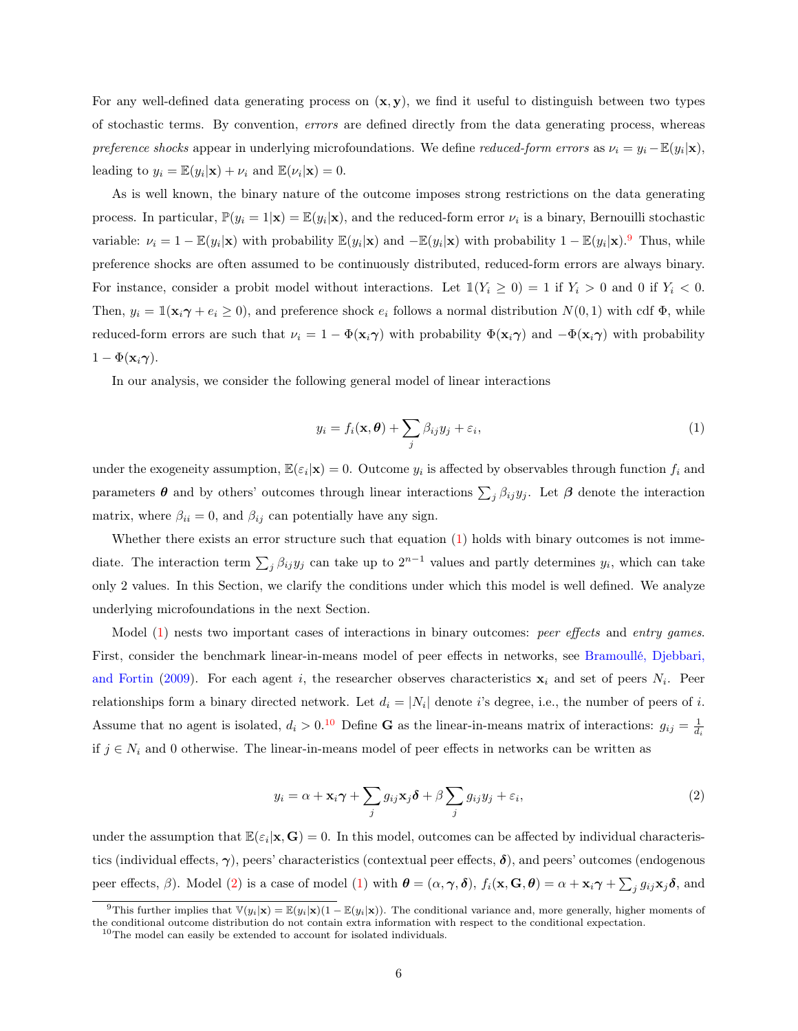For any well-defined data generating process on  $(x, y)$ , we find it useful to distinguish between two types of stochastic terms. By convention, errors are defined directly from the data generating process, whereas preference shocks appear in underlying microfoundations. We define reduced-form errors as  $\nu_i = y_i - \mathbb{E}(y_i|\mathbf{x}),$ leading to  $y_i = \mathbb{E}(y_i|\mathbf{x}) + \nu_i$  and  $\mathbb{E}(\nu_i|\mathbf{x}) = 0$ .

As is well known, the binary nature of the outcome imposes strong restrictions on the data generating process. In particular,  $\mathbb{P}(y_i = 1 | \mathbf{x}) = \mathbb{E}(y_i | \mathbf{x})$ , and the reduced-form error  $\nu_i$  is a binary, Bernouilli stochastic variable:  $\nu_i = 1 - \mathbb{E}(y_i|\mathbf{x})$  with probability  $\mathbb{E}(y_i|\mathbf{x})$  and  $-\mathbb{E}(y_i|\mathbf{x})$  with probability  $1 - \mathbb{E}(y_i|\mathbf{x})$ . Thus, while preference shocks are often assumed to be continuously distributed, reduced-form errors are always binary. For instance, consider a probit model without interactions. Let  $\mathbb{1}(Y_i \geq 0) = 1$  if  $Y_i > 0$  and 0 if  $Y_i < 0$ . Then,  $y_i = \mathbb{1}(\mathbf{x}_i \gamma + e_i \ge 0)$ , and preference shock  $e_i$  follows a normal distribution  $N(0, 1)$  with cdf  $\Phi$ , while reduced-form errors are such that  $\nu_i = 1 - \Phi(\mathbf{x}_i \gamma)$  with probability  $\Phi(\mathbf{x}_i \gamma)$  and  $-\Phi(\mathbf{x}_i \gamma)$  with probability  $1 - \Phi(\mathbf{x}_i \boldsymbol{\gamma}).$ 

In our analysis, we consider the following general model of linear interactions

<span id="page-7-1"></span>
$$
y_i = f_i(\mathbf{x}, \boldsymbol{\theta}) + \sum_j \beta_{ij} y_j + \varepsilon_i,
$$
\n(1)

under the exogeneity assumption,  $\mathbb{E}(\varepsilon_i|\mathbf{x})=0$ . Outcome  $y_i$  is affected by observables through function  $f_i$  and parameters  $\theta$  and by others' outcomes through linear interactions  $\sum_j \beta_{ij} y_j$ . Let  $\beta$  denote the interaction matrix, where  $\beta_{ii} = 0$ , and  $\beta_{ii}$  can potentially have any sign.

Whether there exists an error structure such that equation [\(1\)](#page-7-1) holds with binary outcomes is not immediate. The interaction term  $\sum_j \beta_{ij} y_j$  can take up to  $2^{n-1}$  values and partly determines  $y_i$ , which can take only 2 values. In this Section, we clarify the conditions under which this model is well defined. We analyze underlying microfoundations in the next Section.

Model [\(1\)](#page-7-1) nests two important cases of interactions in binary outcomes: *peer effects* and *entry games*. First, consider the benchmark linear-in-means model of peer effects in networks, see [Bramoullé, Djebbari,](#page-29-2) [and Fortin](#page-29-2) [\(2009\)](#page-29-2). For each agent i, the researcher observes characteristics  $x_i$  and set of peers  $N_i$ . Peer relationships form a binary directed network. Let  $d_i = |N_i|$  denote i's degree, i.e., the number of peers of i. Assume that no agent is isolated,  $d_i > 0.10$  $d_i > 0.10$  Define G as the linear-in-means matrix of interactions:  $g_{ij} = \frac{1}{d_i}$ if  $j \in N_i$  and 0 otherwise. The linear-in-means model of peer effects in networks can be written as

<span id="page-7-3"></span>
$$
y_i = \alpha + \mathbf{x}_i \boldsymbol{\gamma} + \sum_j g_{ij} \mathbf{x}_j \boldsymbol{\delta} + \beta \sum_j g_{ij} y_j + \varepsilon_i,
$$
\n(2)

under the assumption that  $\mathbb{E}(\varepsilon_i|\mathbf{x}, \mathbf{G}) = 0$ . In this model, outcomes can be affected by individual characteristics (individual effects,  $\gamma$ ), peers' characteristics (contextual peer effects,  $\delta$ ), and peers' outcomes (endogenous peer effects,  $\beta$ ). Model [\(2\)](#page-7-3) is a case of model [\(1\)](#page-7-1) with  $\boldsymbol{\theta} = (\alpha, \boldsymbol{\gamma}, \boldsymbol{\delta})$ ,  $f_i(\mathbf{x}, \mathbf{G}, \boldsymbol{\theta}) = \alpha + \mathbf{x}_i \boldsymbol{\gamma} + \sum_j g_{ij} \mathbf{x}_j \boldsymbol{\delta}$ , and

<span id="page-7-0"></span><sup>&</sup>lt;sup>9</sup>This further implies that  $\mathbb{V}(y_i|\mathbf{x}) = \mathbb{E}(y_i|\mathbf{x})(1 - \mathbb{E}(y_i|\mathbf{x}))$ . The conditional variance and, more generally, higher moments of the conditional outcome distribution do not contain extra information with respect to the conditional expectation.

<span id="page-7-2"></span><sup>&</sup>lt;sup>10</sup>The model can easily be extended to account for isolated individuals.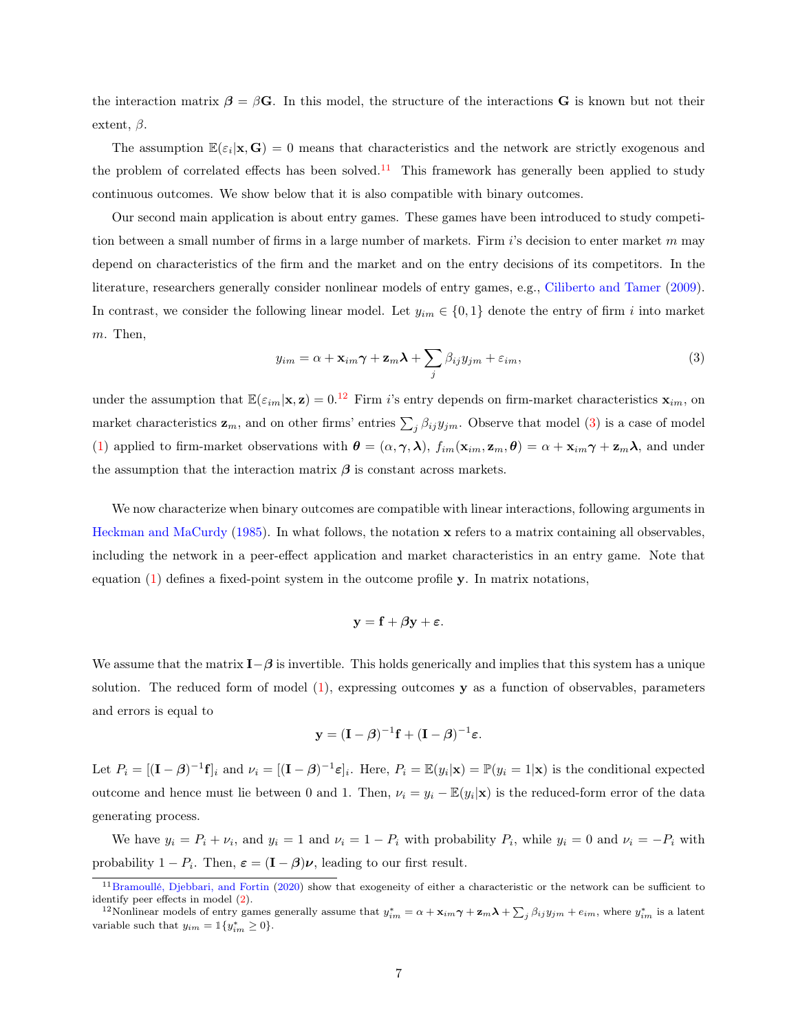the interaction matrix  $\beta = \beta G$ . In this model, the structure of the interactions G is known but not their extent,  $\beta$ .

The assumption  $\mathbb{E}(\varepsilon_i|\mathbf{x},\mathbf{G})=0$  means that characteristics and the network are strictly exogenous and the problem of correlated effects has been solved.<sup>[11](#page-8-0)</sup> This framework has generally been applied to study continuous outcomes. We show below that it is also compatible with binary outcomes.

Our second main application is about entry games. These games have been introduced to study competition between a small number of firms in a large number of markets. Firm  $i$ 's decision to enter market m may depend on characteristics of the firm and the market and on the entry decisions of its competitors. In the literature, researchers generally consider nonlinear models of entry games, e.g., [Ciliberto and Tamer](#page-29-0) [\(2009\)](#page-29-0). In contrast, we consider the following linear model. Let  $y_{im} \in \{0,1\}$  denote the entry of firm i into market m. Then,

<span id="page-8-2"></span>
$$
y_{im} = \alpha + \mathbf{x}_{im}\boldsymbol{\gamma} + \mathbf{z}_m\boldsymbol{\lambda} + \sum_j \beta_{ij}y_{jm} + \varepsilon_{im},
$$
\n(3)

under the assumption that  $\mathbb{E}(\varepsilon_{im}|\mathbf{x}, \mathbf{z}) = 0$ .<sup>[12](#page-8-1)</sup> Firm i's entry depends on firm-market characteristics  $\mathbf{x}_{im}$ , on market characteristics  $z_m$ , and on other firms' entries  $\sum_j \beta_{ij} y_{jm}$ . Observe that model [\(3\)](#page-8-2) is a case of model [\(1\)](#page-7-1) applied to firm-market observations with  $\boldsymbol{\theta} = (\alpha, \boldsymbol{\gamma}, \boldsymbol{\lambda}), f_{im}(\mathbf{x}_{im}, \mathbf{z}_m, \boldsymbol{\theta}) = \alpha + \mathbf{x}_{im} \boldsymbol{\gamma} + \mathbf{z}_m \boldsymbol{\lambda}$ , and under the assumption that the interaction matrix  $\beta$  is constant across markets.

We now characterize when binary outcomes are compatible with linear interactions, following arguments in [Heckman and MaCurdy](#page-30-0) [\(1985\)](#page-30-0). In what follows, the notation x refers to a matrix containing all observables, including the network in a peer-effect application and market characteristics in an entry game. Note that equation [\(1\)](#page-7-1) defines a fixed-point system in the outcome profile y. In matrix notations,

$$
\mathbf{y} = \mathbf{f} + \beta \mathbf{y} + \boldsymbol{\varepsilon}.
$$

We assume that the matrix  $I-\beta$  is invertible. This holds generically and implies that this system has a unique solution. The reduced form of model  $(1)$ , expressing outcomes  $\mathbf y$  as a function of observables, parameters and errors is equal to

$$
\mathbf{y} = (\mathbf{I} - \boldsymbol{\beta})^{-1} \mathbf{f} + (\mathbf{I} - \boldsymbol{\beta})^{-1} \boldsymbol{\varepsilon}.
$$

Let  $P_i = [(\mathbf{I} - \boldsymbol{\beta})^{-1} \mathbf{f}]_i$  and  $\nu_i = [(\mathbf{I} - \boldsymbol{\beta})^{-1} \boldsymbol{\varepsilon}]_i$ . Here,  $P_i = \mathbb{E}(y_i|\mathbf{x}) = \mathbb{P}(y_i = 1|\mathbf{x})$  is the conditional expected outcome and hence must lie between 0 and 1. Then,  $\nu_i = y_i - \mathbb{E}(y_i|\mathbf{x})$  is the reduced-form error of the data generating process.

We have  $y_i = P_i + \nu_i$ , and  $y_i = 1$  and  $\nu_i = 1 - P_i$  with probability  $P_i$ , while  $y_i = 0$  and  $\nu_i = -P_i$  with probability  $1 - P_i$ . Then,  $\varepsilon = (\mathbf{I} - \boldsymbol{\beta})\boldsymbol{\nu}$ , leading to our first result.

<span id="page-8-0"></span><sup>&</sup>lt;sup>11</sup>[Bramoullé, Djebbari, and Fortin](#page-29-4) [\(2020\)](#page-29-4) show that exogeneity of either a characteristic or the network can be sufficient to identify peer effects in model [\(2\)](#page-7-3).

<span id="page-8-1"></span><sup>&</sup>lt;sup>12</sup>Nonlinear models of entry games generally assume that  $y_{im}^* = \alpha + \mathbf{x}_{im} \boldsymbol{\gamma} + \mathbf{z}_m \boldsymbol{\lambda} + \sum_j \beta_{ij} y_{jm} + e_{im}$ , where  $y_{im}^*$  is a latent variable such that  $y_{im} = \mathbb{1}\{y_{im}^* \geq 0\}.$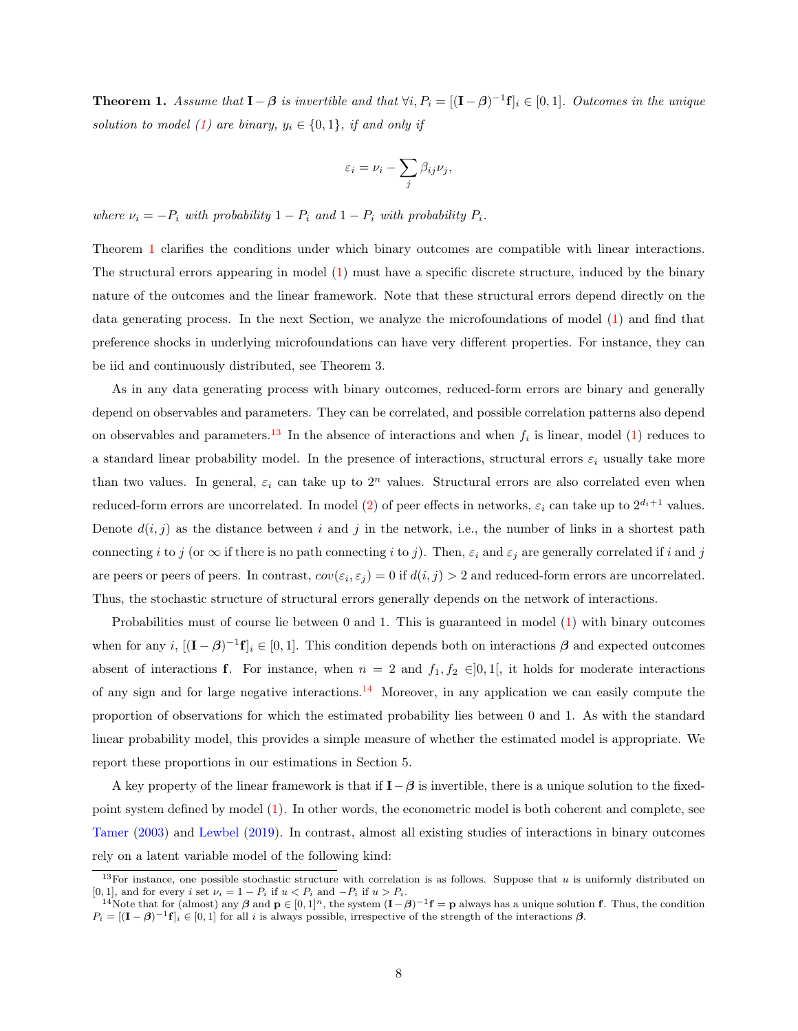<span id="page-9-0"></span>**Theorem 1.** Assume that  $I - \beta$  is invertible and that  $\forall i, P_i = [(I - \beta)^{-1} \mathbf{f}]_i \in [0, 1]$ . Outcomes in the unique solution to model [\(1\)](#page-7-1) are binary,  $y_i \in \{0, 1\}$ , if and only if

$$
\varepsilon_i = \nu_i - \sum_j \beta_{ij} \nu_j,
$$

where  $\nu_i = -P_i$  with probability  $1 - P_i$  and  $1 - P_i$  with probability  $P_i$ .

Theorem [1](#page-9-0) clarifies the conditions under which binary outcomes are compatible with linear interactions. The structural errors appearing in model [\(1\)](#page-7-1) must have a specific discrete structure, induced by the binary nature of the outcomes and the linear framework. Note that these structural errors depend directly on the data generating process. In the next Section, we analyze the microfoundations of model [\(1\)](#page-7-1) and find that preference shocks in underlying microfoundations can have very different properties. For instance, they can be iid and continuously distributed, see Theorem 3.

As in any data generating process with binary outcomes, reduced-form errors are binary and generally depend on observables and parameters. They can be correlated, and possible correlation patterns also depend on observables and parameters.<sup>[13](#page-9-1)</sup> In the absence of interactions and when  $f_i$  is linear, model [\(1\)](#page-7-1) reduces to a standard linear probability model. In the presence of interactions, structural errors  $\varepsilon_i$  usually take more than two values. In general,  $\varepsilon_i$  can take up to  $2^n$  values. Structural errors are also correlated even when reduced-form errors are uncorrelated. In model [\(2\)](#page-7-3) of peer effects in networks,  $\varepsilon_i$  can take up to  $2^{d_i+1}$  values. Denote  $d(i, j)$  as the distance between i and j in the network, i.e., the number of links in a shortest path connecting i to j (or  $\infty$  if there is no path connecting i to j). Then,  $\varepsilon_i$  and  $\varepsilon_j$  are generally correlated if i and j are peers or peers of peers. In contrast,  $cov(\varepsilon_i, \varepsilon_j) = 0$  if  $d(i, j) > 2$  and reduced-form errors are uncorrelated. Thus, the stochastic structure of structural errors generally depends on the network of interactions.

Probabilities must of course lie between 0 and 1. This is guaranteed in model [\(1\)](#page-7-1) with binary outcomes when for any  $i$ ,  $[(\mathbf{I} - \boldsymbol{\beta})^{-1}\mathbf{f}]_i \in [0,1]$ . This condition depends both on interactions  $\boldsymbol{\beta}$  and expected outcomes absent of interactions f. For instance, when  $n = 2$  and  $f_1, f_2 \in ]0,1[$ , it holds for moderate interactions of any sign and for large negative interactions.<sup>[14](#page-9-2)</sup> Moreover, in any application we can easily compute the proportion of observations for which the estimated probability lies between 0 and 1. As with the standard linear probability model, this provides a simple measure of whether the estimated model is appropriate. We report these proportions in our estimations in Section 5.

A key property of the linear framework is that if  $\mathbf{I} - \boldsymbol{\beta}$  is invertible, there is a unique solution to the fixedpoint system defined by model [\(1\)](#page-7-1). In other words, the econometric model is both coherent and complete, see [Tamer](#page-32-0) [\(2003\)](#page-32-0) and [Lewbel](#page-31-6) [\(2019\)](#page-31-6). In contrast, almost all existing studies of interactions in binary outcomes rely on a latent variable model of the following kind:

<span id="page-9-1"></span><sup>&</sup>lt;sup>13</sup>For instance, one possible stochastic structure with correlation is as follows. Suppose that u is uniformly distributed on [0, 1], and for every i set  $\nu_i = 1 - P_i$  if  $u < P_i$  and  $-P_i$  if  $u > P_i$ .

<span id="page-9-2"></span><sup>&</sup>lt;sup>14</sup>Note that for (almost) any  $\beta$  and  $p \in [0,1]^n$ , the system  $(I-\beta)^{-1}f = p$  always has a unique solution f. Thus, the condition  $P_i = [(\mathbf{I} - \boldsymbol{\beta})^{-1} \mathbf{f}]_i \in [0,1]$  for all i is always possible, irrespective of the strength of the interactions  $\boldsymbol{\beta}$ .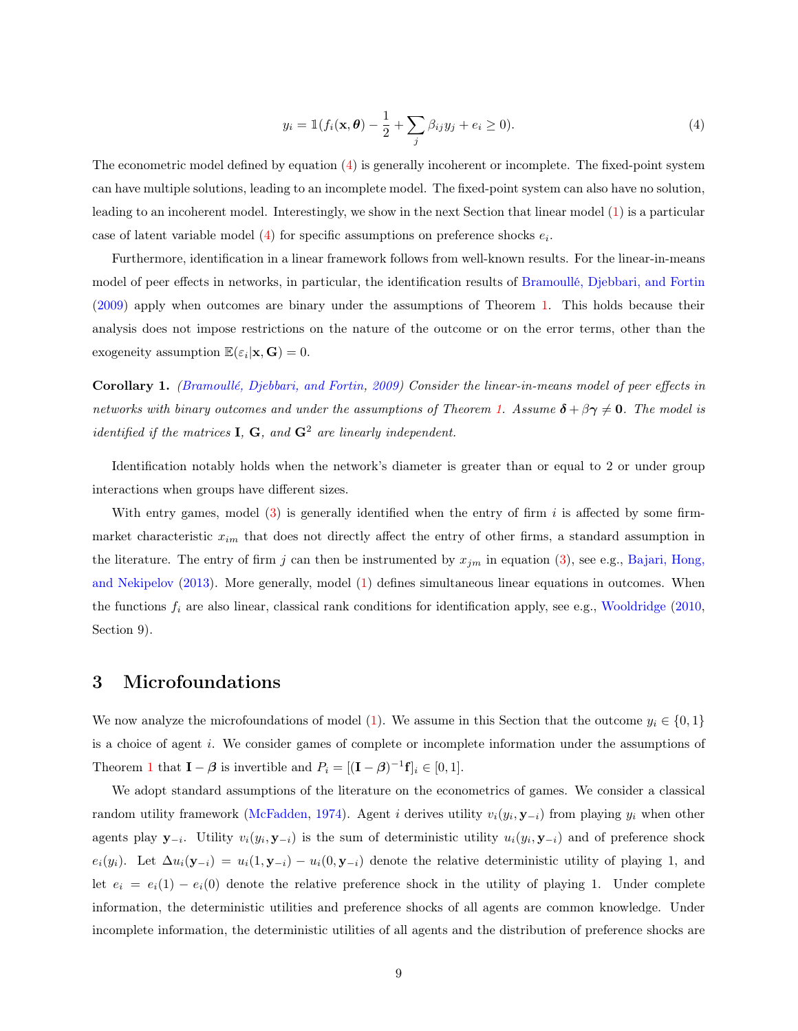<span id="page-10-0"></span>
$$
y_i = \mathbb{1}(f_i(\mathbf{x}, \boldsymbol{\theta}) - \frac{1}{2} + \sum_j \beta_{ij} y_j + e_i \ge 0).
$$
\n<sup>(4)</sup>

The econometric model defined by equation ([4](#page-10-0)) is generally incoherent or incomplete. The fixed-point system can have multiple solutions, leading to an incomplete model. The fixed-point system can also have no solution, leading to an incoherent model. Interestingly, we show in the next Section that linear model [\(1\)](#page-7-1) is a particular case of latent variable model  $(4)$  for specific assumptions on preference shocks  $e_i$ .

Furthermore, identification in a linear framework follows from well-known results. For the linear-in-means model of peer effects in networks, in particular, the identification results of [Bramoullé, Djebbari, and Fortin](#page-29-2) [\(2009\)](#page-29-2) apply when outcomes are binary under the assumptions of Theorem [1.](#page-9-0) This holds because their analysis does not impose restrictions on the nature of the outcome or on the error terms, other than the exogeneity assumption  $\mathbb{E}(\varepsilon_i|\mathbf{x},\mathbf{G})=0$ .

<span id="page-10-1"></span>Corollary 1. [\(Bramoullé, Djebbari, and Fortin,](#page-29-2) [2009\)](#page-29-2) Consider the linear-in-means model of peer effects in networks with binary outcomes and under the assumptions of Theorem [1.](#page-9-0) Assume  $\delta + \beta \gamma \neq 0$ . The model is *identified if the matrices* **I**, **G**, and  $G^2$  are linearly independent.

Identification notably holds when the network's diameter is greater than or equal to 2 or under group interactions when groups have different sizes.

With entry games, model  $(3)$  is generally identified when the entry of firm i is affected by some firmmarket characteristic  $x_{im}$  that does not directly affect the entry of other firms, a standard assumption in the literature. The entry of firm j can then be instrumented by  $x_{jm}$  in equation [\(3\)](#page-8-2), see e.g., [Bajari, Hong,](#page-28-0) [and Nekipelov](#page-28-0) [\(2013\)](#page-28-0). More generally, model [\(1\)](#page-7-1) defines simultaneous linear equations in outcomes. When the functions  $f_i$  are also linear, classical rank conditions for identification apply, see e.g., [Wooldridge](#page-32-1) [\(2010,](#page-32-1) Section 9).

### 3 Microfoundations

We now analyze the microfoundations of model [\(1\)](#page-7-1). We assume in this Section that the outcome  $y_i \in \{0,1\}$ is a choice of agent i. We consider games of complete or incomplete information under the assumptions of Theorem [1](#page-9-0) that  $\mathbf{I} - \boldsymbol{\beta}$  is invertible and  $P_i = [(\mathbf{I} - \boldsymbol{\beta})^{-1} \mathbf{f}]_i \in [0, 1].$ 

We adopt standard assumptions of the literature on the econometrics of games. We consider a classical random utility framework [\(McFadden,](#page-32-5) [1974\)](#page-32-5). Agent i derives utility  $v_i(y_i, \mathbf{y}_{-i})$  from playing  $y_i$  when other agents play  $y_{-i}$ . Utility  $v_i(y_i, y_{-i})$  is the sum of deterministic utility  $u_i(y_i, y_{-i})$  and of preference shock  $e_i(y_i)$ . Let  $\Delta u_i(\mathbf{y}_{-i}) = u_i(1, \mathbf{y}_{-i}) - u_i(0, \mathbf{y}_{-i})$  denote the relative deterministic utility of playing 1, and let  $e_i = e_i(1) - e_i(0)$  denote the relative preference shock in the utility of playing 1. Under complete information, the deterministic utilities and preference shocks of all agents are common knowledge. Under incomplete information, the deterministic utilities of all agents and the distribution of preference shocks are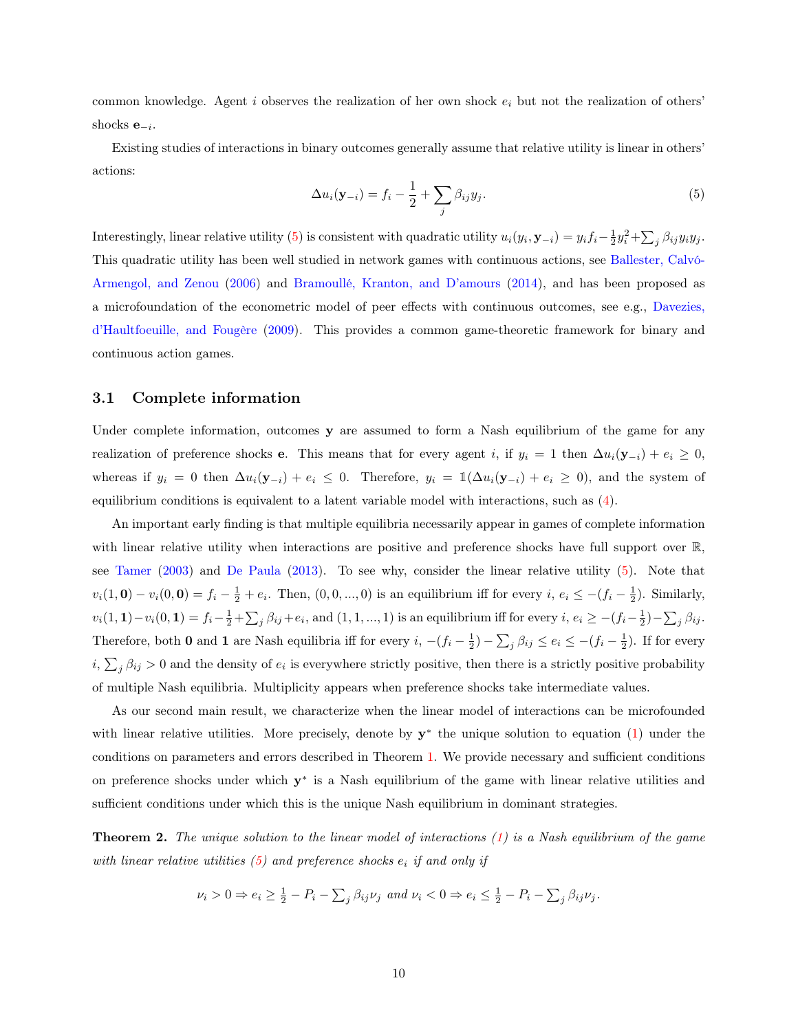common knowledge. Agent i observes the realization of her own shock  $e_i$  but not the realization of others' shocks  $e_{-i}$ .

Existing studies of interactions in binary outcomes generally assume that relative utility is linear in others' actions:

<span id="page-11-0"></span>
$$
\Delta u_i(\mathbf{y}_{-i}) = f_i - \frac{1}{2} + \sum_j \beta_{ij} y_j.
$$
\n(5)

Interestingly, linear relative utility [\(5\)](#page-11-0) is consistent with quadratic utility  $u_i(y_i, \mathbf{y}_{-i}) = y_i f_i - \frac{1}{2} y_i^2 + \sum_j \beta_{ij} y_i y_j$ . This quadratic utility has been well studied in network games with continuous actions, see [Ballester, Calvó-](#page-28-10)[Armengol, and Zenou](#page-28-10) [\(2006\)](#page-28-10) and [Bramoullé, Kranton, and D'amours](#page-29-5) [\(2014\)](#page-29-5), and has been proposed as a microfoundation of the econometric model of peer effects with continuous outcomes, see e.g., [Davezies,](#page-29-6) [d'Haultfoeuille, and Fougère](#page-29-6) [\(2009\)](#page-29-6). This provides a common game-theoretic framework for binary and continuous action games.

#### 3.1 Complete information

Under complete information, outcomes y are assumed to form a Nash equilibrium of the game for any realization of preference shocks e. This means that for every agent i, if  $y_i = 1$  then  $\Delta u_i(\mathbf{y}_{-i}) + e_i \geq 0$ , whereas if  $y_i = 0$  then  $\Delta u_i(\mathbf{y}_{-i}) + e_i \leq 0$ . Therefore,  $y_i = \mathbb{1}(\Delta u_i(\mathbf{y}_{-i}) + e_i \geq 0)$ , and the system of equilibrium conditions is equivalent to a latent variable model with interactions, such as [\(4\)](#page-10-0).

An important early finding is that multiple equilibria necessarily appear in games of complete information with linear relative utility when interactions are positive and preference shocks have full support over  $\mathbb{R}$ , see [Tamer](#page-32-0) [\(2003\)](#page-32-0) and [De Paula](#page-30-2) [\(2013\)](#page-30-2). To see why, consider the linear relative utility [\(5\)](#page-11-0). Note that  $v_i(1,0) - v_i(0,0) = f_i - \frac{1}{2} + e_i$ . Then,  $(0,0,...,0)$  is an equilibrium iff for every  $i, e_i \le -(f_i - \frac{1}{2})$ . Similarly,  $v_i(1,1)-v_i(0,1) = f_i - \frac{1}{2} + \sum_j \beta_{ij} + e_i$ , and  $(1,1,...,1)$  is an equilibrium iff for every  $i, e_i \ge -(f_i - \frac{1}{2}) - \sum_j \beta_{ij}$ . Therefore, both 0 and 1 are Nash equilibria iff for every  $i, -(f_i - \frac{1}{2}) - \sum_j \beta_{ij} \le e_i \le -(f_i - \frac{1}{2})$ . If for every  $i, \sum_j \beta_{ij} > 0$  and the density of  $e_i$  is everywhere strictly positive, then there is a strictly positive probability of multiple Nash equilibria. Multiplicity appears when preference shocks take intermediate values.

As our second main result, we characterize when the linear model of interactions can be microfounded with linear relative utilities. More precisely, denote by  $y^*$  the unique solution to equation [\(1\)](#page-7-1) under the conditions on parameters and errors described in Theorem [1.](#page-9-0) We provide necessary and sufficient conditions on preference shocks under which  $y^*$  is a Nash equilibrium of the game with linear relative utilities and sufficient conditions under which this is the unique Nash equilibrium in dominant strategies.

<span id="page-11-1"></span>**Theorem 2.** The unique solution to the linear model of interactions  $(1)$  is a Nash equilibrium of the game with linear relative utilities  $(5)$  and preference shocks  $e_i$  if and only if

$$
\nu_i > 0 \Rightarrow e_i \geq \frac{1}{2} - P_i - \sum_j \beta_{ij} \nu_j \text{ and } \nu_i < 0 \Rightarrow e_i \leq \frac{1}{2} - P_i - \sum_j \beta_{ij} \nu_j.
$$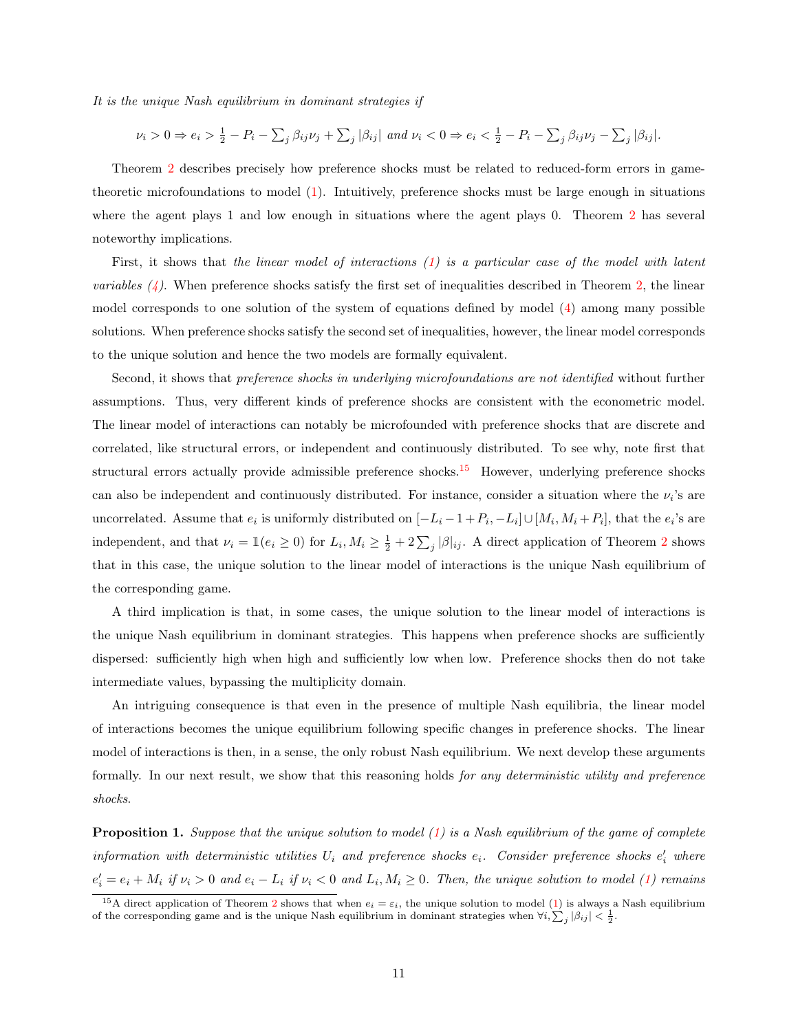It is the unique Nash equilibrium in dominant strategies if

$$
\nu_i > 0 \Rightarrow e_i > \frac{1}{2} - P_i - \sum_j \beta_{ij} \nu_j + \sum_j |\beta_{ij}| \text{ and } \nu_i < 0 \Rightarrow e_i < \frac{1}{2} - P_i - \sum_j \beta_{ij} \nu_j - \sum_j |\beta_{ij}|.
$$

Theorem [2](#page-11-1) describes precisely how preference shocks must be related to reduced-form errors in gametheoretic microfoundations to model [\(1\)](#page-7-1). Intuitively, preference shocks must be large enough in situations where the agent plays 1 and low enough in situations where the agent plays 0. Theorem [2](#page-11-1) has several noteworthy implications.

First, it shows that the linear model of interactions [\(1\)](#page-7-1) is a particular case of the model with latent *variables*  $(4)$ . When preference shocks satisfy the first set of inequalities described in Theorem [2,](#page-11-1) the linear model corresponds to one solution of the system of equations defined by model [\(4\)](#page-10-0) among many possible solutions. When preference shocks satisfy the second set of inequalities, however, the linear model corresponds to the unique solution and hence the two models are formally equivalent.

Second, it shows that *preference shocks in underlying microfoundations are not identified* without further assumptions. Thus, very different kinds of preference shocks are consistent with the econometric model. The linear model of interactions can notably be microfounded with preference shocks that are discrete and correlated, like structural errors, or independent and continuously distributed. To see why, note first that structural errors actually provide admissible preference shocks.<sup>[15](#page-12-0)</sup> However, underlying preference shocks can also be independent and continuously distributed. For instance, consider a situation where the  $\nu_i$ 's are uncorrelated. Assume that  $e_i$  is uniformly distributed on  $[-L_i-1+P_i, -L_i] \cup [M_i, M_i+P_i]$ , that the  $e_i$ 's are independent, and that  $\nu_i = \mathbb{1}(e_i \geq 0)$  for  $L_i, M_i \geq \frac{1}{2} + 2\sum_j |\beta|_{ij}$  $L_i, M_i \geq \frac{1}{2} + 2\sum_j |\beta|_{ij}$  $L_i, M_i \geq \frac{1}{2} + 2\sum_j |\beta|_{ij}$ . A direct application of Theorem 2 shows that in this case, the unique solution to the linear model of interactions is the unique Nash equilibrium of the corresponding game.

A third implication is that, in some cases, the unique solution to the linear model of interactions is the unique Nash equilibrium in dominant strategies. This happens when preference shocks are sufficiently dispersed: sufficiently high when high and sufficiently low when low. Preference shocks then do not take intermediate values, bypassing the multiplicity domain.

An intriguing consequence is that even in the presence of multiple Nash equilibria, the linear model of interactions becomes the unique equilibrium following specific changes in preference shocks. The linear model of interactions is then, in a sense, the only robust Nash equilibrium. We next develop these arguments formally. In our next result, we show that this reasoning holds for any deterministic utility and preference shocks.

<span id="page-12-1"></span>**Proposition 1.** Suppose that the unique solution to model  $(1)$  is a Nash equilibrium of the game of complete information with deterministic utilities  $U_i$  and preference shocks  $e_i$ . Consider preference shocks  $e'_i$  where  $e'_i = e_i + M_i$  if  $\nu_i > 0$  and  $e_i - L_i$  if  $\nu_i < 0$  and  $L_i, M_i \geq 0$ . Then, the unique solution to model [\(1\)](#page-7-1) remains

<span id="page-12-0"></span><sup>&</sup>lt;sup>15</sup>A direct application of Theorem [2](#page-11-1) shows that when  $e_i = \varepsilon_i$ , the unique solution to model [\(1\)](#page-7-1) is always a Nash equilibrium of the corresponding game and is the unique Nash equilibrium in dominant strategies when  $\forall i, \sum_j |\beta_{ij}| < \frac{1}{2}$ .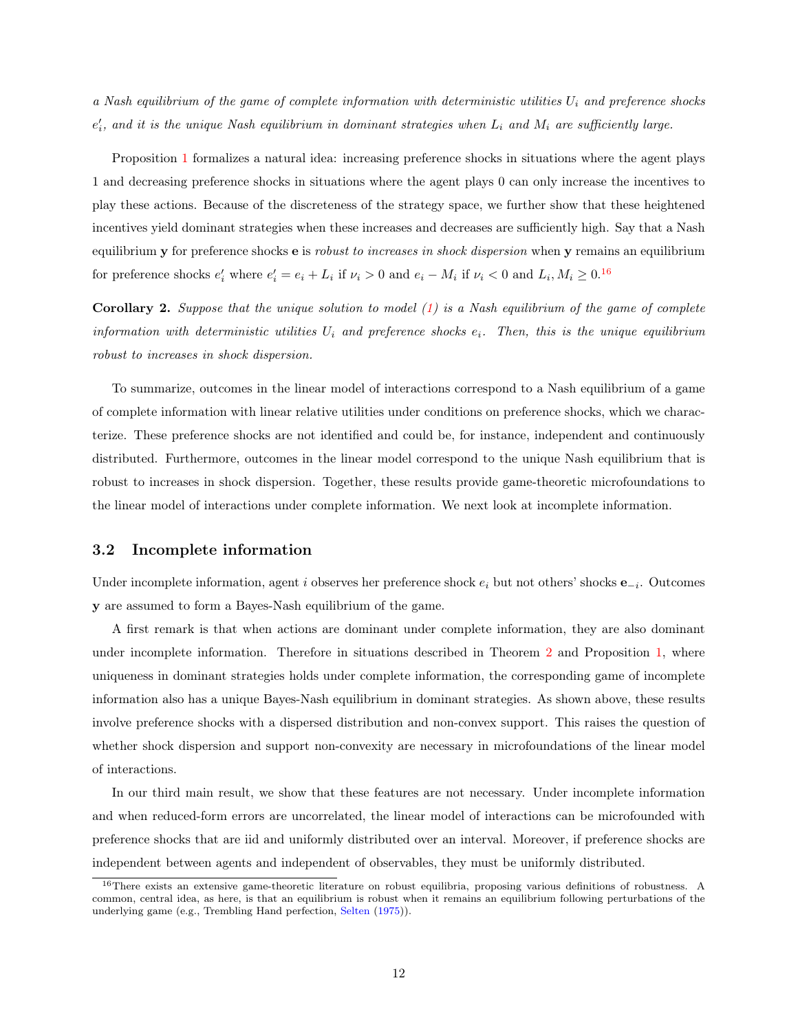a Nash equilibrium of the game of complete information with deterministic utilities  $U_i$  and preference shocks  $e'_{i}$ , and it is the unique Nash equilibrium in dominant strategies when  $L_{i}$  and  $M_{i}$  are sufficiently large.

Proposition [1](#page-12-1) formalizes a natural idea: increasing preference shocks in situations where the agent plays 1 and decreasing preference shocks in situations where the agent plays 0 can only increase the incentives to play these actions. Because of the discreteness of the strategy space, we further show that these heightened incentives yield dominant strategies when these increases and decreases are sufficiently high. Say that a Nash equilibrium y for preference shocks e is *robust to increases in shock dispersion* when y remains an equilibrium for preference shocks  $e'_i$  where  $e'_i = e_i + L_i$  if  $\nu_i > 0$  and  $e_i - M_i$  if  $\nu_i < 0$  and  $L_i, M_i \geq 0$ .<sup>[16](#page-13-0)</sup>

**Corollary 2.** Suppose that the unique solution to model  $(1)$  is a Nash equilibrium of the game of complete information with deterministic utilities  $U_i$  and preference shocks  $e_i$ . Then, this is the unique equilibrium robust to increases in shock dispersion.

To summarize, outcomes in the linear model of interactions correspond to a Nash equilibrium of a game of complete information with linear relative utilities under conditions on preference shocks, which we characterize. These preference shocks are not identified and could be, for instance, independent and continuously distributed. Furthermore, outcomes in the linear model correspond to the unique Nash equilibrium that is robust to increases in shock dispersion. Together, these results provide game-theoretic microfoundations to the linear model of interactions under complete information. We next look at incomplete information.

#### 3.2 Incomplete information

Under incomplete information, agent i observes her preference shock  $e_i$  but not others' shocks  $e_{-i}$ . Outcomes y are assumed to form a Bayes-Nash equilibrium of the game.

A first remark is that when actions are dominant under complete information, they are also dominant under incomplete information. Therefore in situations described in Theorem [2](#page-11-1) and Proposition [1,](#page-12-1) where uniqueness in dominant strategies holds under complete information, the corresponding game of incomplete information also has a unique Bayes-Nash equilibrium in dominant strategies. As shown above, these results involve preference shocks with a dispersed distribution and non-convex support. This raises the question of whether shock dispersion and support non-convexity are necessary in microfoundations of the linear model of interactions.

In our third main result, we show that these features are not necessary. Under incomplete information and when reduced-form errors are uncorrelated, the linear model of interactions can be microfounded with preference shocks that are iid and uniformly distributed over an interval. Moreover, if preference shocks are independent between agents and independent of observables, they must be uniformly distributed.

<span id="page-13-0"></span><sup>16</sup>There exists an extensive game-theoretic literature on robust equilibria, proposing various definitions of robustness. A common, central idea, as here, is that an equilibrium is robust when it remains an equilibrium following perturbations of the underlying game (e.g., Trembling Hand perfection, [Selten](#page-32-6) [\(1975\)](#page-32-6)).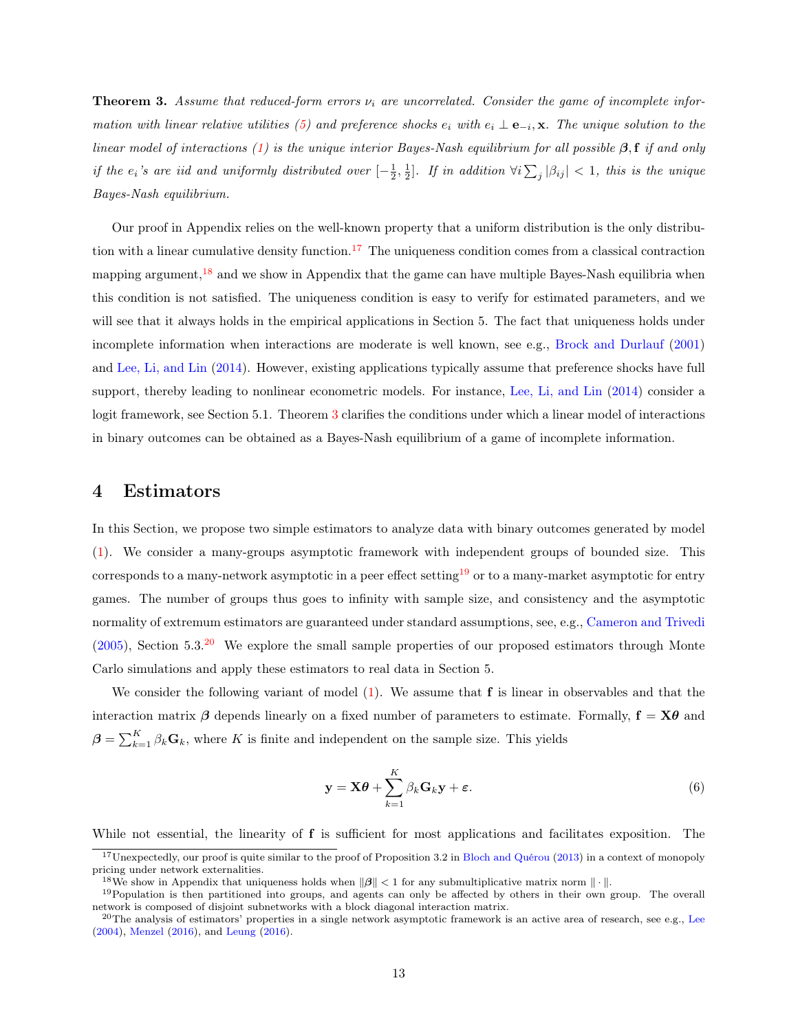<span id="page-14-2"></span>**Theorem 3.** Assume that reduced-form errors  $\nu_i$  are uncorrelated. Consider the game of incomplete infor-mation with linear relative utilities [\(5\)](#page-11-0) and preference shocks  $e_i$  with  $e_i \perp e_{-i}$ , x. The unique solution to the linear model of interactions [\(1\)](#page-7-1) is the unique interior Bayes-Nash equilibrium for all possible  $\beta$ , f if and only if the  $e_i$ 's are iid and uniformly distributed over  $[-\frac{1}{2},\frac{1}{2}]$ . If in addition  $\forall i\sum_j|\beta_{ij}| < 1$ , this is the unique Bayes-Nash equilibrium.

Our proof in Appendix relies on the well-known property that a uniform distribution is the only distribu-tion with a linear cumulative density function.<sup>[17](#page-14-0)</sup> The uniqueness condition comes from a classical contraction mapping argument, $18$  and we show in Appendix that the game can have multiple Bayes-Nash equilibria when this condition is not satisfied. The uniqueness condition is easy to verify for estimated parameters, and we will see that it always holds in the empirical applications in Section 5. The fact that uniqueness holds under incomplete information when interactions are moderate is well known, see e.g., [Brock and Durlauf](#page-29-1) [\(2001\)](#page-29-1) and [Lee, Li, and Lin](#page-31-0) [\(2014\)](#page-31-0). However, existing applications typically assume that preference shocks have full support, thereby leading to nonlinear econometric models. For instance, [Lee, Li, and Lin](#page-31-0) [\(2014\)](#page-31-0) consider a logit framework, see Section 5.1. Theorem [3](#page-14-2) clarifies the conditions under which a linear model of interactions in binary outcomes can be obtained as a Bayes-Nash equilibrium of a game of incomplete information.

#### 4 Estimators

In this Section, we propose two simple estimators to analyze data with binary outcomes generated by model [\(1\)](#page-7-1). We consider a many-groups asymptotic framework with independent groups of bounded size. This corresponds to a many-network asymptotic in a peer effect setting<sup>[19](#page-14-3)</sup> or to a many-market asymptotic for entry games. The number of groups thus goes to infinity with sample size, and consistency and the asymptotic normality of extremum estimators are guaranteed under standard assumptions, see, e.g., [Cameron and Trivedi](#page-29-7)  $(2005)$ , Section 5.3.<sup>[20](#page-14-4)</sup> We explore the small sample properties of our proposed estimators through Monte Carlo simulations and apply these estimators to real data in Section 5.

We consider the following variant of model  $(1)$ . We assume that f is linear in observables and that the interaction matrix  $\beta$  depends linearly on a fixed number of parameters to estimate. Formally,  $\mathbf{f} = \mathbf{X}\boldsymbol{\theta}$  and  $\boldsymbol{\beta} = \sum_{k=1}^{K} \beta_k \mathbf{G}_k$ , where K is finite and independent on the sample size. This yields

<span id="page-14-5"></span>
$$
\mathbf{y} = \mathbf{X}\boldsymbol{\theta} + \sum_{k=1}^{K} \beta_k \mathbf{G}_k \mathbf{y} + \boldsymbol{\varepsilon}.
$$
 (6)

While not essential, the linearity of **f** is sufficient for most applications and facilitates exposition. The

<span id="page-14-0"></span> $17$ Unexpectedly, our proof is quite similar to the proof of Proposition 3.2 in [Bloch and Quérou](#page-28-11) [\(2013\)](#page-28-11) in a context of monopoly pricing under network externalities.

<span id="page-14-3"></span><span id="page-14-1"></span><sup>&</sup>lt;sup>18</sup>We show in Appendix that uniqueness holds when  $\|\beta\| < 1$  for any submultiplicative matrix norm  $\|\cdot\|$ .

<sup>&</sup>lt;sup>19</sup>Population is then partitioned into groups, and agents can only be affected by others in their own group. The overall network is composed of disjoint subnetworks with a block diagonal interaction matrix.

<span id="page-14-4"></span> $^{20}$ The analysis of estimators' properties in a single network asymptotic framework is an active area of research, see e.g., [Lee](#page-31-7) [\(2004\)](#page-31-7), [Menzel](#page-32-7) [\(2016\)](#page-32-7), and [Leung](#page-31-8) [\(2016\)](#page-31-8).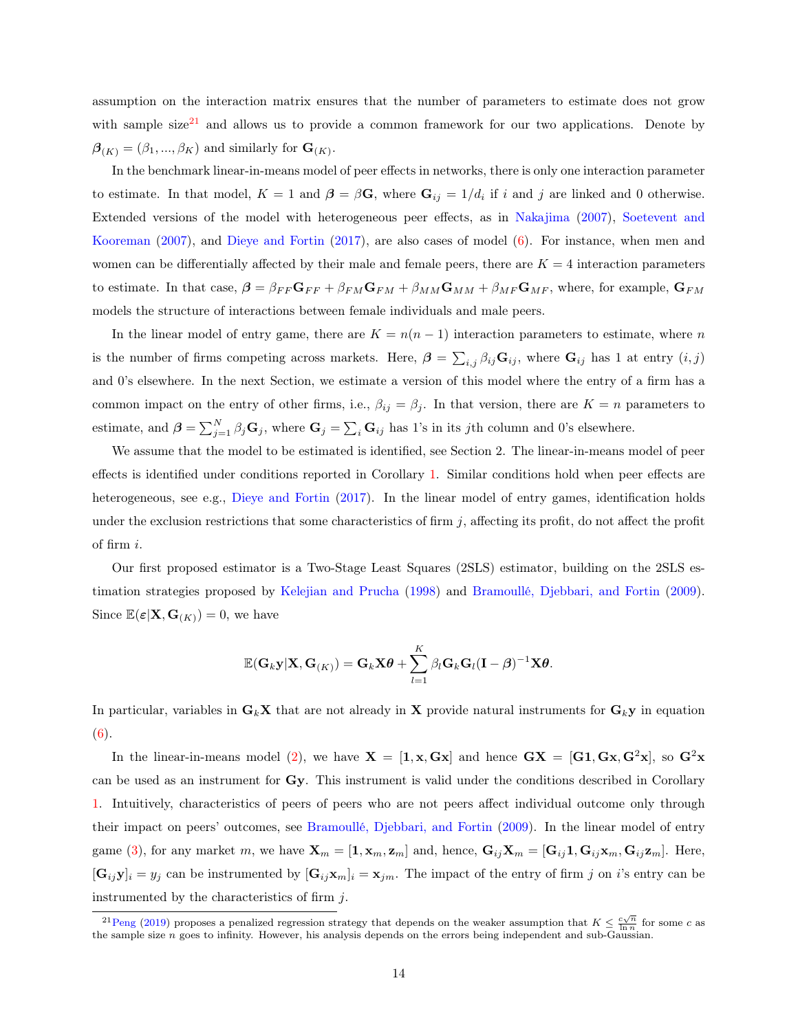assumption on the interaction matrix ensures that the number of parameters to estimate does not grow with sample size<sup>[21](#page-15-0)</sup> and allows us to provide a common framework for our two applications. Denote by  $\boldsymbol{\beta}_{(K)} = (\beta_1, ..., \beta_K)$  and similarly for  $\mathbf{G}_{(K)}$ .

In the benchmark linear-in-means model of peer effects in networks, there is only one interaction parameter to estimate. In that model,  $K = 1$  and  $\boldsymbol{\beta} = \beta \mathbf{G}$ , where  $\mathbf{G}_{ij} = 1/d_i$  if i and j are linked and 0 otherwise. Extended versions of the model with heterogeneous peer effects, as in [Nakajima](#page-32-4) [\(2007\)](#page-32-4), [Soetevent and](#page-32-3) [Kooreman](#page-32-3) [\(2007\)](#page-32-3), and [Dieye and Fortin](#page-30-10) [\(2017\)](#page-30-10), are also cases of model [\(6\)](#page-14-5). For instance, when men and women can be differentially affected by their male and female peers, there are  $K = 4$  interaction parameters to estimate. In that case,  $\beta = \beta_{FF} G_{FF} + \beta_{FM} G_{FM} + \beta_{MM} G_{MM} + \beta_{MF} G_{MF}$ , where, for example,  $G_{FM}$ models the structure of interactions between female individuals and male peers.

In the linear model of entry game, there are  $K = n(n - 1)$  interaction parameters to estimate, where n is the number of firms competing across markets. Here,  $\boldsymbol{\beta} = \sum_{i,j} \beta_{ij} \mathbf{G}_{ij}$ , where  $\mathbf{G}_{ij}$  has 1 at entry  $(i, j)$ and 0's elsewhere. In the next Section, we estimate a version of this model where the entry of a firm has a common impact on the entry of other firms, i.e.,  $\beta_{ij} = \beta_j$ . In that version, there are  $K = n$  parameters to estimate, and  $\boldsymbol{\beta} = \sum_{j=1}^{N} \beta_j \mathbf{G}_j$ , where  $\mathbf{G}_j = \sum_i \mathbf{G}_{ij}$  has 1's in its jth column and 0's elsewhere.

We assume that the model to be estimated is identified, see Section 2. The linear-in-means model of peer effects is identified under conditions reported in Corollary [1.](#page-10-1) Similar conditions hold when peer effects are heterogeneous, see e.g., [Dieye and Fortin](#page-30-10) [\(2017\)](#page-30-10). In the linear model of entry games, identification holds under the exclusion restrictions that some characteristics of firm  $j$ , affecting its profit, do not affect the profit of firm i.

Our first proposed estimator is a Two-Stage Least Squares (2SLS) estimator, building on the 2SLS estimation strategies proposed by [Kelejian and Prucha](#page-30-11) [\(1998\)](#page-30-11) and [Bramoullé, Djebbari, and Fortin](#page-29-2) [\(2009\)](#page-29-2). Since  $\mathbb{E}(\boldsymbol{\varepsilon}|\mathbf{X},\mathbf{G}_{(K)})=0$ , we have

$$
\mathbb{E}(\mathbf{G}_k \mathbf{y} | \mathbf{X}, \mathbf{G}_{(K)}) = \mathbf{G}_k \mathbf{X} \boldsymbol{\theta} + \sum_{l=1}^K \beta_l \mathbf{G}_k \mathbf{G}_l (\mathbf{I} - \boldsymbol{\beta})^{-1} \mathbf{X} \boldsymbol{\theta}.
$$

In particular, variables in  $G_k X$  that are not already in X provide natural instruments for  $G_k y$  in equation  $(6).$  $(6).$ 

In the linear-in-means model [\(2\)](#page-7-3), we have  $X = [1, x, Gx]$  and hence  $GX = [G1, Gx, G^2x]$ , so  $G^2x$ can be used as an instrument for Gy. This instrument is valid under the conditions described in Corollary [1.](#page-10-1) Intuitively, characteristics of peers of peers who are not peers affect individual outcome only through their impact on peers' outcomes, see [Bramoullé, Djebbari, and Fortin](#page-29-2) [\(2009\)](#page-29-2). In the linear model of entry game [\(3\)](#page-8-2), for any market m, we have  $\mathbf{X}_m = [\mathbf{1}, \mathbf{x}_m, \mathbf{z}_m]$  and, hence,  $\mathbf{G}_{ij}\mathbf{X}_m = [\mathbf{G}_{ij}\mathbf{1}, \mathbf{G}_{ij}\mathbf{x}_m, \mathbf{G}_{ij}\mathbf{z}_m]$ . Here,  $[\mathbf{G}_{ij}\mathbf{y}]_i = y_j$  can be instrumented by  $[\mathbf{G}_{ij}\mathbf{x}_m]_i = \mathbf{x}_{jm}$ . The impact of the entry of firm j on i's entry can be instrumented by the characteristics of firm  $i$ .

<span id="page-15-0"></span><sup>&</sup>lt;sup>21</sup>[Peng](#page-32-8) [\(2019\)](#page-32-8) proposes a penalized regression strategy that depends on the weaker assumption that  $K \leq \frac{c\sqrt{n}}{\ln n}$  for some c as the sample size  $n$  goes to infinity. However, his analysis depends on the errors being independent and sub-Gaussian.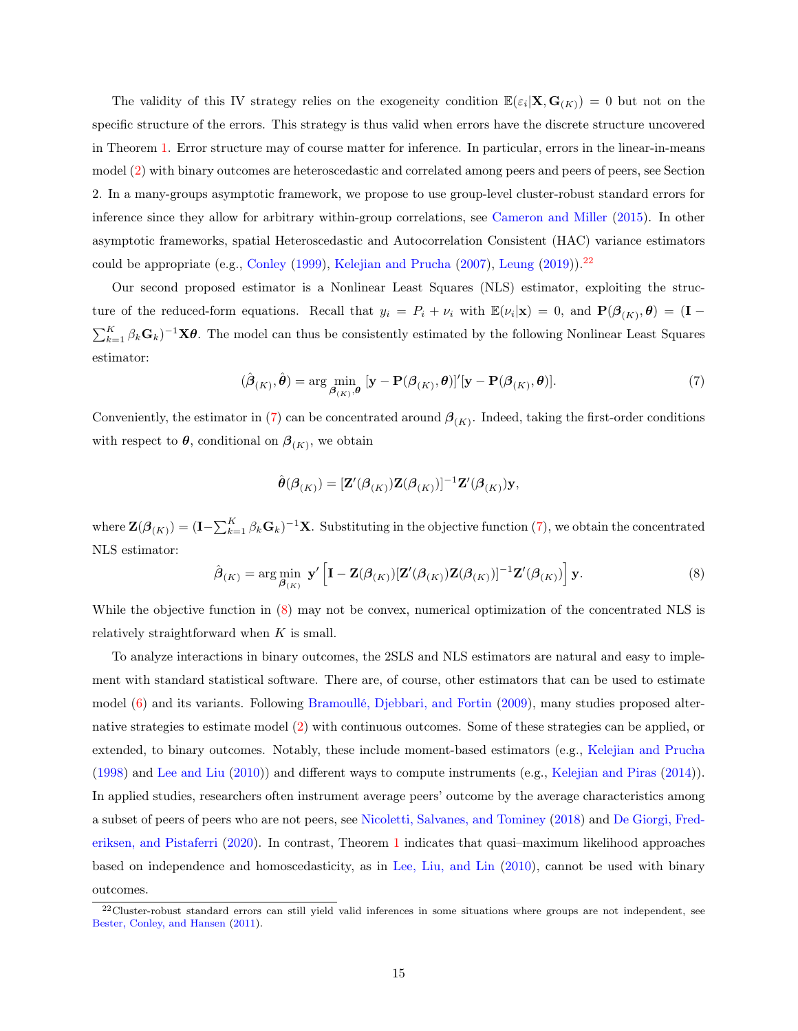The validity of this IV strategy relies on the exogeneity condition  $\mathbb{E}(\varepsilon_i|\mathbf{X},\mathbf{G}_{(K)})=0$  but not on the specific structure of the errors. This strategy is thus valid when errors have the discrete structure uncovered in Theorem [1.](#page-9-0) Error structure may of course matter for inference. In particular, errors in the linear-in-means model [\(2\)](#page-7-3) with binary outcomes are heteroscedastic and correlated among peers and peers of peers, see Section 2. In a many-groups asymptotic framework, we propose to use group-level cluster-robust standard errors for inference since they allow for arbitrary within-group correlations, see [Cameron and Miller](#page-29-8) [\(2015\)](#page-29-8). In other asymptotic frameworks, spatial Heteroscedastic and Autocorrelation Consistent (HAC) variance estimators could be appropriate (e.g., [Conley](#page-29-9) [\(1999\)](#page-29-9), [Kelejian and Prucha](#page-30-12) [\(2007\)](#page-30-12), [Leung](#page-31-9) [\(2019\)](#page-31-9)).<sup>[22](#page-16-0)</sup>

Our second proposed estimator is a Nonlinear Least Squares (NLS) estimator, exploiting the structure of the reduced-form equations. Recall that  $y_i = P_i + \nu_i$  with  $\mathbb{E}(\nu_i|\mathbf{x}) = 0$ , and  $\mathbf{P}(\beta_{(K)}, \boldsymbol{\theta}) = (\mathbf{I} - \mathbf{I})$  $\sum_{k=1}^K \beta_k \mathbf{G}_k$ <sup>-1</sup>X $\theta$ . The model can thus be consistently estimated by the following Nonlinear Least Squares estimator:

<span id="page-16-1"></span>
$$
(\hat{\boldsymbol{\beta}}_{(K)}, \hat{\boldsymbol{\theta}}) = \arg \min_{\boldsymbol{\beta}_{(K)}, \boldsymbol{\theta}} [\mathbf{y} - \mathbf{P}(\boldsymbol{\beta}_{(K)}, \boldsymbol{\theta})]'[\mathbf{y} - \mathbf{P}(\boldsymbol{\beta}_{(K)}, \boldsymbol{\theta})].
$$
\n(7)

Conveniently, the estimator in [\(7\)](#page-16-1) can be concentrated around  $\beta_{(K)}$ . Indeed, taking the first-order conditions with respect to  $\boldsymbol{\theta}$ , conditional on  $\boldsymbol{\beta}_{(K)}$ , we obtain

$$
\hat{\boldsymbol{\theta}}(\boldsymbol{\beta}_{(K)}) = [\mathbf{Z}'(\boldsymbol{\beta}_{(K)})\mathbf{Z}(\boldsymbol{\beta}_{(K)})]^{-1}\mathbf{Z}'(\boldsymbol{\beta}_{(K)})\mathbf{y},
$$

where  $\mathbf{Z}(\boldsymbol{\beta}_{(K)}) = (\mathbf{I} - \sum_{k=1}^{K} \beta_k \mathbf{G}_k)^{-1} \mathbf{X}$ . Substituting in the objective function  $(7)$ , we obtain the concentrated NLS estimator:

<span id="page-16-2"></span>
$$
\hat{\boldsymbol{\beta}}_{(K)} = \arg\min_{\boldsymbol{\beta}_{(K)}} \ \mathbf{y}' \left[ \mathbf{I} - \mathbf{Z}(\boldsymbol{\beta}_{(K)}) [\mathbf{Z}'(\boldsymbol{\beta}_{(K)}) \mathbf{Z}(\boldsymbol{\beta}_{(K)})]^{-1} \mathbf{Z}'(\boldsymbol{\beta}_{(K)}) \right] \mathbf{y}.
$$
\n(8)

While the objective function in [\(8\)](#page-16-2) may not be convex, numerical optimization of the concentrated NLS is relatively straightforward when  $K$  is small.

To analyze interactions in binary outcomes, the 2SLS and NLS estimators are natural and easy to implement with standard statistical software. There are, of course, other estimators that can be used to estimate model [\(6\)](#page-14-5) and its variants. Following [Bramoullé, Djebbari, and Fortin](#page-29-2) [\(2009\)](#page-29-2), many studies proposed alternative strategies to estimate model [\(2\)](#page-7-3) with continuous outcomes. Some of these strategies can be applied, or extended, to binary outcomes. Notably, these include moment-based estimators (e.g., [Kelejian and Prucha](#page-30-11) [\(1998\)](#page-30-11) and [Lee and Liu](#page-31-10) [\(2010\)](#page-31-10)) and different ways to compute instruments (e.g., [Kelejian and Piras](#page-30-13) [\(2014\)](#page-30-13)). In applied studies, researchers often instrument average peers' outcome by the average characteristics among a subset of peers of peers who are not peers, see [Nicoletti, Salvanes, and Tominey](#page-32-9) [\(2018\)](#page-32-9) and [De Giorgi, Fred](#page-29-10)[eriksen, and Pistaferri](#page-29-10) [\(2020\)](#page-29-10). In contrast, Theorem [1](#page-9-0) indicates that quasi–maximum likelihood approaches based on independence and homoscedasticity, as in [Lee, Liu, and Lin](#page-31-11) [\(2010\)](#page-31-11), cannot be used with binary outcomes.

<span id="page-16-0"></span> $22$ Cluster-robust standard errors can still yield valid inferences in some situations where groups are not independent, see [Bester, Conley, and Hansen](#page-28-12) [\(2011\)](#page-28-12).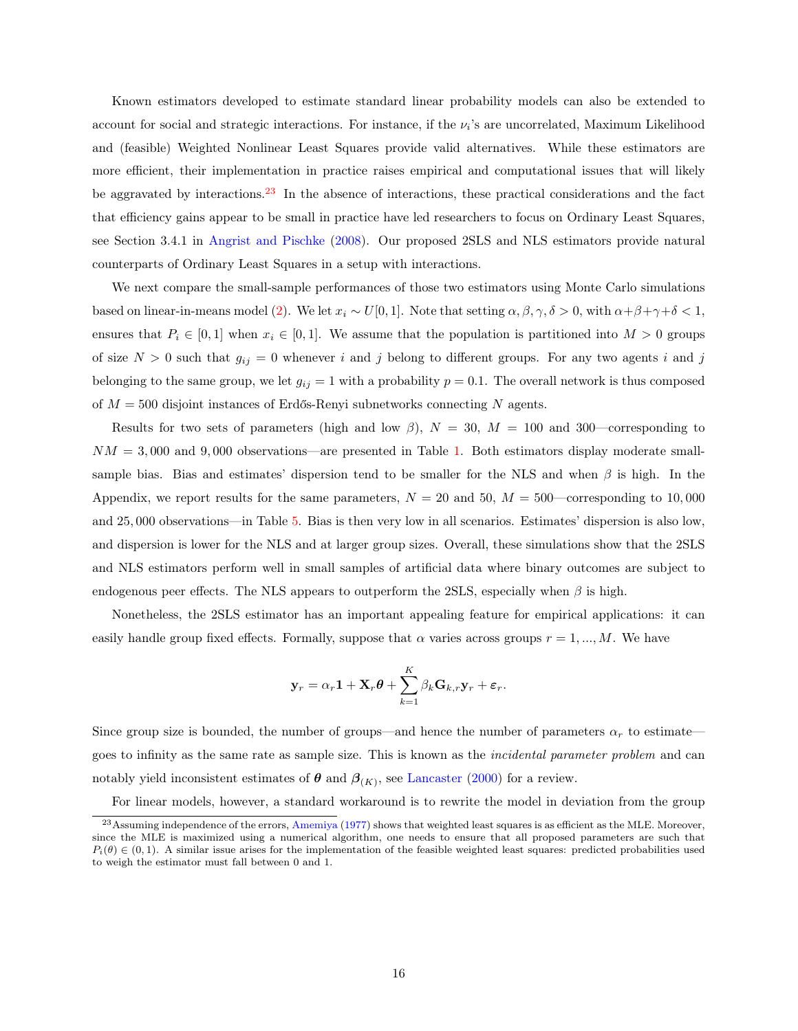Known estimators developed to estimate standard linear probability models can also be extended to account for social and strategic interactions. For instance, if the  $\nu_i$ 's are uncorrelated, Maximum Likelihood and (feasible) Weighted Nonlinear Least Squares provide valid alternatives. While these estimators are more efficient, their implementation in practice raises empirical and computational issues that will likely be aggravated by interactions.<sup>[23](#page-17-0)</sup> In the absence of interactions, these practical considerations and the fact that efficiency gains appear to be small in practice have led researchers to focus on Ordinary Least Squares, see Section 3.4.1 in [Angrist and Pischke](#page-28-9) [\(2008\)](#page-28-9). Our proposed 2SLS and NLS estimators provide natural counterparts of Ordinary Least Squares in a setup with interactions.

We next compare the small-sample performances of those two estimators using Monte Carlo simulations based on linear-in-means model [\(2\)](#page-7-3). We let  $x_i \sim U[0, 1]$ . Note that setting  $\alpha, \beta, \gamma, \delta > 0$ , with  $\alpha + \beta + \gamma + \delta < 1$ , ensures that  $P_i \in [0,1]$  when  $x_i \in [0,1]$ . We assume that the population is partitioned into  $M > 0$  groups of size  $N > 0$  such that  $g_{ij} = 0$  whenever i and j belong to different groups. For any two agents i and j belonging to the same group, we let  $g_{ij} = 1$  with a probability  $p = 0.1$ . The overall network is thus composed of  $M = 500$  disjoint instances of Erdős-Renyi subnetworks connecting N agents.

Results for two sets of parameters (high and low  $\beta$ ),  $N = 30$ ,  $M = 100$  and 300—corresponding to  $NM = 3,000$  and 9,000 observations—are presented in Table [1.](#page-18-0) Both estimators display moderate smallsample bias. Bias and estimates' dispersion tend to be smaller for the NLS and when  $\beta$  is high. In the Appendix, we report results for the same parameters,  $N = 20$  and 50,  $M = 500$ —corresponding to 10,000 and 25, 000 observations—in Table [5.](#page-33-0) Bias is then very low in all scenarios. Estimates' dispersion is also low, and dispersion is lower for the NLS and at larger group sizes. Overall, these simulations show that the 2SLS and NLS estimators perform well in small samples of artificial data where binary outcomes are subject to endogenous peer effects. The NLS appears to outperform the 2SLS, especially when  $\beta$  is high.

Nonetheless, the 2SLS estimator has an important appealing feature for empirical applications: it can easily handle group fixed effects. Formally, suppose that  $\alpha$  varies across groups  $r = 1, ..., M$ . We have

$$
\mathbf{y}_r = \alpha_r \mathbf{1} + \mathbf{X}_r \boldsymbol{\theta} + \sum_{k=1}^K \beta_k \mathbf{G}_{k,r} \mathbf{y}_r + \boldsymbol{\varepsilon}_r.
$$

Since group size is bounded, the number of groups—and hence the number of parameters  $\alpha_r$  to estimate goes to infinity as the same rate as sample size. This is known as the *incidental parameter problem* and can notably yield inconsistent estimates of  $\theta$  and  $\beta_{(K)}$ , see [Lancaster](#page-31-12) [\(2000\)](#page-31-12) for a review.

For linear models, however, a standard workaround is to rewrite the model in deviation from the group

<span id="page-17-0"></span><sup>&</sup>lt;sup>23</sup> Assuming independence of the errors, [Amemiya](#page-28-13) [\(1977\)](#page-28-13) shows that weighted least squares is as efficient as the MLE. Moreover, since the MLE is maximized using a numerical algorithm, one needs to ensure that all proposed parameters are such that  $P_i(\theta) \in (0,1)$ . A similar issue arises for the implementation of the feasible weighted least squares: predicted probabilities used to weigh the estimator must fall between 0 and 1.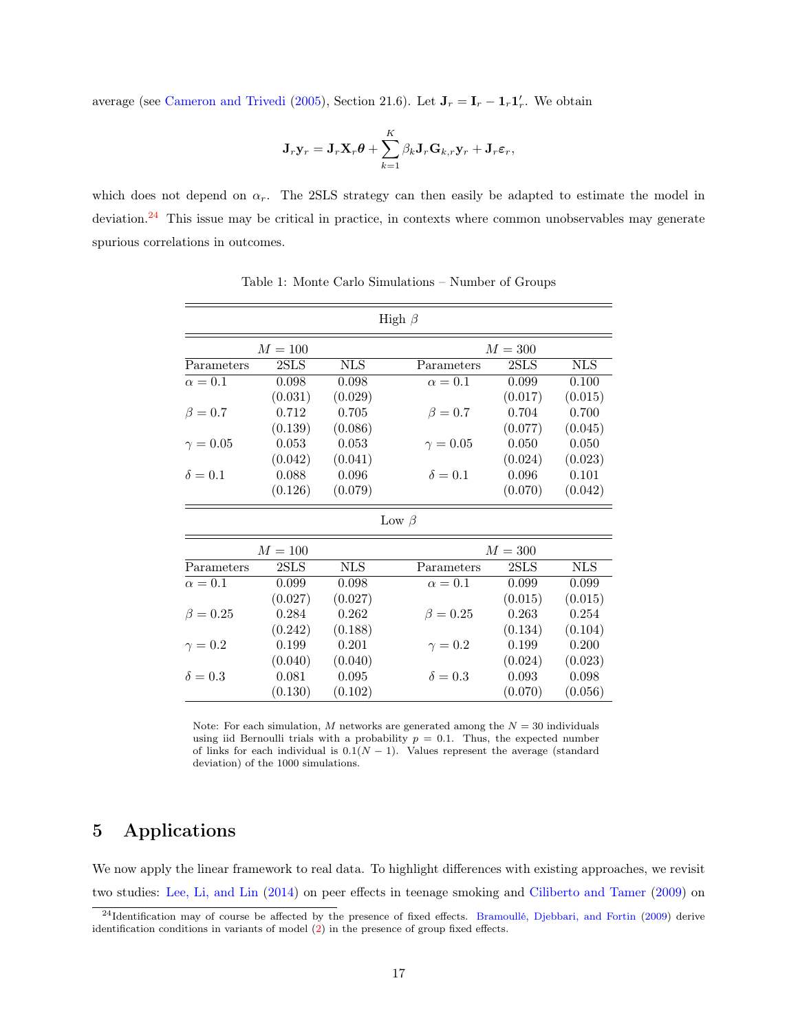average (see [Cameron and Trivedi](#page-29-7) [\(2005\)](#page-29-7), Section 21.6). Let  $J_r = I_r - I_r I'_r$ . We obtain

$$
\mathbf{J}_r \mathbf{y}_r = \mathbf{J}_r \mathbf{X}_r \boldsymbol{\theta} + \sum_{k=1}^K \beta_k \mathbf{J}_r \mathbf{G}_{k,r} \mathbf{y}_r + \mathbf{J}_r \boldsymbol{\varepsilon}_r,
$$

which does not depend on  $\alpha_r$ . The 2SLS strategy can then easily be adapted to estimate the model in deviation.<sup>[24](#page-18-1)</sup> This issue may be critical in practice, in contexts where common unobservables may generate spurious correlations in outcomes.

|                 |              |             | High $\beta$    |           |             |
|-----------------|--------------|-------------|-----------------|-----------|-------------|
|                 | $M=100$      |             |                 | $M=300$   |             |
| Parameters      | 2SLS         | ${\rm NLS}$ | Parameters      | 2SLS      | ${\rm NLS}$ |
| $\alpha=0.1$    | 0.098        | 0.098       | $\alpha=0.1$    | 0.099     | 0.100       |
|                 | (0.031)      | (0.029)     |                 | (0.017)   | (0.015)     |
| $\beta=0.7$     | 0.712        | 0.705       | $\beta = 0.7$   | 0.704     | 0.700       |
|                 | (0.139)      | (0.086)     |                 | (0.077)   | (0.045)     |
| $\gamma = 0.05$ | 0.053        | 0.053       | $\gamma = 0.05$ | 0.050     | 0.050       |
|                 | (0.042)      | (0.041)     |                 | (0.024)   | (0.023)     |
| $\delta = 0.1$  | 0.088        | 0.096       | $\delta = 0.1$  | 0.096     | 0.101       |
|                 | (0.126)      | (0.079)     |                 | (0.070)   | (0.042)     |
|                 |              |             | Low $\beta$     |           |             |
|                 | $M = 100$    |             |                 | $M = 300$ |             |
| Parameters      | $2{\rm SLS}$ | ${\rm NLS}$ | Parameters      | 2SLS      | ${\rm NLS}$ |
| $\alpha=0.1$    | 0.099        | 0.098       | $\alpha=0.1$    | 0.099     | 0.099       |
|                 | (0.027)      | (0.027)     |                 | (0.015)   | (0.015)     |
| $\beta = 0.25$  | 0.284        | 0.262       | $\beta = 0.25$  | 0.263     | 0.254       |
|                 | (0.242)      | (0.188)     |                 | (0.134)   | (0.104)     |
| $\gamma = 0.2$  | 0.199        | 0.201       | $\gamma=0.2$    | 0.199     | 0.200       |
|                 | (0.040)      | (0.040)     |                 | (0.024)   | (0.023)     |
| $\delta = 0.3$  | 0.081        | 0.095       | $\delta = 0.3$  | 0.093     | 0.098       |
|                 | (0.130)      | (0.102)     |                 | (0.070)   | (0.056)     |

<span id="page-18-0"></span>Table 1: Monte Carlo Simulations – Number of Groups

Note: For each simulation, M networks are generated among the  $N = 30$  individuals using iid Bernoulli trials with a probability  $p = 0.1$ . Thus, the expected number of links for each individual is  $0.1(N - 1)$ . Values represent the average (standard deviation) of the 1000 simulations.

## 5 Applications

We now apply the linear framework to real data. To highlight differences with existing approaches, we revisit two studies: [Lee, Li, and Lin](#page-31-0) [\(2014\)](#page-31-0) on peer effects in teenage smoking and [Ciliberto and Tamer](#page-29-0) [\(2009\)](#page-29-0) on

<span id="page-18-1"></span><sup>&</sup>lt;sup>24</sup>Identification may of course be affected by the presence of fixed effects. [Bramoullé, Djebbari, and Fortin](#page-29-2) [\(2009\)](#page-29-2) derive identification conditions in variants of model [\(2\)](#page-7-3) in the presence of group fixed effects.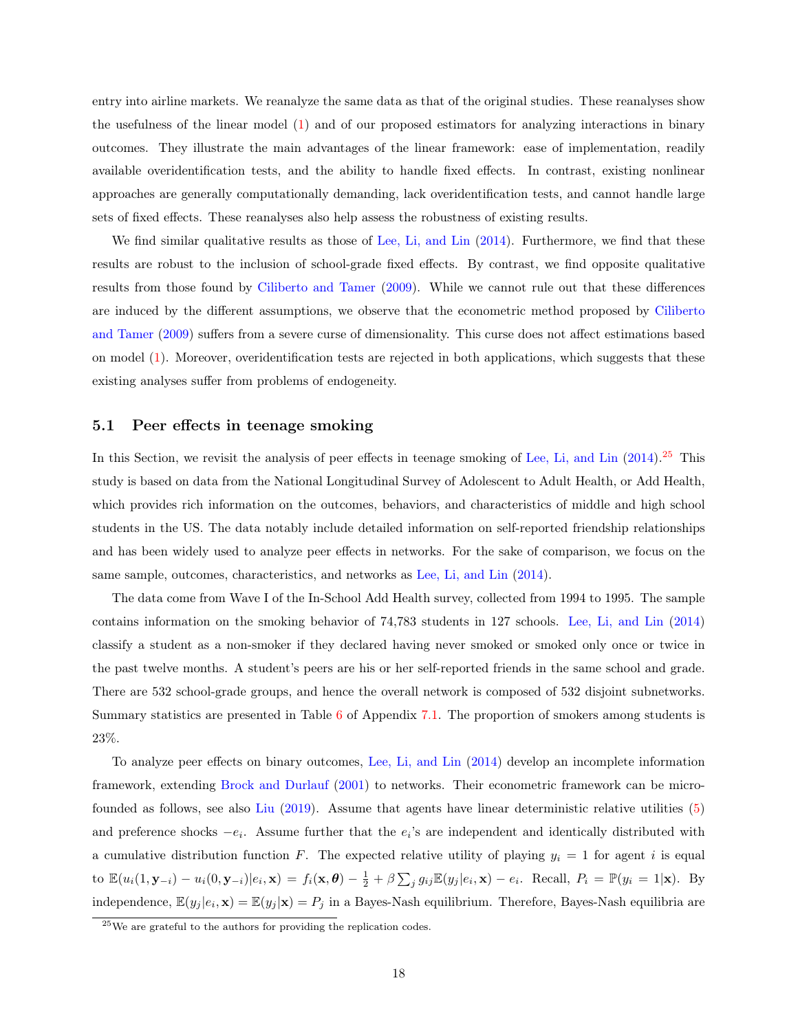entry into airline markets. We reanalyze the same data as that of the original studies. These reanalyses show the usefulness of the linear model [\(1\)](#page-7-1) and of our proposed estimators for analyzing interactions in binary outcomes. They illustrate the main advantages of the linear framework: ease of implementation, readily available overidentification tests, and the ability to handle fixed effects. In contrast, existing nonlinear approaches are generally computationally demanding, lack overidentification tests, and cannot handle large sets of fixed effects. These reanalyses also help assess the robustness of existing results.

We find similar qualitative results as those of [Lee, Li, and Lin](#page-31-0) [\(2014\)](#page-31-0). Furthermore, we find that these results are robust to the inclusion of school-grade fixed effects. By contrast, we find opposite qualitative results from those found by [Ciliberto and Tamer](#page-29-0) [\(2009\)](#page-29-0). While we cannot rule out that these differences are induced by the different assumptions, we observe that the econometric method proposed by [Ciliberto](#page-29-0) [and Tamer](#page-29-0) [\(2009\)](#page-29-0) suffers from a severe curse of dimensionality. This curse does not affect estimations based on model [\(1\)](#page-7-1). Moreover, overidentification tests are rejected in both applications, which suggests that these existing analyses suffer from problems of endogeneity.

#### 5.1 Peer effects in teenage smoking

In this Section, we revisit the analysis of peer effects in teenage smoking of [Lee, Li, and Lin](#page-31-0) [\(2014\)](#page-31-0).<sup>[25](#page-19-0)</sup> This study is based on data from the National Longitudinal Survey of Adolescent to Adult Health, or Add Health, which provides rich information on the outcomes, behaviors, and characteristics of middle and high school students in the US. The data notably include detailed information on self-reported friendship relationships and has been widely used to analyze peer effects in networks. For the sake of comparison, we focus on the same sample, outcomes, characteristics, and networks as [Lee, Li, and Lin](#page-31-0) [\(2014\)](#page-31-0).

The data come from Wave I of the In-School Add Health survey, collected from 1994 to 1995. The sample contains information on the smoking behavior of 74,783 students in 127 schools. [Lee, Li, and Lin](#page-31-0) [\(2014\)](#page-31-0) classify a student as a non-smoker if they declared having never smoked or smoked only once or twice in the past twelve months. A student's peers are his or her self-reported friends in the same school and grade. There are 532 school-grade groups, and hence the overall network is composed of 532 disjoint subnetworks. Summary statistics are presented in Table [6](#page-34-0) of Appendix [7.1.](#page-33-1) The proportion of smokers among students is 23%.

To analyze peer effects on binary outcomes, [Lee, Li, and Lin](#page-31-0) [\(2014\)](#page-31-0) develop an incomplete information framework, extending [Brock and Durlauf](#page-29-1) [\(2001\)](#page-29-1) to networks. Their econometric framework can be microfounded as follows, see also [Liu](#page-31-13) [\(2019\)](#page-31-13). Assume that agents have linear deterministic relative utilities [\(5\)](#page-11-0) and preference shocks  $-e_i$ . Assume further that the  $e_i$ 's are independent and identically distributed with a cumulative distribution function F. The expected relative utility of playing  $y_i = 1$  for agent i is equal to  $\mathbb{E}(u_i(1, \mathbf{y}_{-i}) - u_i(0, \mathbf{y}_{-i})|e_i, \mathbf{x}) = f_i(\mathbf{x}, \boldsymbol{\theta}) - \frac{1}{2} + \beta \sum_j g_{ij} \mathbb{E}(y_j|e_i, \mathbf{x}) - e_i$ . Recall,  $P_i = \mathbb{P}(y_i = 1|\mathbf{x})$ . By independence,  $\mathbb{E}(y_j | e_i, \mathbf{x}) = \mathbb{E}(y_j | \mathbf{x}) = P_j$  in a Bayes-Nash equilibrium. Therefore, Bayes-Nash equilibria are

<span id="page-19-0"></span><sup>25</sup>We are grateful to the authors for providing the replication codes.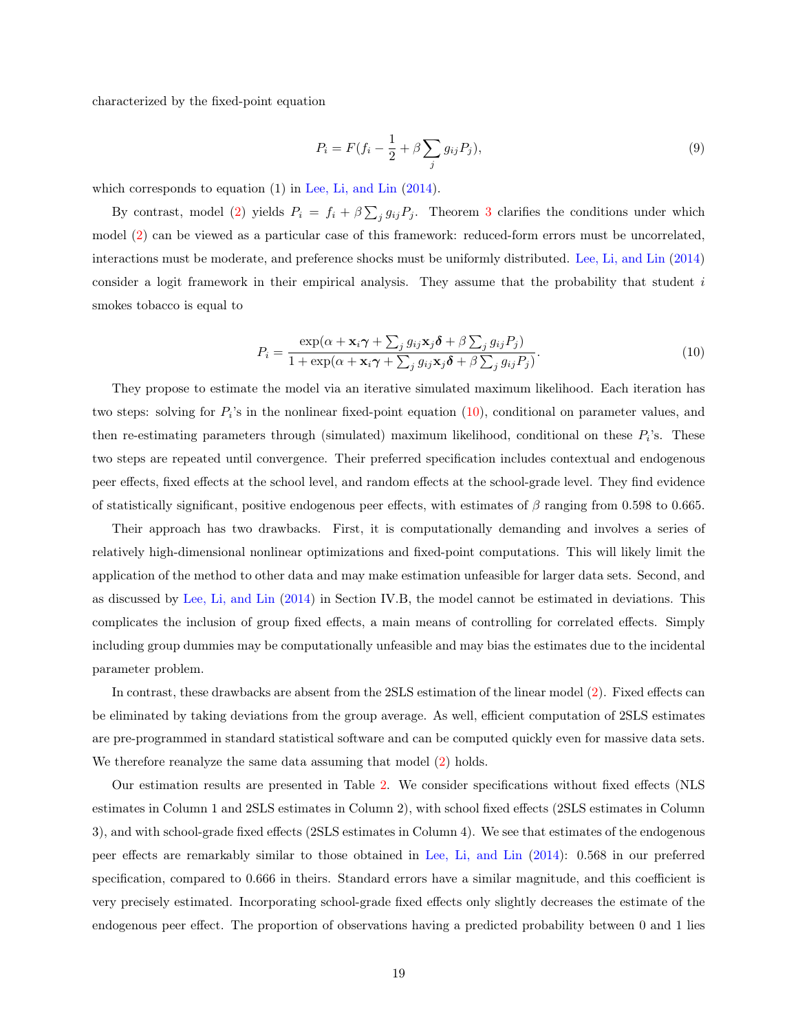characterized by the fixed-point equation

$$
P_i = F(f_i - \frac{1}{2} + \beta \sum_j g_{ij} P_j),\tag{9}
$$

which corresponds to equation (1) in [Lee, Li, and Lin](#page-31-0) [\(2014\)](#page-31-0).

By contrast, model [\(2\)](#page-7-3) yields  $P_i = f_i + \beta \sum_j g_{ij} P_j$ . Theorem [3](#page-14-2) clarifies the conditions under which model [\(2\)](#page-7-3) can be viewed as a particular case of this framework: reduced-form errors must be uncorrelated, interactions must be moderate, and preference shocks must be uniformly distributed. [Lee, Li, and Lin](#page-31-0) [\(2014\)](#page-31-0) consider a logit framework in their empirical analysis. They assume that the probability that student i smokes tobacco is equal to

<span id="page-20-0"></span>
$$
P_i = \frac{\exp(\alpha + \mathbf{x}_i \boldsymbol{\gamma} + \sum_j g_{ij} \mathbf{x}_j \boldsymbol{\delta} + \beta \sum_j g_{ij} P_j)}{1 + \exp(\alpha + \mathbf{x}_i \boldsymbol{\gamma} + \sum_j g_{ij} \mathbf{x}_j \boldsymbol{\delta} + \beta \sum_j g_{ij} P_j)}.
$$
(10)

They propose to estimate the model via an iterative simulated maximum likelihood. Each iteration has two steps: solving for  $P_i$ 's in the nonlinear fixed-point equation  $(10)$ , conditional on parameter values, and then re-estimating parameters through (simulated) maximum likelihood, conditional on these  $P_i$ 's. These two steps are repeated until convergence. Their preferred specification includes contextual and endogenous peer effects, fixed effects at the school level, and random effects at the school-grade level. They find evidence of statistically significant, positive endogenous peer effects, with estimates of  $\beta$  ranging from 0.598 to 0.665.

Their approach has two drawbacks. First, it is computationally demanding and involves a series of relatively high-dimensional nonlinear optimizations and fixed-point computations. This will likely limit the application of the method to other data and may make estimation unfeasible for larger data sets. Second, and as discussed by [Lee, Li, and Lin](#page-31-0) [\(2014\)](#page-31-0) in Section IV.B, the model cannot be estimated in deviations. This complicates the inclusion of group fixed effects, a main means of controlling for correlated effects. Simply including group dummies may be computationally unfeasible and may bias the estimates due to the incidental parameter problem.

In contrast, these drawbacks are absent from the 2SLS estimation of the linear model [\(2\)](#page-7-3). Fixed effects can be eliminated by taking deviations from the group average. As well, efficient computation of 2SLS estimates are pre-programmed in standard statistical software and can be computed quickly even for massive data sets. We therefore reanalyze the same data assuming that model  $(2)$  holds.

Our estimation results are presented in Table [2.](#page-21-0) We consider specifications without fixed effects (NLS estimates in Column 1 and 2SLS estimates in Column 2), with school fixed effects (2SLS estimates in Column 3), and with school-grade fixed effects (2SLS estimates in Column 4). We see that estimates of the endogenous peer effects are remarkably similar to those obtained in [Lee, Li, and Lin](#page-31-0) [\(2014\)](#page-31-0): 0.568 in our preferred specification, compared to 0.666 in theirs. Standard errors have a similar magnitude, and this coefficient is very precisely estimated. Incorporating school-grade fixed effects only slightly decreases the estimate of the endogenous peer effect. The proportion of observations having a predicted probability between 0 and 1 lies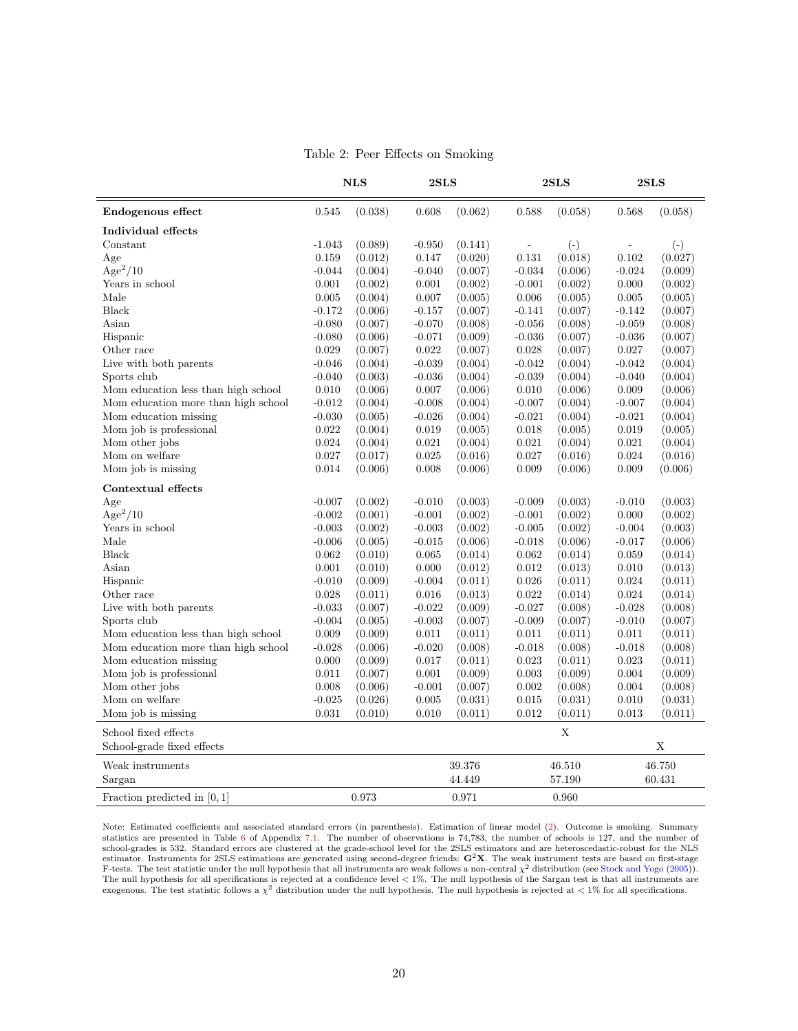<span id="page-21-0"></span>Table 2: Peer Effects on Smoking

| (0.062)<br>(0.058)<br>Endogenous effect<br>0.545<br>(0.038)<br>0.608<br>0.588<br>(0.058)<br>0.568<br>Individual effects<br>Constant<br>$-1.043$<br>(0.089)<br>$-0.950$<br>(0.141)<br>$(-)$<br>$(-)$<br>$\overline{\phantom{a}}$<br>$\overline{a}$<br>0.159<br>(0.012)<br>(0.020)<br>0.131<br>(0.018)<br>0.102<br>(0.027)<br>Age<br>0.147<br>$Age^2/10$<br>$-0.034$<br>(0.009)<br>$-0.044$<br>(0.004)<br>$-0.040$<br>(0.007)<br>(0.006)<br>$-0.024$<br>Years in school<br>0.001<br>(0.002)<br>0.001<br>(0.002)<br>$-0.001$<br>(0.002)<br>0.000<br>(0.002)<br>Male<br>0.005<br>(0.004)<br>0.007<br>(0.005)<br>0.006<br>(0.005)<br>0.005<br>(0.005)<br>Black<br>$-0.172$<br>(0.006)<br>$-0.157$<br>(0.007)<br>$-0.141$<br>(0.007)<br>$-0.142$<br>(0.007)<br>Asian<br>$-0.080$<br>(0.007)<br>$-0.070$<br>(0.008)<br>$-0.056$<br>(0.008)<br>$-0.059$<br>(0.008)<br>Hispanic<br>$-0.080$<br>(0.006)<br>$-0.071$<br>(0.009)<br>$-0.036$<br>$-0.036$<br>(0.007)<br>(0.007)<br>Other race<br>0.029<br>(0.007)<br>0.022<br>(0.007)<br>0.028<br>(0.007)<br>0.027<br>(0.007)<br>Live with both parents<br>$-0.046$<br>(0.004)<br>$-0.039$<br>$-0.042$<br>$-0.042$<br>(0.004)<br>(0.004)<br>(0.004)<br>Sports club<br>$-0.040$<br>(0.003)<br>$-0.036$<br>(0.004)<br>$-0.039$<br>$-0.040$<br>(0.004)<br>(0.004)<br>Mom education less than high school<br>0.010<br>0.009<br>0.010<br>(0.006)<br>0.007<br>(0.006)<br>(0.006)<br>(0.006)<br>Mom education more than high school<br>$-0.012$<br>(0.004)<br>$-0.008$<br>$-0.007$<br>$-0.007$<br>(0.004)<br>(0.004)<br>(0.004)<br>Mom education missing<br>$-0.030$<br>(0.005)<br>$-0.026$<br>$-0.021$<br>$-0.021$<br>(0.004)<br>(0.004)<br>(0.004)<br>Mom job is professional<br>0.022<br>0.019<br>0.018<br>0.019<br>(0.004)<br>(0.005)<br>(0.005)<br>(0.005)<br>Mom other jobs<br>0.024<br>(0.004)<br>0.021<br>(0.004)<br>0.021<br>(0.004)<br>0.021<br>(0.004)<br>$\rm{Mom}$ on welfare<br>0.027<br>(0.017)<br>0.025<br>(0.016)<br>0.027<br>(0.016)<br>0.024<br>(0.016)<br>Mom job is missing<br>0.014<br>(0.006)<br>0.008<br>0.009<br>0.009<br>(0.006)<br>(0.006)<br>(0.006)<br>Contextual effects<br>$-0.007$<br>(0.002)<br>(0.003)<br>$-0.009$<br>$-0.010$<br>Age<br>$-0.010$<br>(0.003)<br>(0.003)<br>$Age^2/10$<br>(0.001)<br>0.000<br>$-0.002$<br>$-0.001$<br>(0.002)<br>$-0.001$<br>(0.002)<br>(0.002)<br>Years in school<br>$-0.003$<br>(0.002)<br>$-0.003$<br>(0.002)<br>$-0.005$<br>(0.002)<br>$-0.004$<br>(0.003)<br>Male<br>$-0.006$<br>(0.005)<br>$-0.015$<br>(0.006)<br>$-0.018$<br>(0.006)<br>$-0.017$<br>(0.006)<br>Black<br>0.062<br>(0.010)<br>0.065<br>(0.014)<br>0.062<br>(0.014)<br>0.059<br>(0.014)<br>Asian<br>0.001<br>(0.010)<br>0.000<br>(0.012)<br>0.012<br>(0.013)<br>0.010<br>(0.013)<br>Hispanic<br>$-0.010$<br>(0.009)<br>$-0.004$<br>(0.011)<br>0.026<br>0.024<br>(0.011)<br>(0.011)<br>Other race<br>0.028<br>(0.011)<br>0.016<br>(0.013)<br>0.022<br>(0.014)<br>0.024<br>(0.014)<br>Live with both parents<br>$-0.033$<br>(0.007)<br>$-0.022$<br>(0.009)<br>$-0.027$<br>(0.008)<br>$-0.028$<br>(0.008)<br>Sports club<br>$-0.004$<br>(0.005)<br>$-0.003$<br>$-0.009$<br>$-0.010$<br>(0.007)<br>(0.007)<br>(0.007)<br>Mom education less than high school<br>0.009<br>(0.009)<br>0.011<br>(0.011)<br>0.011<br>(0.011)<br>0.011<br>(0.011)<br>Mom education more than high school<br>$-0.028$<br>$-0.020$<br>$-0.018$<br>(0.006)<br>(0.008)<br>$-0.018$<br>(0.008)<br>(0.008)<br>Mom education missing<br>0.000<br>(0.009)<br>0.017<br>0.023<br>$\,0.023\,$<br>(0.011)<br>(0.011)<br>(0.011)<br>Mom job is professional<br>0.011<br>(0.007)<br>0.001<br>(0.009)<br>0.003<br>0.004<br>(0.009)<br>(0.009)<br>Mom other jobs<br>0.008<br>(0.006)<br>$-0.001$<br>(0.007)<br>0.002<br>0.004<br>(0.008)<br>(0.008)<br>Mom on welfare<br>$-0.025$<br>0.005<br>0.015<br>0.010<br>(0.026)<br>(0.031)<br>(0.031)<br>(0.031)<br>0.031<br>Mom job is missing<br>(0.010)<br>0.010<br>(0.011)<br>0.012<br>(0.011)<br>0.013<br>(0.011)<br>$\mathbf X$<br>School fixed effects<br>School-grade fixed effects<br>Χ<br>Weak instruments<br>39.376<br>46.750<br>46.510<br>60.431<br>Sargan<br>44.449<br>57.190 |                               | <b>NLS</b><br>2SLS |  | 2SLS  |       | 2SLS |  |
|------------------------------------------------------------------------------------------------------------------------------------------------------------------------------------------------------------------------------------------------------------------------------------------------------------------------------------------------------------------------------------------------------------------------------------------------------------------------------------------------------------------------------------------------------------------------------------------------------------------------------------------------------------------------------------------------------------------------------------------------------------------------------------------------------------------------------------------------------------------------------------------------------------------------------------------------------------------------------------------------------------------------------------------------------------------------------------------------------------------------------------------------------------------------------------------------------------------------------------------------------------------------------------------------------------------------------------------------------------------------------------------------------------------------------------------------------------------------------------------------------------------------------------------------------------------------------------------------------------------------------------------------------------------------------------------------------------------------------------------------------------------------------------------------------------------------------------------------------------------------------------------------------------------------------------------------------------------------------------------------------------------------------------------------------------------------------------------------------------------------------------------------------------------------------------------------------------------------------------------------------------------------------------------------------------------------------------------------------------------------------------------------------------------------------------------------------------------------------------------------------------------------------------------------------------------------------------------------------------------------------------------------------------------------------------------------------------------------------------------------------------------------------------------------------------------------------------------------------------------------------------------------------------------------------------------------------------------------------------------------------------------------------------------------------------------------------------------------------------------------------------------------------------------------------------------------------------------------------------------------------------------------------------------------------------------------------------------------------------------------------------------------------------------------------------------------------------------------------------------------------------------------------------------------------------------------------------------------------------------------------------------------------------------------------------------------------------------------------------------------------------------------------------------------------------------------------------------------------------------------------------------------------------------------------------------------------------------------------------------------------------------------------------------------------------------------------------------------------------------------------------------------------------|-------------------------------|--------------------|--|-------|-------|------|--|
|                                                                                                                                                                                                                                                                                                                                                                                                                                                                                                                                                                                                                                                                                                                                                                                                                                                                                                                                                                                                                                                                                                                                                                                                                                                                                                                                                                                                                                                                                                                                                                                                                                                                                                                                                                                                                                                                                                                                                                                                                                                                                                                                                                                                                                                                                                                                                                                                                                                                                                                                                                                                                                                                                                                                                                                                                                                                                                                                                                                                                                                                                                                                                                                                                                                                                                                                                                                                                                                                                                                                                                                                                                                                                                                                                                                                                                                                                                                                                                                                                                                                                                                                                            |                               |                    |  |       |       |      |  |
|                                                                                                                                                                                                                                                                                                                                                                                                                                                                                                                                                                                                                                                                                                                                                                                                                                                                                                                                                                                                                                                                                                                                                                                                                                                                                                                                                                                                                                                                                                                                                                                                                                                                                                                                                                                                                                                                                                                                                                                                                                                                                                                                                                                                                                                                                                                                                                                                                                                                                                                                                                                                                                                                                                                                                                                                                                                                                                                                                                                                                                                                                                                                                                                                                                                                                                                                                                                                                                                                                                                                                                                                                                                                                                                                                                                                                                                                                                                                                                                                                                                                                                                                                            |                               |                    |  |       |       |      |  |
|                                                                                                                                                                                                                                                                                                                                                                                                                                                                                                                                                                                                                                                                                                                                                                                                                                                                                                                                                                                                                                                                                                                                                                                                                                                                                                                                                                                                                                                                                                                                                                                                                                                                                                                                                                                                                                                                                                                                                                                                                                                                                                                                                                                                                                                                                                                                                                                                                                                                                                                                                                                                                                                                                                                                                                                                                                                                                                                                                                                                                                                                                                                                                                                                                                                                                                                                                                                                                                                                                                                                                                                                                                                                                                                                                                                                                                                                                                                                                                                                                                                                                                                                                            |                               |                    |  |       |       |      |  |
|                                                                                                                                                                                                                                                                                                                                                                                                                                                                                                                                                                                                                                                                                                                                                                                                                                                                                                                                                                                                                                                                                                                                                                                                                                                                                                                                                                                                                                                                                                                                                                                                                                                                                                                                                                                                                                                                                                                                                                                                                                                                                                                                                                                                                                                                                                                                                                                                                                                                                                                                                                                                                                                                                                                                                                                                                                                                                                                                                                                                                                                                                                                                                                                                                                                                                                                                                                                                                                                                                                                                                                                                                                                                                                                                                                                                                                                                                                                                                                                                                                                                                                                                                            |                               |                    |  |       |       |      |  |
|                                                                                                                                                                                                                                                                                                                                                                                                                                                                                                                                                                                                                                                                                                                                                                                                                                                                                                                                                                                                                                                                                                                                                                                                                                                                                                                                                                                                                                                                                                                                                                                                                                                                                                                                                                                                                                                                                                                                                                                                                                                                                                                                                                                                                                                                                                                                                                                                                                                                                                                                                                                                                                                                                                                                                                                                                                                                                                                                                                                                                                                                                                                                                                                                                                                                                                                                                                                                                                                                                                                                                                                                                                                                                                                                                                                                                                                                                                                                                                                                                                                                                                                                                            |                               |                    |  |       |       |      |  |
|                                                                                                                                                                                                                                                                                                                                                                                                                                                                                                                                                                                                                                                                                                                                                                                                                                                                                                                                                                                                                                                                                                                                                                                                                                                                                                                                                                                                                                                                                                                                                                                                                                                                                                                                                                                                                                                                                                                                                                                                                                                                                                                                                                                                                                                                                                                                                                                                                                                                                                                                                                                                                                                                                                                                                                                                                                                                                                                                                                                                                                                                                                                                                                                                                                                                                                                                                                                                                                                                                                                                                                                                                                                                                                                                                                                                                                                                                                                                                                                                                                                                                                                                                            |                               |                    |  |       |       |      |  |
|                                                                                                                                                                                                                                                                                                                                                                                                                                                                                                                                                                                                                                                                                                                                                                                                                                                                                                                                                                                                                                                                                                                                                                                                                                                                                                                                                                                                                                                                                                                                                                                                                                                                                                                                                                                                                                                                                                                                                                                                                                                                                                                                                                                                                                                                                                                                                                                                                                                                                                                                                                                                                                                                                                                                                                                                                                                                                                                                                                                                                                                                                                                                                                                                                                                                                                                                                                                                                                                                                                                                                                                                                                                                                                                                                                                                                                                                                                                                                                                                                                                                                                                                                            |                               |                    |  |       |       |      |  |
|                                                                                                                                                                                                                                                                                                                                                                                                                                                                                                                                                                                                                                                                                                                                                                                                                                                                                                                                                                                                                                                                                                                                                                                                                                                                                                                                                                                                                                                                                                                                                                                                                                                                                                                                                                                                                                                                                                                                                                                                                                                                                                                                                                                                                                                                                                                                                                                                                                                                                                                                                                                                                                                                                                                                                                                                                                                                                                                                                                                                                                                                                                                                                                                                                                                                                                                                                                                                                                                                                                                                                                                                                                                                                                                                                                                                                                                                                                                                                                                                                                                                                                                                                            |                               |                    |  |       |       |      |  |
|                                                                                                                                                                                                                                                                                                                                                                                                                                                                                                                                                                                                                                                                                                                                                                                                                                                                                                                                                                                                                                                                                                                                                                                                                                                                                                                                                                                                                                                                                                                                                                                                                                                                                                                                                                                                                                                                                                                                                                                                                                                                                                                                                                                                                                                                                                                                                                                                                                                                                                                                                                                                                                                                                                                                                                                                                                                                                                                                                                                                                                                                                                                                                                                                                                                                                                                                                                                                                                                                                                                                                                                                                                                                                                                                                                                                                                                                                                                                                                                                                                                                                                                                                            |                               |                    |  |       |       |      |  |
|                                                                                                                                                                                                                                                                                                                                                                                                                                                                                                                                                                                                                                                                                                                                                                                                                                                                                                                                                                                                                                                                                                                                                                                                                                                                                                                                                                                                                                                                                                                                                                                                                                                                                                                                                                                                                                                                                                                                                                                                                                                                                                                                                                                                                                                                                                                                                                                                                                                                                                                                                                                                                                                                                                                                                                                                                                                                                                                                                                                                                                                                                                                                                                                                                                                                                                                                                                                                                                                                                                                                                                                                                                                                                                                                                                                                                                                                                                                                                                                                                                                                                                                                                            |                               |                    |  |       |       |      |  |
|                                                                                                                                                                                                                                                                                                                                                                                                                                                                                                                                                                                                                                                                                                                                                                                                                                                                                                                                                                                                                                                                                                                                                                                                                                                                                                                                                                                                                                                                                                                                                                                                                                                                                                                                                                                                                                                                                                                                                                                                                                                                                                                                                                                                                                                                                                                                                                                                                                                                                                                                                                                                                                                                                                                                                                                                                                                                                                                                                                                                                                                                                                                                                                                                                                                                                                                                                                                                                                                                                                                                                                                                                                                                                                                                                                                                                                                                                                                                                                                                                                                                                                                                                            |                               |                    |  |       |       |      |  |
|                                                                                                                                                                                                                                                                                                                                                                                                                                                                                                                                                                                                                                                                                                                                                                                                                                                                                                                                                                                                                                                                                                                                                                                                                                                                                                                                                                                                                                                                                                                                                                                                                                                                                                                                                                                                                                                                                                                                                                                                                                                                                                                                                                                                                                                                                                                                                                                                                                                                                                                                                                                                                                                                                                                                                                                                                                                                                                                                                                                                                                                                                                                                                                                                                                                                                                                                                                                                                                                                                                                                                                                                                                                                                                                                                                                                                                                                                                                                                                                                                                                                                                                                                            |                               |                    |  |       |       |      |  |
|                                                                                                                                                                                                                                                                                                                                                                                                                                                                                                                                                                                                                                                                                                                                                                                                                                                                                                                                                                                                                                                                                                                                                                                                                                                                                                                                                                                                                                                                                                                                                                                                                                                                                                                                                                                                                                                                                                                                                                                                                                                                                                                                                                                                                                                                                                                                                                                                                                                                                                                                                                                                                                                                                                                                                                                                                                                                                                                                                                                                                                                                                                                                                                                                                                                                                                                                                                                                                                                                                                                                                                                                                                                                                                                                                                                                                                                                                                                                                                                                                                                                                                                                                            |                               |                    |  |       |       |      |  |
|                                                                                                                                                                                                                                                                                                                                                                                                                                                                                                                                                                                                                                                                                                                                                                                                                                                                                                                                                                                                                                                                                                                                                                                                                                                                                                                                                                                                                                                                                                                                                                                                                                                                                                                                                                                                                                                                                                                                                                                                                                                                                                                                                                                                                                                                                                                                                                                                                                                                                                                                                                                                                                                                                                                                                                                                                                                                                                                                                                                                                                                                                                                                                                                                                                                                                                                                                                                                                                                                                                                                                                                                                                                                                                                                                                                                                                                                                                                                                                                                                                                                                                                                                            |                               |                    |  |       |       |      |  |
|                                                                                                                                                                                                                                                                                                                                                                                                                                                                                                                                                                                                                                                                                                                                                                                                                                                                                                                                                                                                                                                                                                                                                                                                                                                                                                                                                                                                                                                                                                                                                                                                                                                                                                                                                                                                                                                                                                                                                                                                                                                                                                                                                                                                                                                                                                                                                                                                                                                                                                                                                                                                                                                                                                                                                                                                                                                                                                                                                                                                                                                                                                                                                                                                                                                                                                                                                                                                                                                                                                                                                                                                                                                                                                                                                                                                                                                                                                                                                                                                                                                                                                                                                            |                               |                    |  |       |       |      |  |
|                                                                                                                                                                                                                                                                                                                                                                                                                                                                                                                                                                                                                                                                                                                                                                                                                                                                                                                                                                                                                                                                                                                                                                                                                                                                                                                                                                                                                                                                                                                                                                                                                                                                                                                                                                                                                                                                                                                                                                                                                                                                                                                                                                                                                                                                                                                                                                                                                                                                                                                                                                                                                                                                                                                                                                                                                                                                                                                                                                                                                                                                                                                                                                                                                                                                                                                                                                                                                                                                                                                                                                                                                                                                                                                                                                                                                                                                                                                                                                                                                                                                                                                                                            |                               |                    |  |       |       |      |  |
|                                                                                                                                                                                                                                                                                                                                                                                                                                                                                                                                                                                                                                                                                                                                                                                                                                                                                                                                                                                                                                                                                                                                                                                                                                                                                                                                                                                                                                                                                                                                                                                                                                                                                                                                                                                                                                                                                                                                                                                                                                                                                                                                                                                                                                                                                                                                                                                                                                                                                                                                                                                                                                                                                                                                                                                                                                                                                                                                                                                                                                                                                                                                                                                                                                                                                                                                                                                                                                                                                                                                                                                                                                                                                                                                                                                                                                                                                                                                                                                                                                                                                                                                                            |                               |                    |  |       |       |      |  |
|                                                                                                                                                                                                                                                                                                                                                                                                                                                                                                                                                                                                                                                                                                                                                                                                                                                                                                                                                                                                                                                                                                                                                                                                                                                                                                                                                                                                                                                                                                                                                                                                                                                                                                                                                                                                                                                                                                                                                                                                                                                                                                                                                                                                                                                                                                                                                                                                                                                                                                                                                                                                                                                                                                                                                                                                                                                                                                                                                                                                                                                                                                                                                                                                                                                                                                                                                                                                                                                                                                                                                                                                                                                                                                                                                                                                                                                                                                                                                                                                                                                                                                                                                            |                               |                    |  |       |       |      |  |
|                                                                                                                                                                                                                                                                                                                                                                                                                                                                                                                                                                                                                                                                                                                                                                                                                                                                                                                                                                                                                                                                                                                                                                                                                                                                                                                                                                                                                                                                                                                                                                                                                                                                                                                                                                                                                                                                                                                                                                                                                                                                                                                                                                                                                                                                                                                                                                                                                                                                                                                                                                                                                                                                                                                                                                                                                                                                                                                                                                                                                                                                                                                                                                                                                                                                                                                                                                                                                                                                                                                                                                                                                                                                                                                                                                                                                                                                                                                                                                                                                                                                                                                                                            |                               |                    |  |       |       |      |  |
|                                                                                                                                                                                                                                                                                                                                                                                                                                                                                                                                                                                                                                                                                                                                                                                                                                                                                                                                                                                                                                                                                                                                                                                                                                                                                                                                                                                                                                                                                                                                                                                                                                                                                                                                                                                                                                                                                                                                                                                                                                                                                                                                                                                                                                                                                                                                                                                                                                                                                                                                                                                                                                                                                                                                                                                                                                                                                                                                                                                                                                                                                                                                                                                                                                                                                                                                                                                                                                                                                                                                                                                                                                                                                                                                                                                                                                                                                                                                                                                                                                                                                                                                                            |                               |                    |  |       |       |      |  |
|                                                                                                                                                                                                                                                                                                                                                                                                                                                                                                                                                                                                                                                                                                                                                                                                                                                                                                                                                                                                                                                                                                                                                                                                                                                                                                                                                                                                                                                                                                                                                                                                                                                                                                                                                                                                                                                                                                                                                                                                                                                                                                                                                                                                                                                                                                                                                                                                                                                                                                                                                                                                                                                                                                                                                                                                                                                                                                                                                                                                                                                                                                                                                                                                                                                                                                                                                                                                                                                                                                                                                                                                                                                                                                                                                                                                                                                                                                                                                                                                                                                                                                                                                            |                               |                    |  |       |       |      |  |
|                                                                                                                                                                                                                                                                                                                                                                                                                                                                                                                                                                                                                                                                                                                                                                                                                                                                                                                                                                                                                                                                                                                                                                                                                                                                                                                                                                                                                                                                                                                                                                                                                                                                                                                                                                                                                                                                                                                                                                                                                                                                                                                                                                                                                                                                                                                                                                                                                                                                                                                                                                                                                                                                                                                                                                                                                                                                                                                                                                                                                                                                                                                                                                                                                                                                                                                                                                                                                                                                                                                                                                                                                                                                                                                                                                                                                                                                                                                                                                                                                                                                                                                                                            |                               |                    |  |       |       |      |  |
|                                                                                                                                                                                                                                                                                                                                                                                                                                                                                                                                                                                                                                                                                                                                                                                                                                                                                                                                                                                                                                                                                                                                                                                                                                                                                                                                                                                                                                                                                                                                                                                                                                                                                                                                                                                                                                                                                                                                                                                                                                                                                                                                                                                                                                                                                                                                                                                                                                                                                                                                                                                                                                                                                                                                                                                                                                                                                                                                                                                                                                                                                                                                                                                                                                                                                                                                                                                                                                                                                                                                                                                                                                                                                                                                                                                                                                                                                                                                                                                                                                                                                                                                                            |                               |                    |  |       |       |      |  |
|                                                                                                                                                                                                                                                                                                                                                                                                                                                                                                                                                                                                                                                                                                                                                                                                                                                                                                                                                                                                                                                                                                                                                                                                                                                                                                                                                                                                                                                                                                                                                                                                                                                                                                                                                                                                                                                                                                                                                                                                                                                                                                                                                                                                                                                                                                                                                                                                                                                                                                                                                                                                                                                                                                                                                                                                                                                                                                                                                                                                                                                                                                                                                                                                                                                                                                                                                                                                                                                                                                                                                                                                                                                                                                                                                                                                                                                                                                                                                                                                                                                                                                                                                            |                               |                    |  |       |       |      |  |
|                                                                                                                                                                                                                                                                                                                                                                                                                                                                                                                                                                                                                                                                                                                                                                                                                                                                                                                                                                                                                                                                                                                                                                                                                                                                                                                                                                                                                                                                                                                                                                                                                                                                                                                                                                                                                                                                                                                                                                                                                                                                                                                                                                                                                                                                                                                                                                                                                                                                                                                                                                                                                                                                                                                                                                                                                                                                                                                                                                                                                                                                                                                                                                                                                                                                                                                                                                                                                                                                                                                                                                                                                                                                                                                                                                                                                                                                                                                                                                                                                                                                                                                                                            |                               |                    |  |       |       |      |  |
|                                                                                                                                                                                                                                                                                                                                                                                                                                                                                                                                                                                                                                                                                                                                                                                                                                                                                                                                                                                                                                                                                                                                                                                                                                                                                                                                                                                                                                                                                                                                                                                                                                                                                                                                                                                                                                                                                                                                                                                                                                                                                                                                                                                                                                                                                                                                                                                                                                                                                                                                                                                                                                                                                                                                                                                                                                                                                                                                                                                                                                                                                                                                                                                                                                                                                                                                                                                                                                                                                                                                                                                                                                                                                                                                                                                                                                                                                                                                                                                                                                                                                                                                                            |                               |                    |  |       |       |      |  |
|                                                                                                                                                                                                                                                                                                                                                                                                                                                                                                                                                                                                                                                                                                                                                                                                                                                                                                                                                                                                                                                                                                                                                                                                                                                                                                                                                                                                                                                                                                                                                                                                                                                                                                                                                                                                                                                                                                                                                                                                                                                                                                                                                                                                                                                                                                                                                                                                                                                                                                                                                                                                                                                                                                                                                                                                                                                                                                                                                                                                                                                                                                                                                                                                                                                                                                                                                                                                                                                                                                                                                                                                                                                                                                                                                                                                                                                                                                                                                                                                                                                                                                                                                            |                               |                    |  |       |       |      |  |
|                                                                                                                                                                                                                                                                                                                                                                                                                                                                                                                                                                                                                                                                                                                                                                                                                                                                                                                                                                                                                                                                                                                                                                                                                                                                                                                                                                                                                                                                                                                                                                                                                                                                                                                                                                                                                                                                                                                                                                                                                                                                                                                                                                                                                                                                                                                                                                                                                                                                                                                                                                                                                                                                                                                                                                                                                                                                                                                                                                                                                                                                                                                                                                                                                                                                                                                                                                                                                                                                                                                                                                                                                                                                                                                                                                                                                                                                                                                                                                                                                                                                                                                                                            |                               |                    |  |       |       |      |  |
|                                                                                                                                                                                                                                                                                                                                                                                                                                                                                                                                                                                                                                                                                                                                                                                                                                                                                                                                                                                                                                                                                                                                                                                                                                                                                                                                                                                                                                                                                                                                                                                                                                                                                                                                                                                                                                                                                                                                                                                                                                                                                                                                                                                                                                                                                                                                                                                                                                                                                                                                                                                                                                                                                                                                                                                                                                                                                                                                                                                                                                                                                                                                                                                                                                                                                                                                                                                                                                                                                                                                                                                                                                                                                                                                                                                                                                                                                                                                                                                                                                                                                                                                                            |                               |                    |  |       |       |      |  |
|                                                                                                                                                                                                                                                                                                                                                                                                                                                                                                                                                                                                                                                                                                                                                                                                                                                                                                                                                                                                                                                                                                                                                                                                                                                                                                                                                                                                                                                                                                                                                                                                                                                                                                                                                                                                                                                                                                                                                                                                                                                                                                                                                                                                                                                                                                                                                                                                                                                                                                                                                                                                                                                                                                                                                                                                                                                                                                                                                                                                                                                                                                                                                                                                                                                                                                                                                                                                                                                                                                                                                                                                                                                                                                                                                                                                                                                                                                                                                                                                                                                                                                                                                            |                               |                    |  |       |       |      |  |
|                                                                                                                                                                                                                                                                                                                                                                                                                                                                                                                                                                                                                                                                                                                                                                                                                                                                                                                                                                                                                                                                                                                                                                                                                                                                                                                                                                                                                                                                                                                                                                                                                                                                                                                                                                                                                                                                                                                                                                                                                                                                                                                                                                                                                                                                                                                                                                                                                                                                                                                                                                                                                                                                                                                                                                                                                                                                                                                                                                                                                                                                                                                                                                                                                                                                                                                                                                                                                                                                                                                                                                                                                                                                                                                                                                                                                                                                                                                                                                                                                                                                                                                                                            |                               |                    |  |       |       |      |  |
|                                                                                                                                                                                                                                                                                                                                                                                                                                                                                                                                                                                                                                                                                                                                                                                                                                                                                                                                                                                                                                                                                                                                                                                                                                                                                                                                                                                                                                                                                                                                                                                                                                                                                                                                                                                                                                                                                                                                                                                                                                                                                                                                                                                                                                                                                                                                                                                                                                                                                                                                                                                                                                                                                                                                                                                                                                                                                                                                                                                                                                                                                                                                                                                                                                                                                                                                                                                                                                                                                                                                                                                                                                                                                                                                                                                                                                                                                                                                                                                                                                                                                                                                                            |                               |                    |  |       |       |      |  |
|                                                                                                                                                                                                                                                                                                                                                                                                                                                                                                                                                                                                                                                                                                                                                                                                                                                                                                                                                                                                                                                                                                                                                                                                                                                                                                                                                                                                                                                                                                                                                                                                                                                                                                                                                                                                                                                                                                                                                                                                                                                                                                                                                                                                                                                                                                                                                                                                                                                                                                                                                                                                                                                                                                                                                                                                                                                                                                                                                                                                                                                                                                                                                                                                                                                                                                                                                                                                                                                                                                                                                                                                                                                                                                                                                                                                                                                                                                                                                                                                                                                                                                                                                            |                               |                    |  |       |       |      |  |
|                                                                                                                                                                                                                                                                                                                                                                                                                                                                                                                                                                                                                                                                                                                                                                                                                                                                                                                                                                                                                                                                                                                                                                                                                                                                                                                                                                                                                                                                                                                                                                                                                                                                                                                                                                                                                                                                                                                                                                                                                                                                                                                                                                                                                                                                                                                                                                                                                                                                                                                                                                                                                                                                                                                                                                                                                                                                                                                                                                                                                                                                                                                                                                                                                                                                                                                                                                                                                                                                                                                                                                                                                                                                                                                                                                                                                                                                                                                                                                                                                                                                                                                                                            |                               |                    |  |       |       |      |  |
|                                                                                                                                                                                                                                                                                                                                                                                                                                                                                                                                                                                                                                                                                                                                                                                                                                                                                                                                                                                                                                                                                                                                                                                                                                                                                                                                                                                                                                                                                                                                                                                                                                                                                                                                                                                                                                                                                                                                                                                                                                                                                                                                                                                                                                                                                                                                                                                                                                                                                                                                                                                                                                                                                                                                                                                                                                                                                                                                                                                                                                                                                                                                                                                                                                                                                                                                                                                                                                                                                                                                                                                                                                                                                                                                                                                                                                                                                                                                                                                                                                                                                                                                                            |                               |                    |  |       |       |      |  |
|                                                                                                                                                                                                                                                                                                                                                                                                                                                                                                                                                                                                                                                                                                                                                                                                                                                                                                                                                                                                                                                                                                                                                                                                                                                                                                                                                                                                                                                                                                                                                                                                                                                                                                                                                                                                                                                                                                                                                                                                                                                                                                                                                                                                                                                                                                                                                                                                                                                                                                                                                                                                                                                                                                                                                                                                                                                                                                                                                                                                                                                                                                                                                                                                                                                                                                                                                                                                                                                                                                                                                                                                                                                                                                                                                                                                                                                                                                                                                                                                                                                                                                                                                            |                               |                    |  |       |       |      |  |
|                                                                                                                                                                                                                                                                                                                                                                                                                                                                                                                                                                                                                                                                                                                                                                                                                                                                                                                                                                                                                                                                                                                                                                                                                                                                                                                                                                                                                                                                                                                                                                                                                                                                                                                                                                                                                                                                                                                                                                                                                                                                                                                                                                                                                                                                                                                                                                                                                                                                                                                                                                                                                                                                                                                                                                                                                                                                                                                                                                                                                                                                                                                                                                                                                                                                                                                                                                                                                                                                                                                                                                                                                                                                                                                                                                                                                                                                                                                                                                                                                                                                                                                                                            |                               |                    |  |       |       |      |  |
|                                                                                                                                                                                                                                                                                                                                                                                                                                                                                                                                                                                                                                                                                                                                                                                                                                                                                                                                                                                                                                                                                                                                                                                                                                                                                                                                                                                                                                                                                                                                                                                                                                                                                                                                                                                                                                                                                                                                                                                                                                                                                                                                                                                                                                                                                                                                                                                                                                                                                                                                                                                                                                                                                                                                                                                                                                                                                                                                                                                                                                                                                                                                                                                                                                                                                                                                                                                                                                                                                                                                                                                                                                                                                                                                                                                                                                                                                                                                                                                                                                                                                                                                                            |                               |                    |  |       |       |      |  |
|                                                                                                                                                                                                                                                                                                                                                                                                                                                                                                                                                                                                                                                                                                                                                                                                                                                                                                                                                                                                                                                                                                                                                                                                                                                                                                                                                                                                                                                                                                                                                                                                                                                                                                                                                                                                                                                                                                                                                                                                                                                                                                                                                                                                                                                                                                                                                                                                                                                                                                                                                                                                                                                                                                                                                                                                                                                                                                                                                                                                                                                                                                                                                                                                                                                                                                                                                                                                                                                                                                                                                                                                                                                                                                                                                                                                                                                                                                                                                                                                                                                                                                                                                            |                               |                    |  |       |       |      |  |
|                                                                                                                                                                                                                                                                                                                                                                                                                                                                                                                                                                                                                                                                                                                                                                                                                                                                                                                                                                                                                                                                                                                                                                                                                                                                                                                                                                                                                                                                                                                                                                                                                                                                                                                                                                                                                                                                                                                                                                                                                                                                                                                                                                                                                                                                                                                                                                                                                                                                                                                                                                                                                                                                                                                                                                                                                                                                                                                                                                                                                                                                                                                                                                                                                                                                                                                                                                                                                                                                                                                                                                                                                                                                                                                                                                                                                                                                                                                                                                                                                                                                                                                                                            |                               |                    |  |       |       |      |  |
|                                                                                                                                                                                                                                                                                                                                                                                                                                                                                                                                                                                                                                                                                                                                                                                                                                                                                                                                                                                                                                                                                                                                                                                                                                                                                                                                                                                                                                                                                                                                                                                                                                                                                                                                                                                                                                                                                                                                                                                                                                                                                                                                                                                                                                                                                                                                                                                                                                                                                                                                                                                                                                                                                                                                                                                                                                                                                                                                                                                                                                                                                                                                                                                                                                                                                                                                                                                                                                                                                                                                                                                                                                                                                                                                                                                                                                                                                                                                                                                                                                                                                                                                                            |                               |                    |  |       |       |      |  |
|                                                                                                                                                                                                                                                                                                                                                                                                                                                                                                                                                                                                                                                                                                                                                                                                                                                                                                                                                                                                                                                                                                                                                                                                                                                                                                                                                                                                                                                                                                                                                                                                                                                                                                                                                                                                                                                                                                                                                                                                                                                                                                                                                                                                                                                                                                                                                                                                                                                                                                                                                                                                                                                                                                                                                                                                                                                                                                                                                                                                                                                                                                                                                                                                                                                                                                                                                                                                                                                                                                                                                                                                                                                                                                                                                                                                                                                                                                                                                                                                                                                                                                                                                            |                               |                    |  |       |       |      |  |
|                                                                                                                                                                                                                                                                                                                                                                                                                                                                                                                                                                                                                                                                                                                                                                                                                                                                                                                                                                                                                                                                                                                                                                                                                                                                                                                                                                                                                                                                                                                                                                                                                                                                                                                                                                                                                                                                                                                                                                                                                                                                                                                                                                                                                                                                                                                                                                                                                                                                                                                                                                                                                                                                                                                                                                                                                                                                                                                                                                                                                                                                                                                                                                                                                                                                                                                                                                                                                                                                                                                                                                                                                                                                                                                                                                                                                                                                                                                                                                                                                                                                                                                                                            | Fraction predicted in $[0,1]$ | 0.973              |  | 0.971 | 0.960 |      |  |

Note: Estimated coefficients and associated standard errors (in parenthesis). Estimation of linear model [\(2\)](#page-7-3). Outcome is smoking. Summary statistics are presented in Table [6](#page-34-0) of Appendix [7.1.](#page-33-1) The number of observations is 74,783, the number of schools is 127, and the number of school-grades is 532. Standard errors are clustered at the grade-school level for the 2SLS estimators and are heteroscedastic-robust for the NLS<br>estimator. Instruments for 2SLS estimations are generated using second-degre F-tests. The test statistic under the null hypothesis that all instruments are weak follows a non-central  $\chi^2$  distribution (see [Stock and Yogo](#page-32-10) [\(2005\)](#page-32-10)). The null hypothesis for all specifications is rejected at a confidence level < 1%. The null hypothesis of the Sargan test is that all instruments are exogenous. The test statistic follows a  $\chi^2$  distribution under the null hypothesis. The null hypothesis is rejected at  $\lt 1\%$  for all specifications.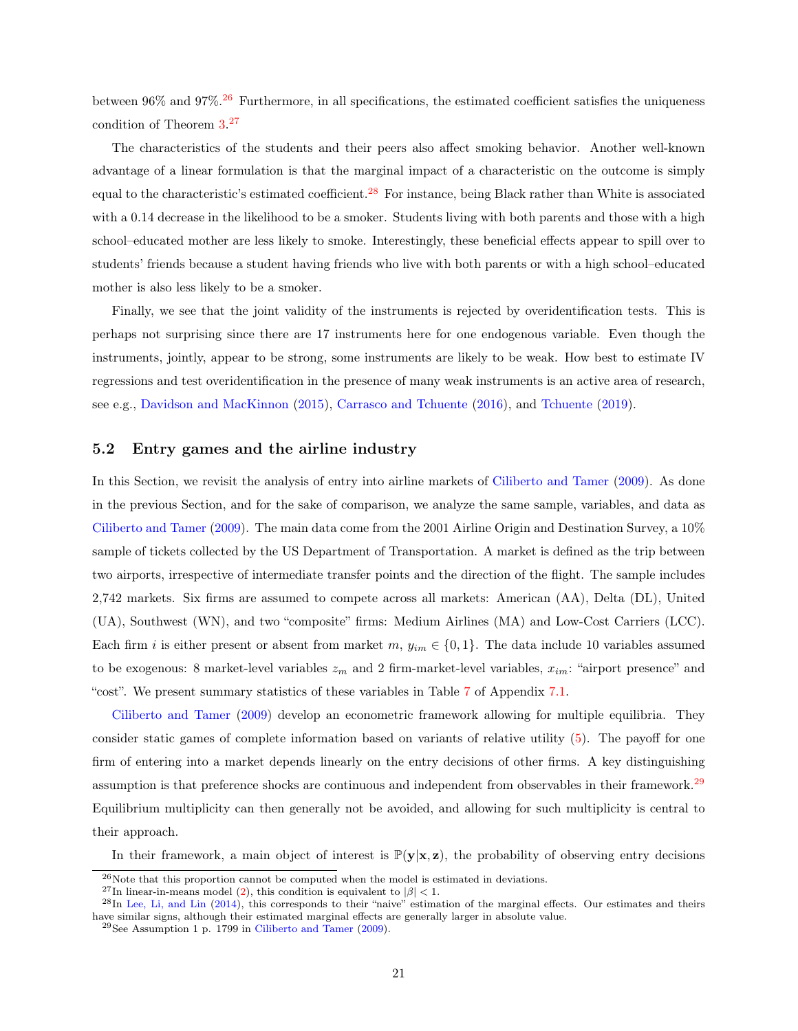between  $96\%$  and  $97\%$ .<sup>[26](#page-22-0)</sup> Furthermore, in all specifications, the estimated coefficient satisfies the uniqueness condition of Theorem [3.](#page-14-2) [27](#page-22-1)

The characteristics of the students and their peers also affect smoking behavior. Another well-known advantage of a linear formulation is that the marginal impact of a characteristic on the outcome is simply equal to the characteristic's estimated coefficient.<sup>[28](#page-22-2)</sup> For instance, being Black rather than White is associated with a 0.14 decrease in the likelihood to be a smoker. Students living with both parents and those with a high school–educated mother are less likely to smoke. Interestingly, these beneficial effects appear to spill over to students' friends because a student having friends who live with both parents or with a high school–educated mother is also less likely to be a smoker.

Finally, we see that the joint validity of the instruments is rejected by overidentification tests. This is perhaps not surprising since there are 17 instruments here for one endogenous variable. Even though the instruments, jointly, appear to be strong, some instruments are likely to be weak. How best to estimate IV regressions and test overidentification in the presence of many weak instruments is an active area of research, see e.g., [Davidson and MacKinnon](#page-29-11) [\(2015\)](#page-29-11), [Carrasco and Tchuente](#page-29-12) [\(2016\)](#page-29-12), and [Tchuente](#page-32-11) [\(2019\)](#page-32-11).

#### 5.2 Entry games and the airline industry

In this Section, we revisit the analysis of entry into airline markets of [Ciliberto and Tamer](#page-29-0) [\(2009\)](#page-29-0). As done in the previous Section, and for the sake of comparison, we analyze the same sample, variables, and data as [Ciliberto and Tamer](#page-29-0) [\(2009\)](#page-29-0). The main data come from the 2001 Airline Origin and Destination Survey, a 10% sample of tickets collected by the US Department of Transportation. A market is defined as the trip between two airports, irrespective of intermediate transfer points and the direction of the flight. The sample includes 2,742 markets. Six firms are assumed to compete across all markets: American (AA), Delta (DL), United (UA), Southwest (WN), and two "composite" firms: Medium Airlines (MA) and Low-Cost Carriers (LCC). Each firm i is either present or absent from market  $m, y_{im} \in \{0, 1\}$ . The data include 10 variables assumed to be exogenous: 8 market-level variables  $z_m$  and 2 firm-market-level variables,  $x_{im}$ : "airport presence" and "cost". We present summary statistics of these variables in Table [7](#page-35-0) of Appendix [7.1.](#page-33-1)

[Ciliberto and Tamer](#page-29-0) [\(2009\)](#page-29-0) develop an econometric framework allowing for multiple equilibria. They consider static games of complete information based on variants of relative utility [\(5\)](#page-11-0). The payoff for one firm of entering into a market depends linearly on the entry decisions of other firms. A key distinguishing assumption is that preference shocks are continuous and independent from observables in their framework.[29](#page-22-3) Equilibrium multiplicity can then generally not be avoided, and allowing for such multiplicity is central to their approach.

In their framework, a main object of interest is  $\mathbb{P}(\mathbf{y}|\mathbf{x}, \mathbf{z})$ , the probability of observing entry decisions

<span id="page-22-0"></span> $^{26}\rm{Note}$  that this proportion cannot be computed when the model is estimated in deviations.

<span id="page-22-2"></span><span id="page-22-1"></span><sup>&</sup>lt;sup>27</sup>In linear-in-means model [\(2\)](#page-7-3), this condition is equivalent to  $|\beta|$  < 1.

 $^{28}$ In [Lee, Li, and Lin](#page-31-0) [\(2014\)](#page-31-0), this corresponds to their "naive" estimation of the marginal effects. Our estimates and theirs have similar signs, although their estimated marginal effects are generally larger in absolute value.

<span id="page-22-3"></span> $29$ See Assumption 1 p. 1799 in [Ciliberto and Tamer](#page-29-0) [\(2009\)](#page-29-0).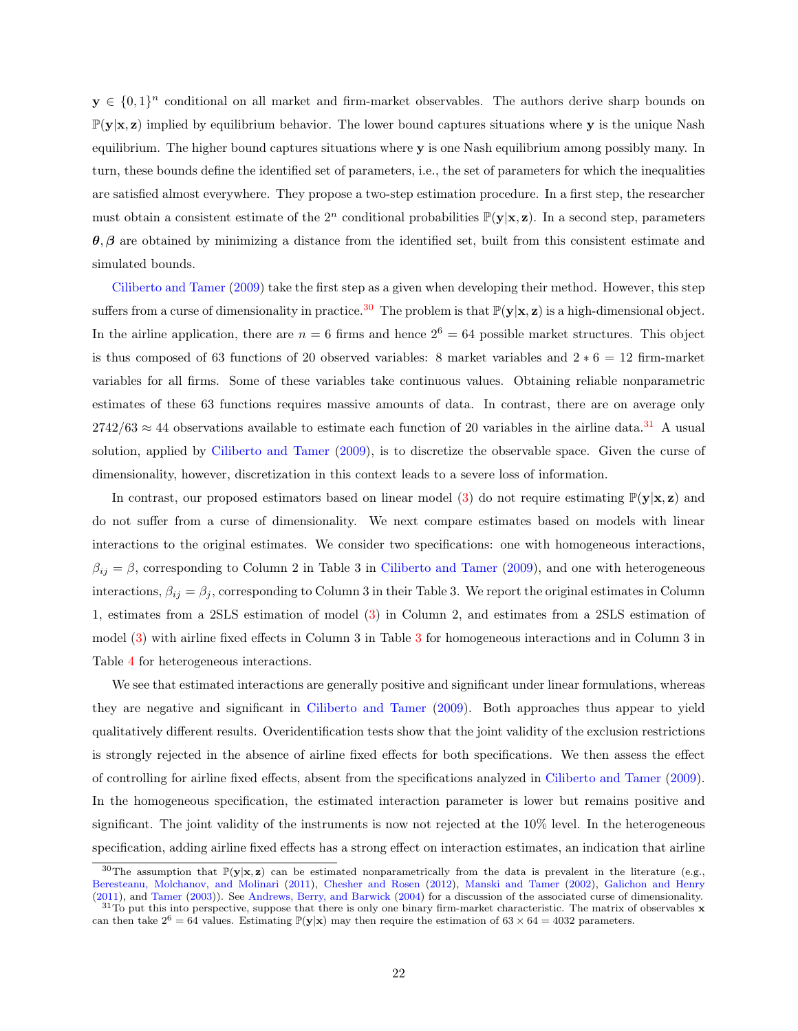$y \in \{0,1\}^n$  conditional on all market and firm-market observables. The authors derive sharp bounds on  $\mathbb{P}(\mathbf{y}|\mathbf{x}, \mathbf{z})$  implied by equilibrium behavior. The lower bound captures situations where y is the unique Nash equilibrium. The higher bound captures situations where y is one Nash equilibrium among possibly many. In turn, these bounds define the identified set of parameters, i.e., the set of parameters for which the inequalities are satisfied almost everywhere. They propose a two-step estimation procedure. In a first step, the researcher must obtain a consistent estimate of the  $2^n$  conditional probabilities  $\mathbb{P}(\mathbf{y}|\mathbf{x},\mathbf{z})$ . In a second step, parameters  $\theta$ ,  $\beta$  are obtained by minimizing a distance from the identified set, built from this consistent estimate and simulated bounds.

[Ciliberto and Tamer](#page-29-0) [\(2009\)](#page-29-0) take the first step as a given when developing their method. However, this step suffers from a curse of dimensionality in practice.<sup>[30](#page-23-0)</sup> The problem is that  $\mathbb{P}(\mathbf{y}|\mathbf{x}, \mathbf{z})$  is a high-dimensional object. In the airline application, there are  $n = 6$  firms and hence  $2^6 = 64$  possible market structures. This object is thus composed of 63 functions of 20 observed variables: 8 market variables and  $2 * 6 = 12$  firm-market variables for all firms. Some of these variables take continuous values. Obtaining reliable nonparametric estimates of these 63 functions requires massive amounts of data. In contrast, there are on average only  $2742/63 \approx 44$  observations available to estimate each function of 20 variables in the airline data.<sup>[31](#page-23-1)</sup> A usual solution, applied by [Ciliberto and Tamer](#page-29-0) [\(2009\)](#page-29-0), is to discretize the observable space. Given the curse of dimensionality, however, discretization in this context leads to a severe loss of information.

In contrast, our proposed estimators based on linear model [\(3\)](#page-8-2) do not require estimating  $\mathbb{P}(\mathbf{y}|\mathbf{x}, \mathbf{z})$  and do not suffer from a curse of dimensionality. We next compare estimates based on models with linear interactions to the original estimates. We consider two specifications: one with homogeneous interactions,  $\beta_{ij} = \beta$ , corresponding to Column 2 in Table 3 in [Ciliberto and Tamer](#page-29-0) [\(2009\)](#page-29-0), and one with heterogeneous interactions,  $\beta_{ij} = \beta_j$ , corresponding to Column 3 in their Table 3. We report the original estimates in Column 1, estimates from a 2SLS estimation of model [\(3\)](#page-8-2) in Column 2, and estimates from a 2SLS estimation of model [\(3\)](#page-8-2) with airline fixed effects in Column 3 in Table [3](#page-24-0) for homogeneous interactions and in Column 3 in Table [4](#page-25-0) for heterogeneous interactions.

We see that estimated interactions are generally positive and significant under linear formulations, whereas they are negative and significant in [Ciliberto and Tamer](#page-29-0) [\(2009\)](#page-29-0). Both approaches thus appear to yield qualitatively different results. Overidentification tests show that the joint validity of the exclusion restrictions is strongly rejected in the absence of airline fixed effects for both specifications. We then assess the effect of controlling for airline fixed effects, absent from the specifications analyzed in [Ciliberto and Tamer](#page-29-0) [\(2009\)](#page-29-0). In the homogeneous specification, the estimated interaction parameter is lower but remains positive and significant. The joint validity of the instruments is now not rejected at the 10% level. In the heterogeneous specification, adding airline fixed effects has a strong effect on interaction estimates, an indication that airline

<span id="page-23-0"></span><sup>&</sup>lt;sup>30</sup>The assumption that  $\mathbb{P}(\mathbf{y}|\mathbf{x}, \mathbf{z})$  can be estimated nonparametrically from the data is prevalent in the literature (e.g., [Beresteanu, Molchanov, and Molinari](#page-28-14) [\(2011\)](#page-28-14), [Chesher and Rosen](#page-29-13) [\(2012\)](#page-29-13), [Manski and Tamer](#page-31-14) [\(2002\)](#page-31-14), [Galichon and Henry](#page-30-14) [\(2011\)](#page-30-14), and [Tamer](#page-32-0) [\(2003\)](#page-32-0)). See [Andrews, Berry, and Barwick](#page-28-2) [\(2004\)](#page-28-2) for a discussion of the associated curse of dimensionality.

<span id="page-23-1"></span> $31T_0$  put this into perspective, suppose that there is only one binary firm-market characteristic. The matrix of observables x can then take  $2^6 = 64$  values. Estimating  $\mathbb{P}(\mathbf{y}|\mathbf{x})$  may then require the estimation of  $63 \times 64 = 4032$  parameters.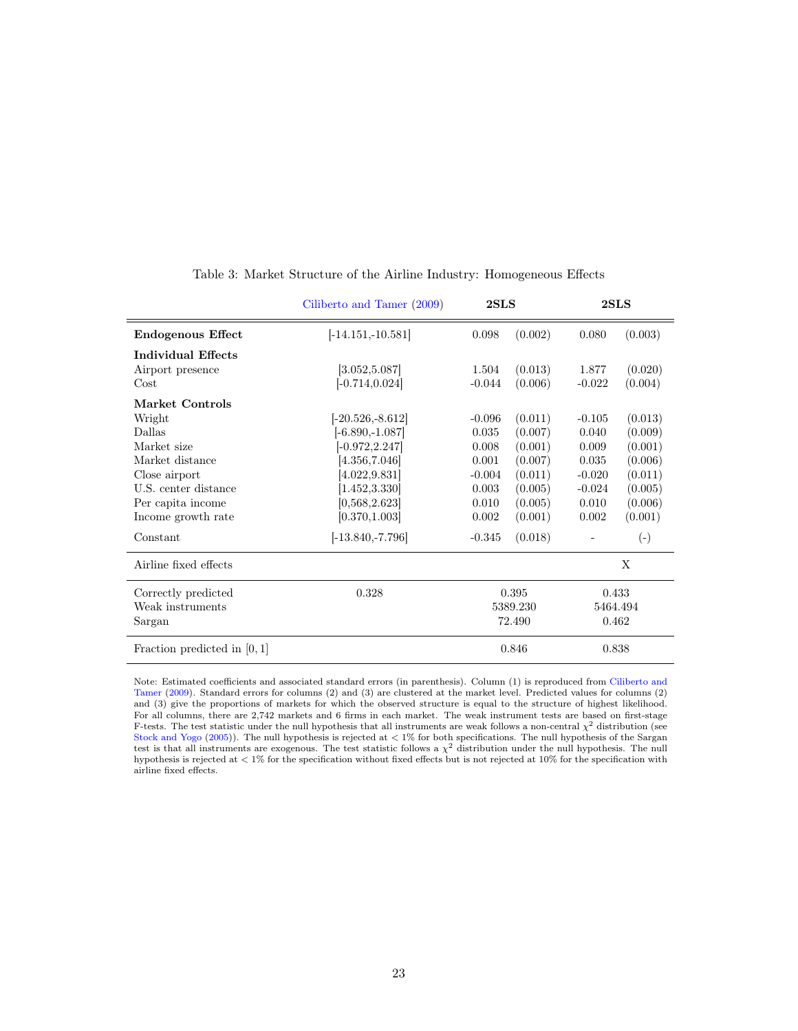|                                | Ciliberto and Tamer (2009) | $2{\rm SLS}$        | 2SLS                |  |  |
|--------------------------------|----------------------------|---------------------|---------------------|--|--|
| <b>Endogenous Effect</b>       | $[-14.151,-10.581]$        | (0.002)<br>0.098    | (0.003)<br>0.080    |  |  |
| Individual Effects             |                            |                     |                     |  |  |
| Airport presence               | [3.052, 5.087]             | (0.013)<br>1.504    | (0.020)<br>1.877    |  |  |
| Cost                           | $[-0.714, 0.024]$          | $-0.044$<br>(0.006) | (0.004)<br>$-0.022$ |  |  |
| Market Controls                |                            |                     |                     |  |  |
| Wright                         | $[-20.526,-8.612]$         | (0.011)<br>$-0.096$ | (0.013)<br>$-0.105$ |  |  |
| Dallas                         | $[-6.890,-1.087]$          | (0.007)<br>0.035    | (0.009)<br>0.040    |  |  |
| Market size                    | $[-0.972, 2.247]$          | (0.001)<br>0.008    | (0.001)<br>0.009    |  |  |
| Market distance                | [4.356, 7.046]             | 0.001<br>(0.007)    | 0.035<br>(0.006)    |  |  |
| Close airport                  | [4.022, 9.831]             | (0.011)<br>$-0.004$ | (0.011)<br>$-0.020$ |  |  |
| U.S. center distance           | [1.452, 3.330]             | 0.003<br>(0.005)    | (0.005)<br>$-0.024$ |  |  |
| Per capita income              | [0,568,2.623]              | 0.010<br>(0.005)    | (0.006)<br>0.010    |  |  |
| Income growth rate             | [0.370, 1.003]             | (0.001)<br>0.002    | (0.001)<br>0.002    |  |  |
| Constant                       | $[-13.840, -7.796]$        | (0.018)<br>$-0.345$ | $\left( -\right)$   |  |  |
| Airline fixed effects          |                            |                     | X                   |  |  |
| Correctly predicted            | 0.328                      | 0.395               | 0.433               |  |  |
| Weak instruments               |                            | 5389.230            | 5464.494            |  |  |
| Sargan                         |                            | 72.490              | 0.462               |  |  |
| Fraction predicted in $[0, 1]$ |                            | 0.846               | 0.838               |  |  |

#### <span id="page-24-0"></span>Table 3: Market Structure of the Airline Industry: Homogeneous Effects

Note: Estimated coefficients and associated standard errors (in parenthesis). Column (1) is reproduced from [Ciliberto and](#page-29-0) [Tamer](#page-29-0) [\(2009\)](#page-29-0). Standard errors for columns (2) and (3) are clustered at the market level. Predicted values for columns (2) and (3) give the proportions of markets for which the observed structure is equal to the structure of highest likelihood. For all columns, there are 2,742 markets and 6 firms in each market. The weak instrument tests are based on first-stage F-tests. The test statistic under the null hypothesis that all instruments are weak follows a non-central  $\chi^2$  distribution (see [Stock and Yogo](#page-32-10) [\(2005\)](#page-32-10)). The null hypothesis is rejected at < 1% for both specifications. The null hypothesis of the Sargan test is that all instruments are exogenous. The test statistic follows a  $\chi^2$  distribution under the null hypothesis. The null hypothesis is rejected at < 1% for the specification without fixed effects but is not rejected at 10% for the specification with airline fixed effects.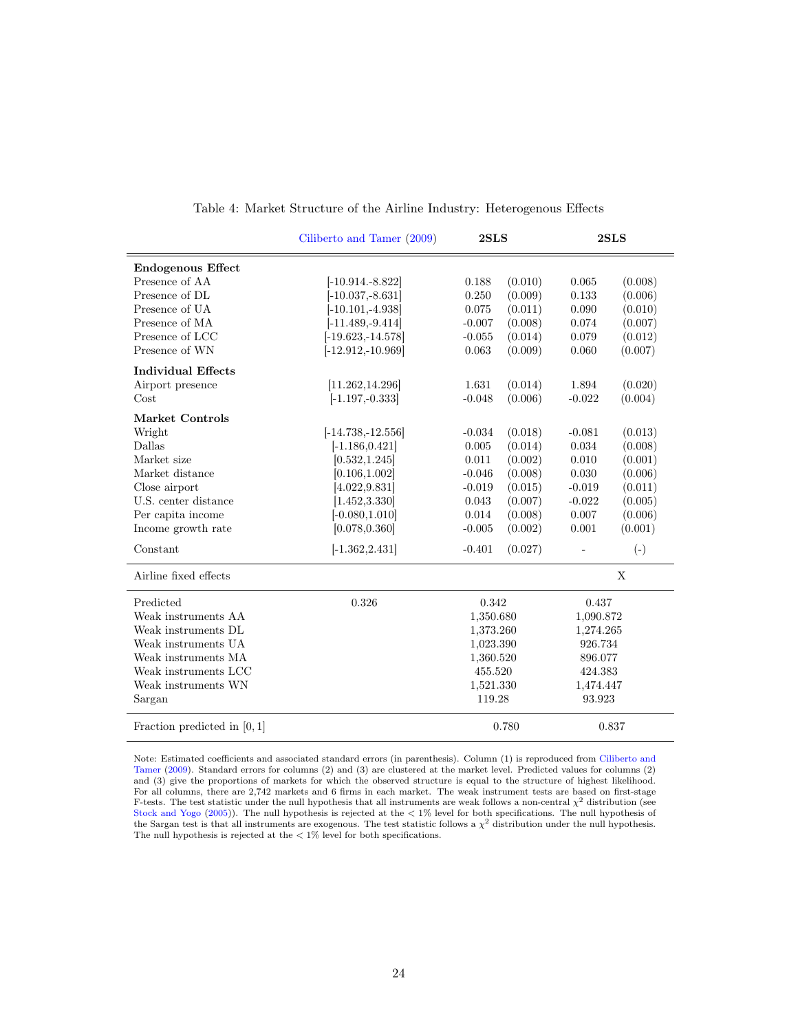|                                | Ciliberto and Tamer (2009) |                     | 2SLS                |  |
|--------------------------------|----------------------------|---------------------|---------------------|--|
| <b>Endogenous Effect</b>       |                            |                     |                     |  |
| Presence of AA                 | $[-10.914.-8.822]$         | (0.010)<br>0.188    | (0.008)<br>0.065    |  |
| Presence of DL                 | $[-10.037, -8.631]$        | (0.009)<br>0.250    | (0.006)<br>0.133    |  |
| Presence of UA                 | $[-10.101, -4.938]$        | 0.075<br>(0.011)    | 0.090<br>(0.010)    |  |
| Presence of MA                 | $[-11.489, -9.414]$        | (0.008)<br>$-0.007$ | (0.007)<br>0.074    |  |
| Presence of LCC                | $[-19.623, -14.578]$       | (0.014)<br>$-0.055$ | (0.012)<br>0.079    |  |
| Presence of WN                 | $[-12.912,-10.969]$        | (0.009)<br>0.063    | (0.007)<br>0.060    |  |
| <b>Individual Effects</b>      |                            |                     |                     |  |
| Airport presence               | [11.262, 14.296]           | (0.014)<br>1.631    | (0.020)<br>1.894    |  |
| Cost                           | $[-1.197, -0.333]$         | $-0.048$<br>(0.006) | (0.004)<br>$-0.022$ |  |
| Market Controls                |                            |                     |                     |  |
| Wright                         | $[-14.738,-12.556]$        | (0.018)<br>$-0.034$ | $-0.081$<br>(0.013) |  |
| Dallas                         | $[-1.186, 0.421]$          | (0.014)<br>0.005    | (0.008)<br>0.034    |  |
| Market size                    | [0.532, 1.245]             | (0.002)<br>0.011    | 0.010<br>(0.001)    |  |
| Market distance                | [0.106, 1.002]             | (0.008)<br>$-0.046$ | 0.030<br>(0.006)    |  |
| Close airport                  | [4.022, 9.831]             | (0.015)<br>$-0.019$ | (0.011)<br>$-0.019$ |  |
| U.S. center distance           | [1.452, 3.330]             | 0.043<br>(0.007)    | (0.005)<br>$-0.022$ |  |
| Per capita income              | $[-0.080, 1.010]$          | 0.014<br>(0.008)    | (0.006)<br>0.007    |  |
| Income growth rate             | [0.078, 0.360]             | (0.002)<br>$-0.005$ | (0.001)<br>0.001    |  |
| Constant                       | $[-1.362, 2.431]$          | $-0.401$<br>(0.027) | $(-)$               |  |
| Airline fixed effects          |                            |                     | X                   |  |
| Predicted                      | 0.326                      | 0.342               | 0.437               |  |
| Weak instruments AA            |                            | 1,350.680           | 1,090.872           |  |
| Weak instruments DL            |                            | 1,373.260           | 1,274.265           |  |
| Weak instruments UA            |                            | 1,023.390           | 926.734             |  |
| Weak instruments MA            |                            | 1,360.520           | 896.077             |  |
| Weak instruments LCC           |                            | 455.520             | 424.383             |  |
| Weak instruments WN            |                            | 1,521.330           | 1,474.447           |  |
| Sargan                         |                            |                     | 93.923              |  |
| Fraction predicted in $[0, 1]$ |                            | 0.780               | 0.837               |  |

#### <span id="page-25-0"></span>Table 4: Market Structure of the Airline Industry: Heterogenous Effects

Note: Estimated coefficients and associated standard errors (in parenthesis). Column (1) is reproduced from [Ciliberto and](#page-29-0) [Tamer](#page-29-0) [\(2009\)](#page-29-0). Standard errors for columns (2) and (3) are clustered at the market level. Predicted values for columns (2) and (3) give the proportions of markets for which the observed structure is equal to the structure of highest likelihood. For all columns, there are 2,742 markets and 6 firms in each market. The weak instrument tests are based on first-stage F-tests. The test statistic under the null hypothesis that all instruments are weak follows a non-central  $\chi^2$  distribution (see [Stock and Yogo](#page-32-10) [\(2005\)](#page-32-10)). The null hypothesis is rejected at the < 1% level for both specifications. The null hypothesis of the Sargan test is that all instruments are exogenous. The test statistic follows a  $\chi^2$  distribution under the null hypothesis. The null hypothesis is rejected at the  $\langle 1\%$  level for both specifications.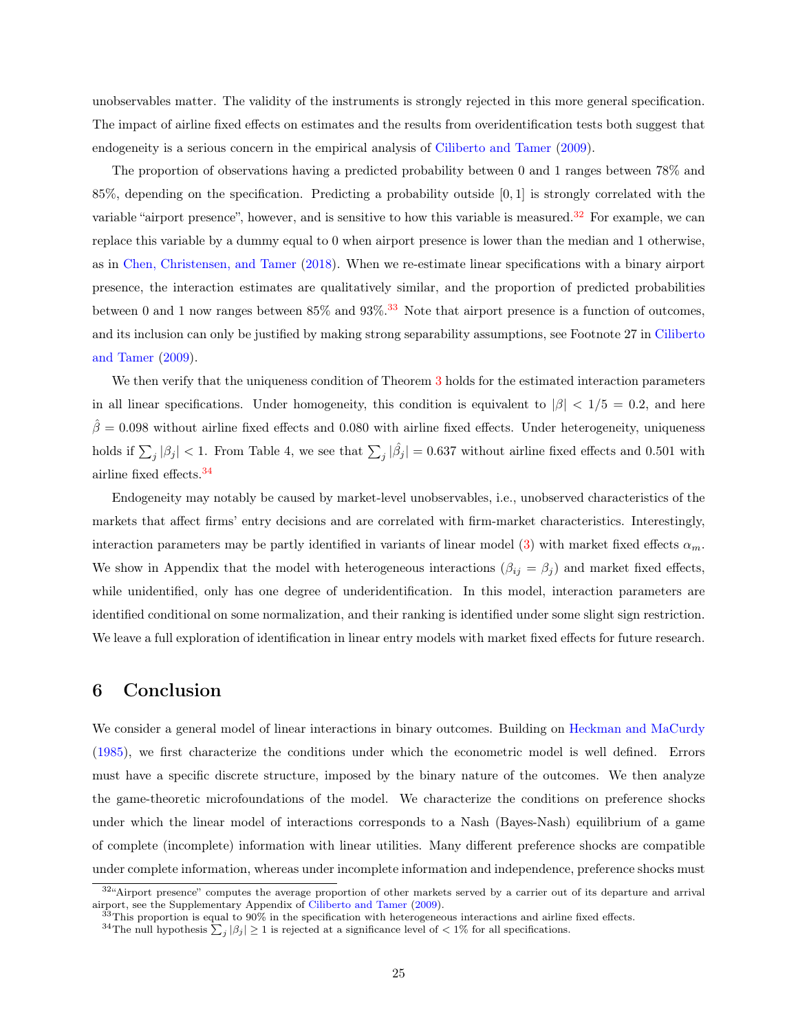unobservables matter. The validity of the instruments is strongly rejected in this more general specification. The impact of airline fixed effects on estimates and the results from overidentification tests both suggest that endogeneity is a serious concern in the empirical analysis of [Ciliberto and Tamer](#page-29-0) [\(2009\)](#page-29-0).

The proportion of observations having a predicted probability between 0 and 1 ranges between 78% and 85%, depending on the specification. Predicting a probability outside [0, 1] is strongly correlated with the variable "airport presence", however, and is sensitive to how this variable is measured.<sup>[32](#page-26-0)</sup> For example, we can replace this variable by a dummy equal to 0 when airport presence is lower than the median and 1 otherwise, as in [Chen, Christensen, and Tamer](#page-29-14) [\(2018\)](#page-29-14). When we re-estimate linear specifications with a binary airport presence, the interaction estimates are qualitatively similar, and the proportion of predicted probabilities between 0 and 1 now ranges between  $85\%$  and  $93\%$ .<sup>[33](#page-26-1)</sup> Note that airport presence is a function of outcomes, and its inclusion can only be justified by making strong separability assumptions, see Footnote 27 in [Ciliberto](#page-29-0) [and Tamer](#page-29-0) [\(2009\)](#page-29-0).

We then verify that the uniqueness condition of Theorem [3](#page-14-2) holds for the estimated interaction parameters in all linear specifications. Under homogeneity, this condition is equivalent to  $|\beta| < 1/5 = 0.2$ , and here  $\hat{\beta} = 0.098$  without airline fixed effects and 0.080 with airline fixed effects. Under heterogeneity, uniqueness holds if  $\sum_j |\beta_j| < 1$ . From Table 4, we see that  $\sum_j |\hat{\beta_j}| = 0.637$  without airline fixed effects and 0.501 with airline fixed effects.[34](#page-26-2)

Endogeneity may notably be caused by market-level unobservables, i.e., unobserved characteristics of the markets that affect firms' entry decisions and are correlated with firm-market characteristics. Interestingly, interaction parameters may be partly identified in variants of linear model [\(3\)](#page-8-2) with market fixed effects  $\alpha_m$ . We show in Appendix that the model with heterogeneous interactions  $(\beta_{ij} = \beta_j)$  and market fixed effects, while unidentified, only has one degree of underidentification. In this model, interaction parameters are identified conditional on some normalization, and their ranking is identified under some slight sign restriction. We leave a full exploration of identification in linear entry models with market fixed effects for future research.

### 6 Conclusion

We consider a general model of linear interactions in binary outcomes. Building on [Heckman and MaCurdy](#page-30-0) [\(1985\)](#page-30-0), we first characterize the conditions under which the econometric model is well defined. Errors must have a specific discrete structure, imposed by the binary nature of the outcomes. We then analyze the game-theoretic microfoundations of the model. We characterize the conditions on preference shocks under which the linear model of interactions corresponds to a Nash (Bayes-Nash) equilibrium of a game of complete (incomplete) information with linear utilities. Many different preference shocks are compatible under complete information, whereas under incomplete information and independence, preference shocks must

<span id="page-26-0"></span><sup>32&</sup>quot;Airport presence" computes the average proportion of other markets served by a carrier out of its departure and arrival airport, see the Supplementary Appendix of [Ciliberto and Tamer](#page-29-0) [\(2009\)](#page-29-0).

<span id="page-26-1"></span> $33$ This proportion is equal to  $90\%$  in the specification with heterogeneous interactions and airline fixed effects.

<span id="page-26-2"></span><sup>&</sup>lt;sup>34</sup>The null hypothesis  $\sum_j |\beta_j| \geq 1$  is rejected at a significance level of  $\langle 1 \rangle$  for all specifications.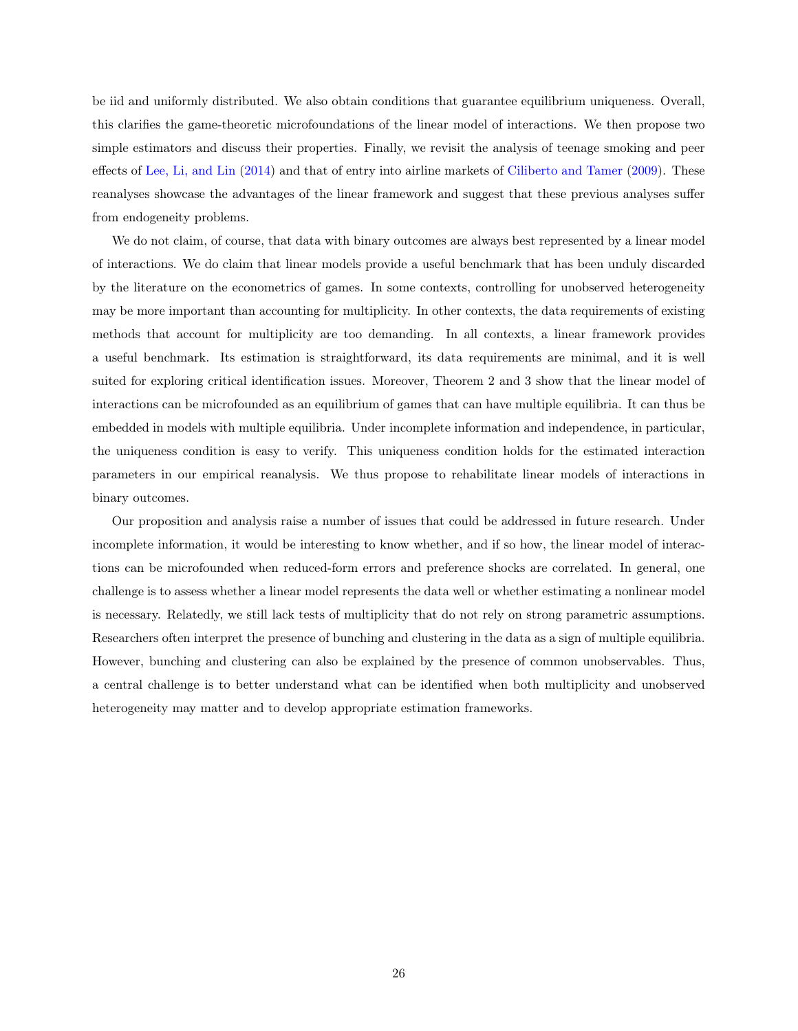be iid and uniformly distributed. We also obtain conditions that guarantee equilibrium uniqueness. Overall, this clarifies the game-theoretic microfoundations of the linear model of interactions. We then propose two simple estimators and discuss their properties. Finally, we revisit the analysis of teenage smoking and peer effects of [Lee, Li, and Lin](#page-31-0) [\(2014\)](#page-31-0) and that of entry into airline markets of [Ciliberto and Tamer](#page-29-0) [\(2009\)](#page-29-0). These reanalyses showcase the advantages of the linear framework and suggest that these previous analyses suffer from endogeneity problems.

We do not claim, of course, that data with binary outcomes are always best represented by a linear model of interactions. We do claim that linear models provide a useful benchmark that has been unduly discarded by the literature on the econometrics of games. In some contexts, controlling for unobserved heterogeneity may be more important than accounting for multiplicity. In other contexts, the data requirements of existing methods that account for multiplicity are too demanding. In all contexts, a linear framework provides a useful benchmark. Its estimation is straightforward, its data requirements are minimal, and it is well suited for exploring critical identification issues. Moreover, Theorem 2 and 3 show that the linear model of interactions can be microfounded as an equilibrium of games that can have multiple equilibria. It can thus be embedded in models with multiple equilibria. Under incomplete information and independence, in particular, the uniqueness condition is easy to verify. This uniqueness condition holds for the estimated interaction parameters in our empirical reanalysis. We thus propose to rehabilitate linear models of interactions in binary outcomes.

Our proposition and analysis raise a number of issues that could be addressed in future research. Under incomplete information, it would be interesting to know whether, and if so how, the linear model of interactions can be microfounded when reduced-form errors and preference shocks are correlated. In general, one challenge is to assess whether a linear model represents the data well or whether estimating a nonlinear model is necessary. Relatedly, we still lack tests of multiplicity that do not rely on strong parametric assumptions. Researchers often interpret the presence of bunching and clustering in the data as a sign of multiple equilibria. However, bunching and clustering can also be explained by the presence of common unobservables. Thus, a central challenge is to better understand what can be identified when both multiplicity and unobserved heterogeneity may matter and to develop appropriate estimation frameworks.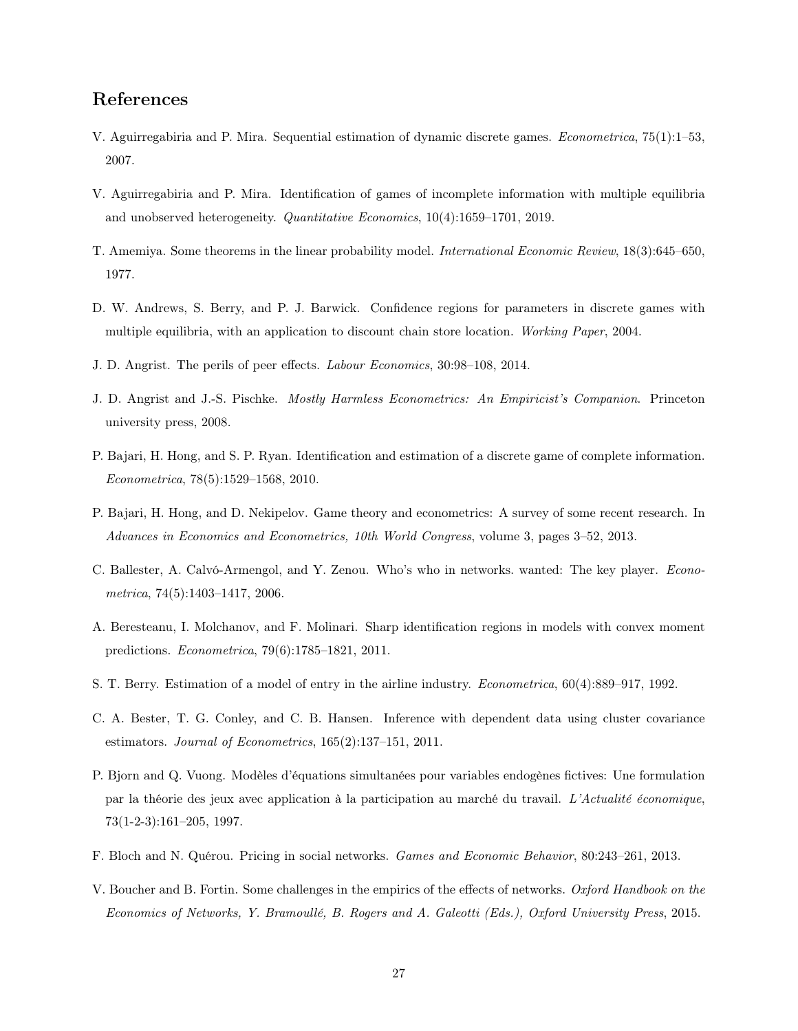## References

- <span id="page-28-6"></span>V. Aguirregabiria and P. Mira. Sequential estimation of dynamic discrete games. Econometrica, 75(1):1–53, 2007.
- <span id="page-28-8"></span>V. Aguirregabiria and P. Mira. Identification of games of incomplete information with multiple equilibria and unobserved heterogeneity. Quantitative Economics, 10(4):1659–1701, 2019.
- <span id="page-28-13"></span>T. Amemiya. Some theorems in the linear probability model. International Economic Review, 18(3):645–650, 1977.
- <span id="page-28-2"></span>D. W. Andrews, S. Berry, and P. J. Barwick. Confidence regions for parameters in discrete games with multiple equilibria, with an application to discount chain store location. Working Paper, 2004.
- <span id="page-28-3"></span>J. D. Angrist. The perils of peer effects. Labour Economics, 30:98–108, 2014.
- <span id="page-28-9"></span>J. D. Angrist and J.-S. Pischke. Mostly Harmless Econometrics: An Empiricist's Companion. Princeton university press, 2008.
- <span id="page-28-5"></span>P. Bajari, H. Hong, and S. P. Ryan. Identification and estimation of a discrete game of complete information. Econometrica, 78(5):1529–1568, 2010.
- <span id="page-28-0"></span>P. Bajari, H. Hong, and D. Nekipelov. Game theory and econometrics: A survey of some recent research. In Advances in Economics and Econometrics, 10th World Congress, volume 3, pages 3–52, 2013.
- <span id="page-28-10"></span>C. Ballester, A. Calvó-Armengol, and Y. Zenou. Who's who in networks. wanted: The key player. Econometrica, 74(5):1403–1417, 2006.
- <span id="page-28-14"></span>A. Beresteanu, I. Molchanov, and F. Molinari. Sharp identification regions in models with convex moment predictions. Econometrica, 79(6):1785–1821, 2011.
- <span id="page-28-1"></span>S. T. Berry. Estimation of a model of entry in the airline industry. Econometrica, 60(4):889–917, 1992.
- <span id="page-28-12"></span>C. A. Bester, T. G. Conley, and C. B. Hansen. Inference with dependent data using cluster covariance estimators. Journal of Econometrics, 165(2):137–151, 2011.
- <span id="page-28-4"></span>P. Bjorn and Q. Vuong. Modèles d'équations simultanées pour variables endogènes fictives: Une formulation par la théorie des jeux avec application à la participation au marché du travail. L'Actualité économique, 73(1-2-3):161–205, 1997.
- <span id="page-28-11"></span>F. Bloch and N. Quérou. Pricing in social networks. Games and Economic Behavior, 80:243–261, 2013.
- <span id="page-28-7"></span>V. Boucher and B. Fortin. Some challenges in the empirics of the effects of networks. Oxford Handbook on the Economics of Networks, Y. Bramoullé, B. Rogers and A. Galeotti (Eds.), Oxford University Press, 2015.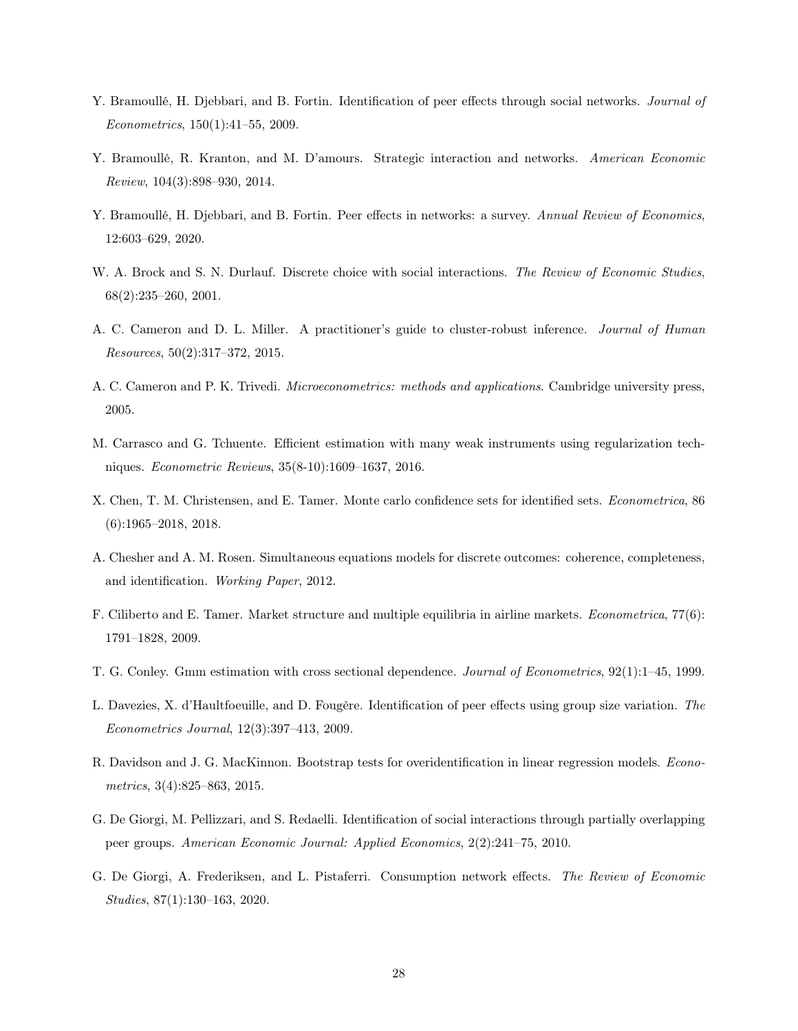- <span id="page-29-2"></span>Y. Bramoullé, H. Djebbari, and B. Fortin. Identification of peer effects through social networks. Journal of Econometrics, 150(1):41–55, 2009.
- <span id="page-29-5"></span>Y. Bramoullé, R. Kranton, and M. D'amours. Strategic interaction and networks. American Economic Review, 104(3):898–930, 2014.
- <span id="page-29-4"></span>Y. Bramoullé, H. Djebbari, and B. Fortin. Peer effects in networks: a survey. Annual Review of Economics, 12:603–629, 2020.
- <span id="page-29-1"></span>W. A. Brock and S. N. Durlauf. Discrete choice with social interactions. The Review of Economic Studies, 68(2):235–260, 2001.
- <span id="page-29-8"></span>A. C. Cameron and D. L. Miller. A practitioner's guide to cluster-robust inference. Journal of Human Resources, 50(2):317–372, 2015.
- <span id="page-29-7"></span>A. C. Cameron and P. K. Trivedi. Microeconometrics: methods and applications. Cambridge university press, 2005.
- <span id="page-29-12"></span>M. Carrasco and G. Tchuente. Efficient estimation with many weak instruments using regularization techniques. Econometric Reviews, 35(8-10):1609–1637, 2016.
- <span id="page-29-14"></span>X. Chen, T. M. Christensen, and E. Tamer. Monte carlo confidence sets for identified sets. Econometrica, 86 (6):1965–2018, 2018.
- <span id="page-29-13"></span>A. Chesher and A. M. Rosen. Simultaneous equations models for discrete outcomes: coherence, completeness, and identification. Working Paper, 2012.
- <span id="page-29-0"></span>F. Ciliberto and E. Tamer. Market structure and multiple equilibria in airline markets. Econometrica, 77(6): 1791–1828, 2009.
- <span id="page-29-9"></span>T. G. Conley. Gmm estimation with cross sectional dependence. Journal of Econometrics, 92(1):1–45, 1999.
- <span id="page-29-6"></span>L. Davezies, X. d'Haultfoeuille, and D. Fougère. Identification of peer effects using group size variation. The Econometrics Journal, 12(3):397–413, 2009.
- <span id="page-29-11"></span>R. Davidson and J. G. MacKinnon. Bootstrap tests for overidentification in linear regression models. *Econo*metrics, 3(4):825–863, 2015.
- <span id="page-29-3"></span>G. De Giorgi, M. Pellizzari, and S. Redaelli. Identification of social interactions through partially overlapping peer groups. American Economic Journal: Applied Economics, 2(2):241–75, 2010.
- <span id="page-29-10"></span>G. De Giorgi, A. Frederiksen, and L. Pistaferri. Consumption network effects. The Review of Economic Studies, 87(1):130–163, 2020.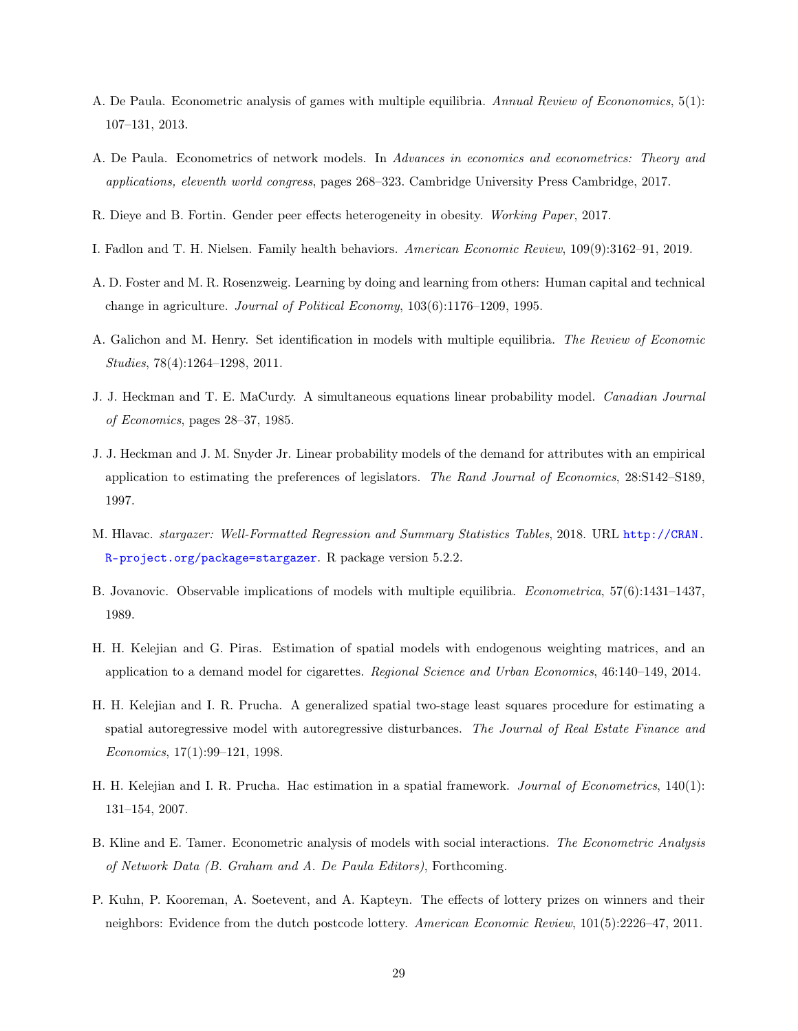- <span id="page-30-2"></span>A. De Paula. Econometric analysis of games with multiple equilibria. Annual Review of Econonomics, 5(1): 107–131, 2013.
- <span id="page-30-8"></span>A. De Paula. Econometrics of network models. In Advances in economics and econometrics: Theory and applications, eleventh world congress, pages 268–323. Cambridge University Press Cambridge, 2017.
- <span id="page-30-10"></span>R. Dieye and B. Fortin. Gender peer effects heterogeneity in obesity. Working Paper, 2017.
- <span id="page-30-4"></span>I. Fadlon and T. H. Nielsen. Family health behaviors. American Economic Review, 109(9):3162–91, 2019.
- <span id="page-30-5"></span>A. D. Foster and M. R. Rosenzweig. Learning by doing and learning from others: Human capital and technical change in agriculture. Journal of Political Economy, 103(6):1176–1209, 1995.
- <span id="page-30-14"></span>A. Galichon and M. Henry. Set identification in models with multiple equilibria. The Review of Economic Studies, 78(4):1264–1298, 2011.
- <span id="page-30-0"></span>J. J. Heckman and T. E. MaCurdy. A simultaneous equations linear probability model. Canadian Journal of Economics, pages 28–37, 1985.
- <span id="page-30-9"></span>J. J. Heckman and J. M. Snyder Jr. Linear probability models of the demand for attributes with an empirical application to estimating the preferences of legislators. The Rand Journal of Economics, 28:S142–S189, 1997.
- <span id="page-30-1"></span>M. Hlavac. stargazer: Well-Formatted Regression and Summary Statistics Tables, 2018. URL [http://CRAN.](http://CRAN.R-project.org/package=stargazer) [R-project.org/package=stargazer](http://CRAN.R-project.org/package=stargazer). R package version 5.2.2.
- <span id="page-30-3"></span>B. Jovanovic. Observable implications of models with multiple equilibria. Econometrica, 57(6):1431–1437, 1989.
- <span id="page-30-13"></span>H. H. Kelejian and G. Piras. Estimation of spatial models with endogenous weighting matrices, and an application to a demand model for cigarettes. Regional Science and Urban Economics, 46:140–149, 2014.
- <span id="page-30-11"></span>H. H. Kelejian and I. R. Prucha. A generalized spatial two-stage least squares procedure for estimating a spatial autoregressive model with autoregressive disturbances. The Journal of Real Estate Finance and Economics, 17(1):99–121, 1998.
- <span id="page-30-12"></span>H. H. Kelejian and I. R. Prucha. Hac estimation in a spatial framework. Journal of Econometrics, 140(1): 131–154, 2007.
- <span id="page-30-7"></span>B. Kline and E. Tamer. Econometric analysis of models with social interactions. The Econometric Analysis of Network Data (B. Graham and A. De Paula Editors), Forthcoming.
- <span id="page-30-6"></span>P. Kuhn, P. Kooreman, A. Soetevent, and A. Kapteyn. The effects of lottery prizes on winners and their neighbors: Evidence from the dutch postcode lottery. American Economic Review, 101(5):2226–47, 2011.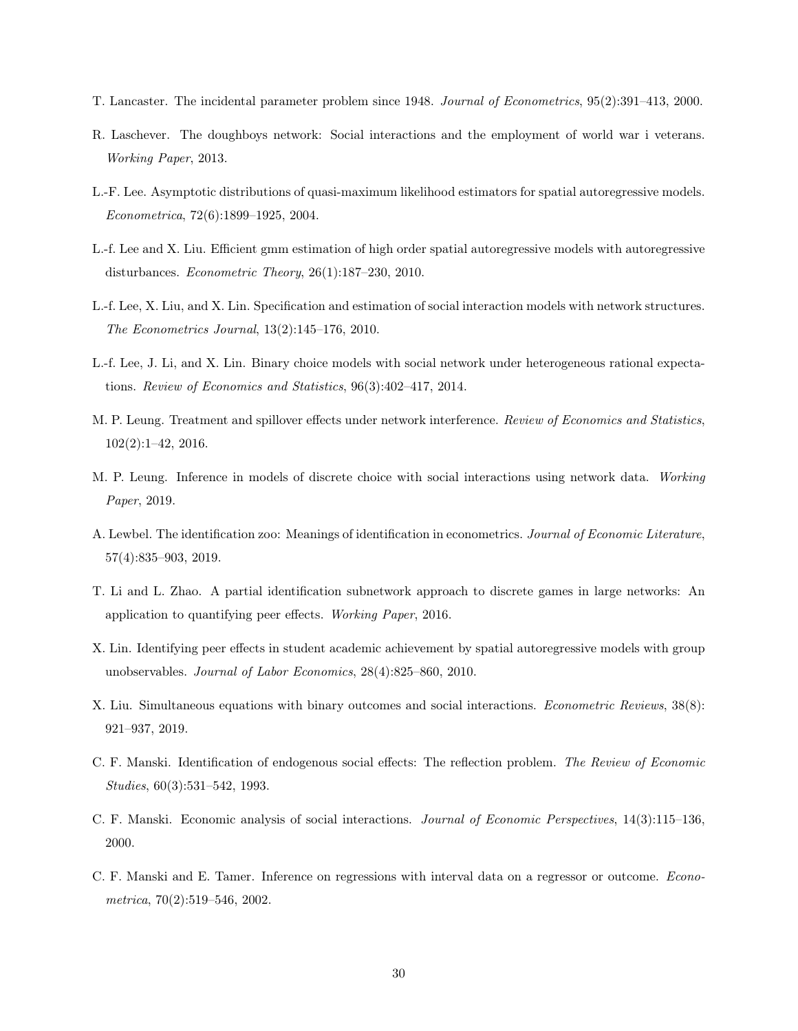- <span id="page-31-12"></span>T. Lancaster. The incidental parameter problem since 1948. Journal of Econometrics, 95(2):391–413, 2000.
- <span id="page-31-5"></span>R. Laschever. The doughboys network: Social interactions and the employment of world war i veterans. Working Paper, 2013.
- <span id="page-31-7"></span>L.-F. Lee. Asymptotic distributions of quasi-maximum likelihood estimators for spatial autoregressive models. Econometrica, 72(6):1899–1925, 2004.
- <span id="page-31-10"></span>L.-f. Lee and X. Liu. Efficient gmm estimation of high order spatial autoregressive models with autoregressive disturbances. Econometric Theory, 26(1):187–230, 2010.
- <span id="page-31-11"></span>L.-f. Lee, X. Liu, and X. Lin. Specification and estimation of social interaction models with network structures. The Econometrics Journal, 13(2):145–176, 2010.
- <span id="page-31-0"></span>L.-f. Lee, J. Li, and X. Lin. Binary choice models with social network under heterogeneous rational expectations. Review of Economics and Statistics, 96(3):402–417, 2014.
- <span id="page-31-8"></span>M. P. Leung. Treatment and spillover effects under network interference. Review of Economics and Statistics, 102(2):1–42, 2016.
- <span id="page-31-9"></span>M. P. Leung. Inference in models of discrete choice with social interactions using network data. Working Paper, 2019.
- <span id="page-31-6"></span>A. Lewbel. The identification zoo: Meanings of identification in econometrics. Journal of Economic Literature, 57(4):835–903, 2019.
- <span id="page-31-2"></span>T. Li and L. Zhao. A partial identification subnetwork approach to discrete games in large networks: An application to quantifying peer effects. Working Paper, 2016.
- <span id="page-31-4"></span>X. Lin. Identifying peer effects in student academic achievement by spatial autoregressive models with group unobservables. Journal of Labor Economics, 28(4):825–860, 2010.
- <span id="page-31-13"></span>X. Liu. Simultaneous equations with binary outcomes and social interactions. Econometric Reviews, 38(8): 921–937, 2019.
- <span id="page-31-3"></span>C. F. Manski. Identification of endogenous social effects: The reflection problem. The Review of Economic Studies, 60(3):531–542, 1993.
- <span id="page-31-1"></span>C. F. Manski. Economic analysis of social interactions. Journal of Economic Perspectives, 14(3):115–136, 2000.
- <span id="page-31-14"></span>C. F. Manski and E. Tamer. Inference on regressions with interval data on a regressor or outcome. Econometrica, 70(2):519–546, 2002.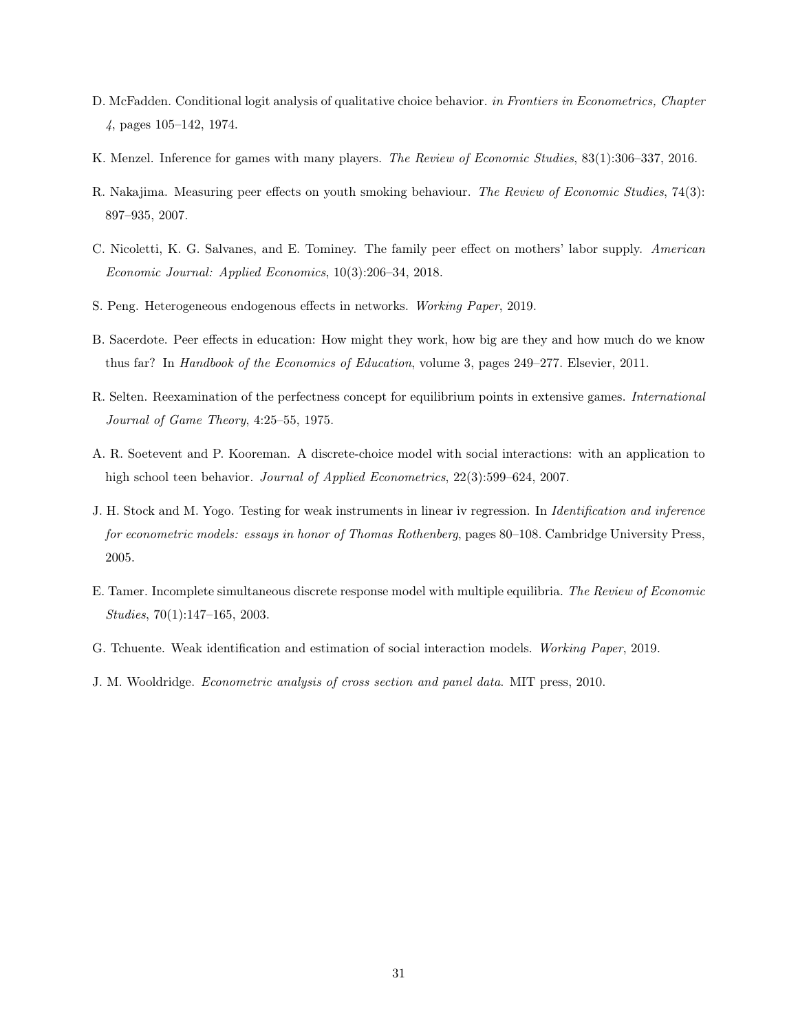- <span id="page-32-5"></span>D. McFadden. Conditional logit analysis of qualitative choice behavior. in Frontiers in Econometrics, Chapter 4, pages 105–142, 1974.
- <span id="page-32-7"></span>K. Menzel. Inference for games with many players. The Review of Economic Studies, 83(1):306–337, 2016.
- <span id="page-32-4"></span>R. Nakajima. Measuring peer effects on youth smoking behaviour. The Review of Economic Studies, 74(3): 897–935, 2007.
- <span id="page-32-9"></span>C. Nicoletti, K. G. Salvanes, and E. Tominey. The family peer effect on mothers' labor supply. American Economic Journal: Applied Economics, 10(3):206–34, 2018.
- <span id="page-32-8"></span>S. Peng. Heterogeneous endogenous effects in networks. Working Paper, 2019.
- <span id="page-32-2"></span>B. Sacerdote. Peer effects in education: How might they work, how big are they and how much do we know thus far? In Handbook of the Economics of Education, volume 3, pages 249–277. Elsevier, 2011.
- <span id="page-32-6"></span>R. Selten. Reexamination of the perfectness concept for equilibrium points in extensive games. International Journal of Game Theory, 4:25–55, 1975.
- <span id="page-32-3"></span>A. R. Soetevent and P. Kooreman. A discrete-choice model with social interactions: with an application to high school teen behavior. *Journal of Applied Econometrics*, 22(3):599–624, 2007.
- <span id="page-32-10"></span>J. H. Stock and M. Yogo. Testing for weak instruments in linear iv regression. In Identification and inference for econometric models: essays in honor of Thomas Rothenberg, pages 80–108. Cambridge University Press, 2005.
- <span id="page-32-0"></span>E. Tamer. Incomplete simultaneous discrete response model with multiple equilibria. The Review of Economic Studies, 70(1):147–165, 2003.
- <span id="page-32-11"></span>G. Tchuente. Weak identification and estimation of social interaction models. Working Paper, 2019.
- <span id="page-32-1"></span>J. M. Wooldridge. Econometric analysis of cross section and panel data. MIT press, 2010.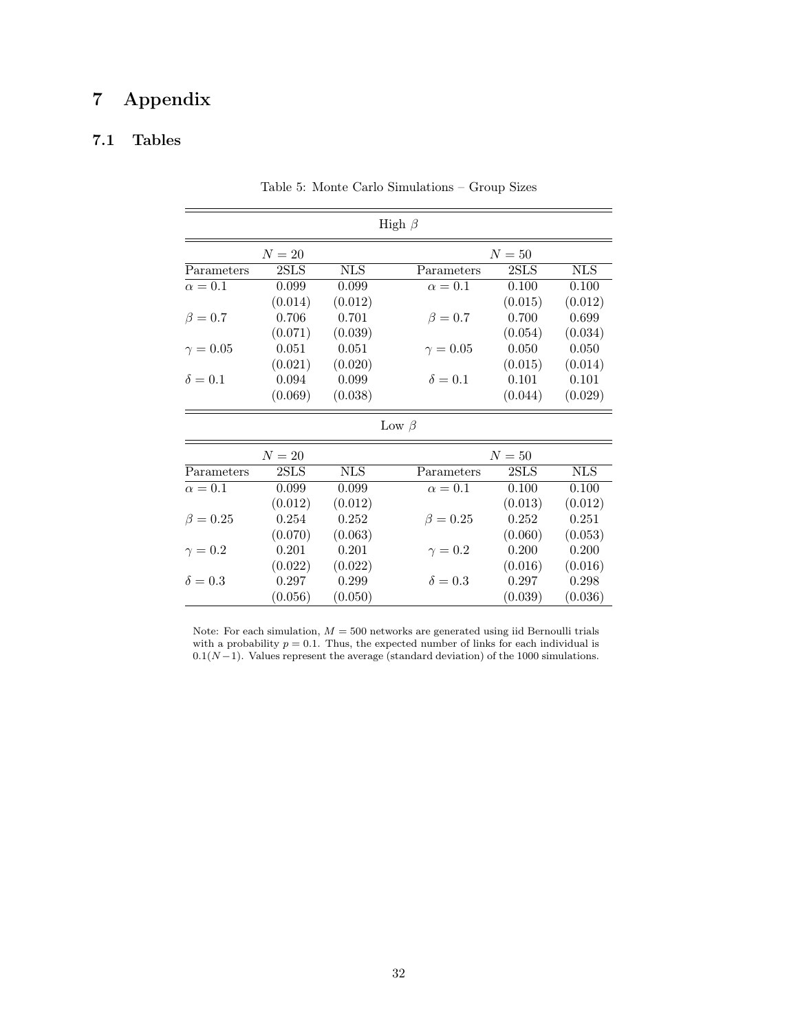## 7 Appendix

## <span id="page-33-1"></span>7.1 Tables

| High $\beta$    |         |            |                 |         |            |  |  |  |
|-----------------|---------|------------|-----------------|---------|------------|--|--|--|
|                 | $N=20$  |            |                 | $N=50$  |            |  |  |  |
| Parameters      | 2SLS    | <b>NLS</b> | Parameters      | 2SLS    | <b>NLS</b> |  |  |  |
| $\alpha=0.1$    | 0.099   | 0.099      | $\alpha=0.1$    | 0.100   | 0.100      |  |  |  |
|                 | (0.014) | (0.012)    |                 | (0.015) | (0.012)    |  |  |  |
| $\beta = 0.7$   | 0.706   | 0.701      | $\beta = 0.7$   | 0.700   | 0.699      |  |  |  |
|                 | (0.071) | (0.039)    |                 | (0.054) | (0.034)    |  |  |  |
| $\gamma = 0.05$ | 0.051   | 0.051      | $\gamma = 0.05$ | 0.050   | 0.050      |  |  |  |
|                 | (0.021) | (0.020)    |                 | (0.015) | (0.014)    |  |  |  |
| $\delta = 0.1$  | 0.094   | 0.099      | $\delta = 0.1$  | 0.101   | 0.101      |  |  |  |
|                 | (0.069) | (0.038)    |                 | (0.044) | (0.029)    |  |  |  |
|                 |         |            | Low $\beta$     |         |            |  |  |  |
|                 | $N=20$  |            |                 | $N=50$  |            |  |  |  |
| Parameters      | 2SLS    | <b>NLS</b> | Parameters      | 2SLS    | <b>NLS</b> |  |  |  |
| $\alpha=0.1$    | 0.099   | 0.099      | $\alpha=0.1$    | 0.100   | 0.100      |  |  |  |
|                 | (0.012) | (0.012)    |                 | (0.013) | (0.012)    |  |  |  |
| $\beta = 0.25$  | 0.254   | 0.252      | $\beta = 0.25$  | 0.252   | 0.251      |  |  |  |
|                 | (0.070) | (0.063)    |                 | (0.060) | (0.053)    |  |  |  |
| $\gamma=0.2$    | 0.201   | 0.201      | $\gamma = 0.2$  | 0.200   | 0.200      |  |  |  |
|                 | (0.022) | (0.022)    |                 | (0.016) | (0.016)    |  |  |  |
| $\delta = 0.3$  | 0.297   | 0.299      | $\delta = 0.3$  | 0.297   | 0.298      |  |  |  |
|                 | (0.056) | (0.050)    |                 | (0.039) | (0.036)    |  |  |  |

<span id="page-33-0"></span>Table 5: Monte Carlo Simulations – Group Sizes

Note: For each simulation,  $M = 500$  networks are generated using iid Bernoulli trials with a probability  $p = 0.1$ . Thus, the expected number of links for each individual is  $0.1(N-1)$ . Values represent the average (standard deviation) of the 1000 simulations.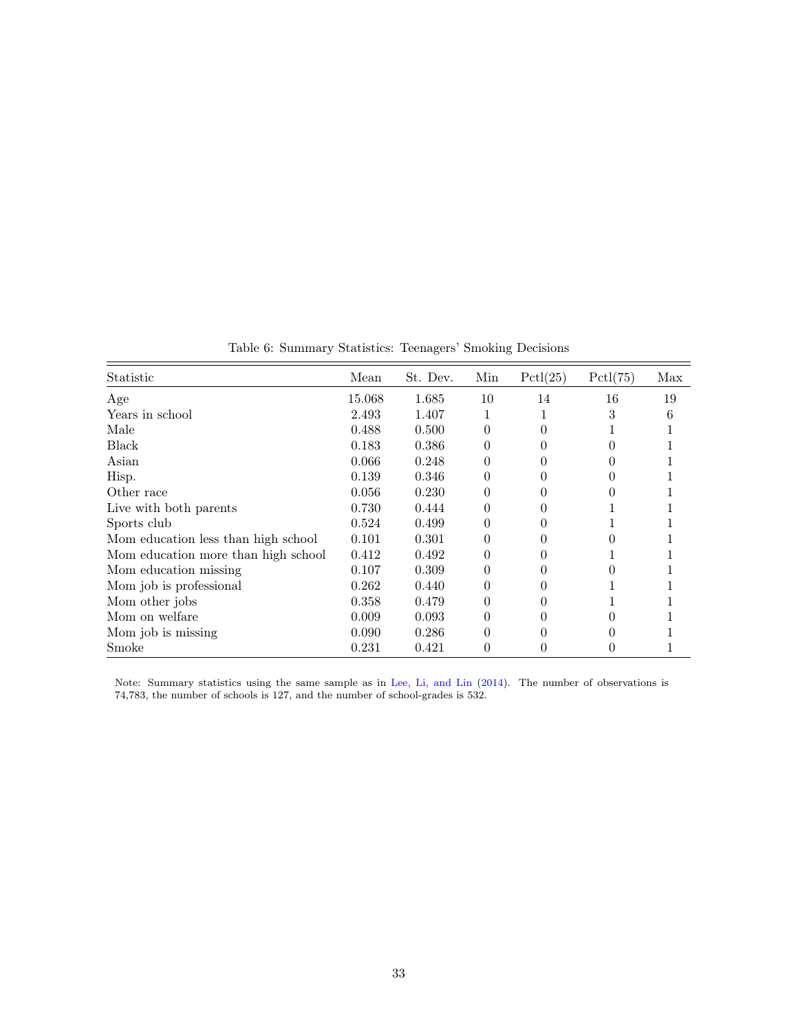| Mean   | St. Dev. | Min              | Pctl(25) | Pctl(75)         | Max |
|--------|----------|------------------|----------|------------------|-----|
| 15.068 | 1.685    | 10               | 14       | 16               | 19  |
| 2.493  | 1.407    | 1                |          | 3                | 6   |
| 0.488  | 0.500    | 0                | 0        |                  |     |
| 0.183  | 0.386    | 0                | 0        |                  |     |
| 0.066  | 0.248    | $\theta$         | 0        |                  |     |
| 0.139  | 0.346    | $\theta$         |          |                  |     |
| 0.056  | 0.230    | $\theta$         |          |                  |     |
| 0.730  | 0.444    | 0                |          |                  |     |
| 0.524  | 0.499    |                  |          |                  |     |
| 0.101  | 0.301    |                  |          |                  |     |
| 0.412  | 0.492    |                  |          |                  |     |
| 0.107  | 0.309    | $\left( \right)$ |          |                  |     |
| 0.262  | 0.440    | 0                | 0        |                  |     |
| 0.358  | 0.479    | $\Omega$         | 0        |                  |     |
| 0.009  | 0.093    | 0                | 0        |                  |     |
| 0.090  | 0.286    | 0                |          |                  |     |
| 0.231  | 0.421    | 0                | 0        | $\left( \right)$ |     |
|        |          |                  |          |                  |     |

<span id="page-34-0"></span>Table 6: Summary Statistics: Teenagers' Smoking Decisions

Note: Summary statistics using the same sample as in [Lee, Li, and Lin](#page-31-0) [\(2014\)](#page-31-0). The number of observations is 74,783, the number of schools is 127, and the number of school-grades is 532.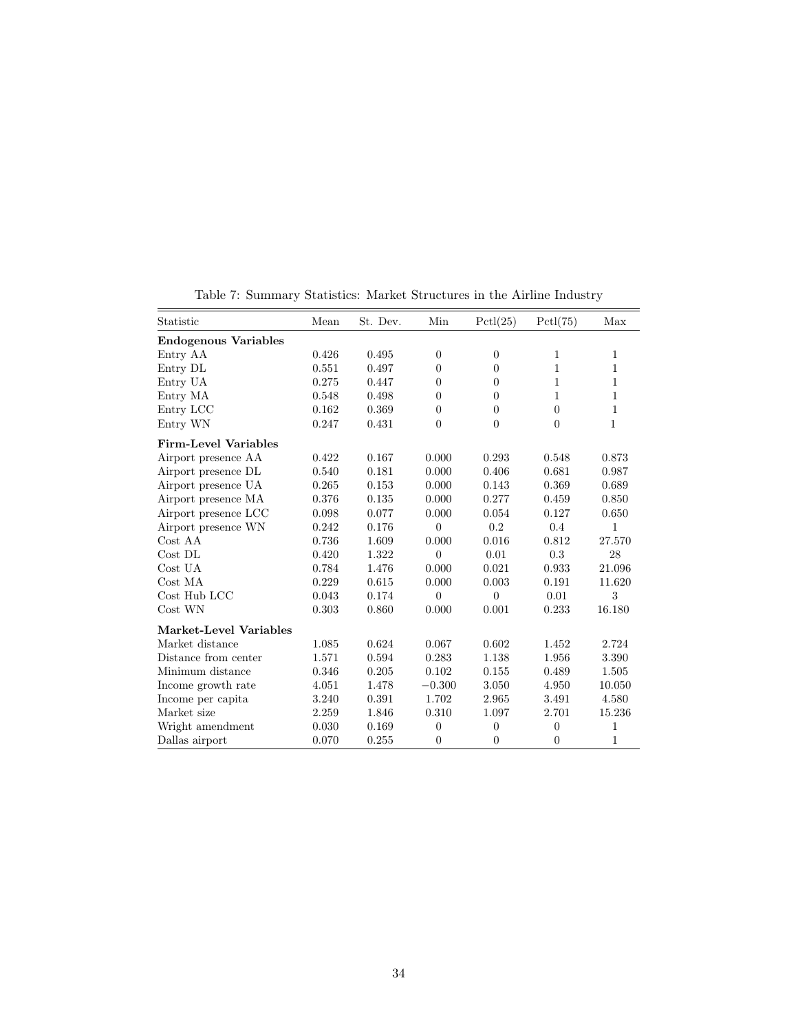| Mean  | St. Dev. | Min            | Pctl(25)         | Pctl(75)     | Max          |
|-------|----------|----------------|------------------|--------------|--------------|
|       |          |                |                  |              |              |
| 0.426 | 0.495    | $\theta$       | $\boldsymbol{0}$ | 1            | $\mathbf{1}$ |
| 0.551 | 0.497    | $\Omega$       | $\theta$         | $\mathbf{1}$ | 1            |
| 0.275 | 0.447    | $\Omega$       | $\theta$         | 1            | 1            |
| 0.548 | 0.498    | $\Omega$       | $\theta$         | 1            | 1            |
| 0.162 | 0.369    | $\theta$       | $\overline{0}$   | $\theta$     | $\mathbf{1}$ |
| 0.247 | 0.431    | $\theta$       | $\overline{0}$   | $\theta$     | 1            |
|       |          |                |                  |              |              |
| 0.422 | 0.167    | 0.000          | 0.293            | 0.548        | 0.873        |
| 0.540 | 0.181    | 0.000          | 0.406            | 0.681        | 0.987        |
| 0.265 | 0.153    | 0.000          | 0.143            | $\,0.369\,$  | 0.689        |
| 0.376 | 0.135    | 0.000          | 0.277            | 0.459        | 0.850        |
| 0.098 | 0.077    | 0.000          | 0.054            | $0.127\,$    | 0.650        |
| 0.242 | 0.176    | $\theta$       | 0.2              | 0.4          | $\mathbf{1}$ |
| 0.736 | 1.609    | 0.000          | 0.016            | 0.812        | 27.570       |
| 0.420 | 1.322    | $\theta$       | 0.01             | 0.3          | 28           |
| 0.784 | 1.476    | 0.000          | 0.021            | 0.933        | 21.096       |
| 0.229 | 0.615    | 0.000          | 0.003            | 0.191        | 11.620       |
| 0.043 | 0.174    | $\overline{0}$ | $\overline{0}$   | 0.01         | 3            |
| 0.303 | 0.860    | 0.000          | 0.001            | 0.233        | 16.180       |
|       |          |                |                  |              |              |
| 1.085 | 0.624    | 0.067          | 0.602            | 1.452        | 2.724        |
| 1.571 | 0.594    | 0.283          | 1.138            | 1.956        | 3.390        |
| 0.346 | 0.205    | 0.102          | 0.155            | 0.489        | 1.505        |
| 4.051 | 1.478    | $-0.300$       | 3.050            | 4.950        | 10.050       |
| 3.240 | 0.391    | 1.702          | 2.965            | 3.491        | 4.580        |
| 2.259 | 1.846    | 0.310          | 1.097            | 2.701        | 15.236       |
| 0.030 | 0.169    | $\theta$       | $\overline{0}$   | $\theta$     | $\mathbf{1}$ |
| 0.070 | 0.255    | $\theta$       | $\theta$         | $\theta$     | $\mathbf{1}$ |
|       |          |                |                  |              |              |

<span id="page-35-0"></span>Table 7: Summary Statistics: Market Structures in the Airline Industry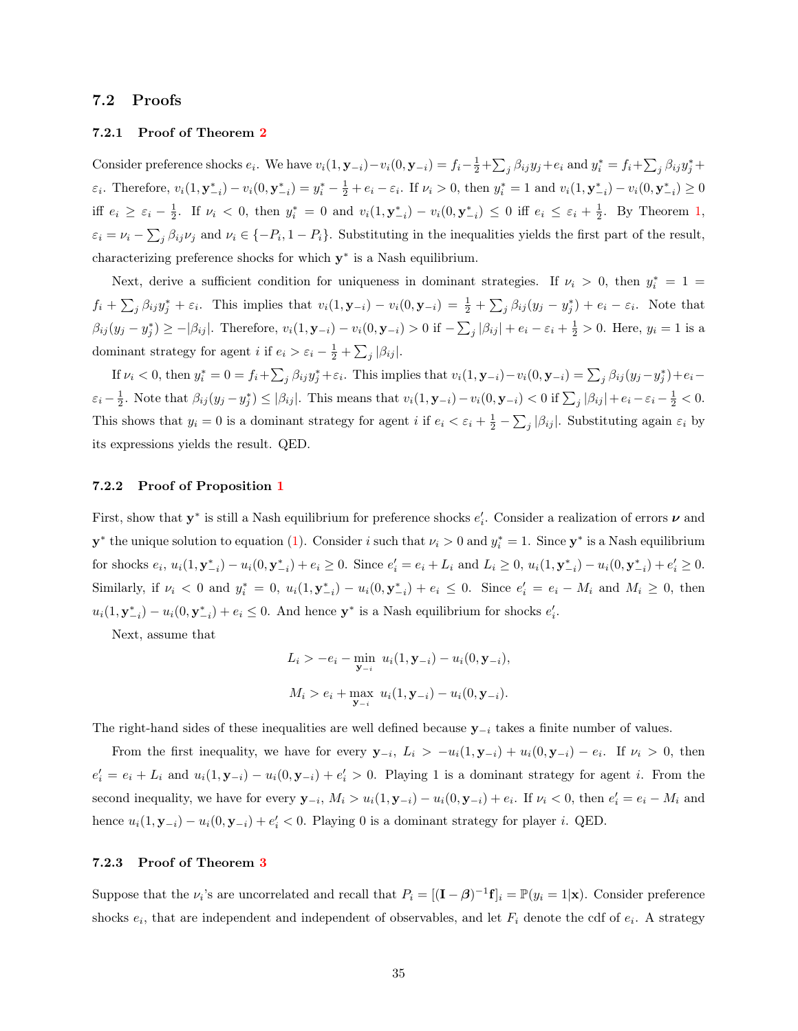#### 7.2 Proofs

#### 7.2.1 Proof of Theorem [2](#page-11-1)

Consider preference shocks  $e_i$ . We have  $v_i(1, \mathbf{y}_{-i}) - v_i(0, \mathbf{y}_{-i}) = f_i - \frac{1}{2} + \sum_j \beta_{ij} y_j + e_i$  and  $y_i^* = f_i + \sum_j \beta_{ij} y_j^* +$  $\varepsilon_i$ . Therefore,  $v_i(1, \mathbf{y}_{-i}^*) - v_i(0, \mathbf{y}_{-i}^*) = y_i^* - \frac{1}{2} + e_i - \varepsilon_i$ . If  $\nu_i > 0$ , then  $y_i^* = 1$  and  $v_i(1, \mathbf{y}_{-i}^*) - v_i(0, \mathbf{y}_{-i}^*) \ge 0$ iff  $e_i \geq \varepsilon_i - \frac{1}{2}$ . If  $\nu_i < 0$ , then  $y_i^* = 0$  and  $v_i(1, \mathbf{y}_{-i}^*) - v_i(0, \mathbf{y}_{-i}^*) \leq 0$  $v_i(1, \mathbf{y}_{-i}^*) - v_i(0, \mathbf{y}_{-i}^*) \leq 0$  $v_i(1, \mathbf{y}_{-i}^*) - v_i(0, \mathbf{y}_{-i}^*) \leq 0$  iff  $e_i \leq \varepsilon_i + \frac{1}{2}$ . By Theorem 1,  $\varepsilon_i = \nu_i - \sum_j \beta_{ij} \nu_j$  and  $\nu_i \in \{-P_i, 1 - P_i\}$ . Substituting in the inequalities yields the first part of the result, characterizing preference shocks for which  $y^*$  is a Nash equilibrium.

Next, derive a sufficient condition for uniqueness in dominant strategies. If  $\nu_i > 0$ , then  $y_i^* = 1$  $f_i + \sum_j \beta_{ij} y_j^* + \varepsilon_i$ . This implies that  $v_i(1, \mathbf{y}_{-i}) - v_i(0, \mathbf{y}_{-i}) = \frac{1}{2} + \sum_j \beta_{ij}(y_j - y_j^*) + e_i - \varepsilon_i$ . Note that  $\beta_{ij}(y_j - y_j^*) \ge -|\beta_{ij}|$ . Therefore,  $v_i(1, \mathbf{y}_{-i}) - v_i(0, \mathbf{y}_{-i}) > 0$  if  $-\sum_j |\beta_{ij}| + e_i - \varepsilon_i + \frac{1}{2} > 0$ . Here,  $y_i = 1$  is a dominant strategy for agent *i* if  $e_i > \varepsilon_i - \frac{1}{2} + \sum_j |\beta_{ij}|$ .

If  $\nu_i < 0$ , then  $y_i^* = 0 = f_i + \sum_j \beta_{ij} y_j^* + \varepsilon_i$ . This implies that  $v_i(1, \mathbf{y}_{-i}) - v_i(0, \mathbf{y}_{-i}) = \sum_j \beta_{ij} (y_j - y_j^*) + \varepsilon_i \varepsilon_i - \frac{1}{2}$ . Note that  $\beta_{ij}(y_j - y_j^*) \leq |\beta_{ij}|$ . This means that  $v_i(1, \mathbf{y}_{-i}) - v_i(0, \mathbf{y}_{-i}) < 0$  if  $\sum_j |\beta_{ij}| + e_i - \varepsilon_i - \frac{1}{2} < 0$ . This shows that  $y_i = 0$  is a dominant strategy for agent i if  $e_i < \varepsilon_i + \frac{1}{2} - \sum_j |\beta_{ij}|$ . Substituting again  $\varepsilon_i$  by its expressions yields the result. QED.

#### 7.2.2 Proof of Proposition [1](#page-12-1)

First, show that  $y^*$  is still a Nash equilibrium for preference shocks  $e'_i$ . Consider a realization of errors  $\nu$  and  $y^*$  the unique solution to equation [\(1\)](#page-7-1). Consider i such that  $\nu_i > 0$  and  $y_i^* = 1$ . Since  $y^*$  is a Nash equilibrium for shocks  $e_i$ ,  $u_i(1, \mathbf{y}_{-i}^*) - u_i(0, \mathbf{y}_{-i}^*) + e_i \ge 0$ . Since  $e'_i = e_i + L_i$  and  $L_i \ge 0$ ,  $u_i(1, \mathbf{y}_{-i}^*) - u_i(0, \mathbf{y}_{-i}^*) + e'_i \ge 0$ . Similarly, if  $\nu_i < 0$  and  $y_i^* = 0$ ,  $u_i(1, \mathbf{y}_{-i}^*) - u_i(0, \mathbf{y}_{-i}^*) + e_i \leq 0$ . Since  $e'_i = e_i - M_i$  and  $M_i \geq 0$ , then  $u_i(1, \mathbf{y}_{-i}^*) - u_i(0, \mathbf{y}_{-i}^*) + e_i \leq 0$ . And hence  $\mathbf{y}^*$  is a Nash equilibrium for shocks  $e'_i$ .

Next, assume that

$$
L_i > -e_i - \min_{\mathbf{y}_{-i}} u_i(1, \mathbf{y}_{-i}) - u_i(0, \mathbf{y}_{-i}),
$$
  

$$
M_i > e_i + \max_{\mathbf{y}_{-i}} u_i(1, \mathbf{y}_{-i}) - u_i(0, \mathbf{y}_{-i}).
$$

The right-hand sides of these inequalities are well defined because  $y_{-i}$  takes a finite number of values.

From the first inequality, we have for every  $y_{-i}$ ,  $L_i > -u_i(1, y_{-i}) + u_i(0, y_{-i}) - e_i$ . If  $\nu_i > 0$ , then  $e'_i = e_i + L_i$  and  $u_i(1, \mathbf{y}_{-i}) - u_i(0, \mathbf{y}_{-i}) + e'_i > 0$ . Playing 1 is a dominant strategy for agent *i*. From the second inequality, we have for every  $y_{-i}$ ,  $M_i > u_i(1, y_{-i}) - u_i(0, y_{-i}) + e_i$ . If  $\nu_i < 0$ , then  $e'_i = e_i - M_i$  and hence  $u_i(1, \mathbf{y}_{-i}) - u_i(0, \mathbf{y}_{-i}) + e'_i < 0$ . Playing 0 is a dominant strategy for player *i*. QED.

#### 7.2.3 Proof of Theorem [3](#page-14-2)

Suppose that the  $\nu_i$ 's are uncorrelated and recall that  $P_i = [(\mathbf{I} - \boldsymbol{\beta})^{-1} \mathbf{f}]_i = \mathbb{P}(y_i = 1 | \mathbf{x})$ . Consider preference shocks  $e_i$ , that are independent and independent of observables, and let  $F_i$  denote the cdf of  $e_i$ . A strategy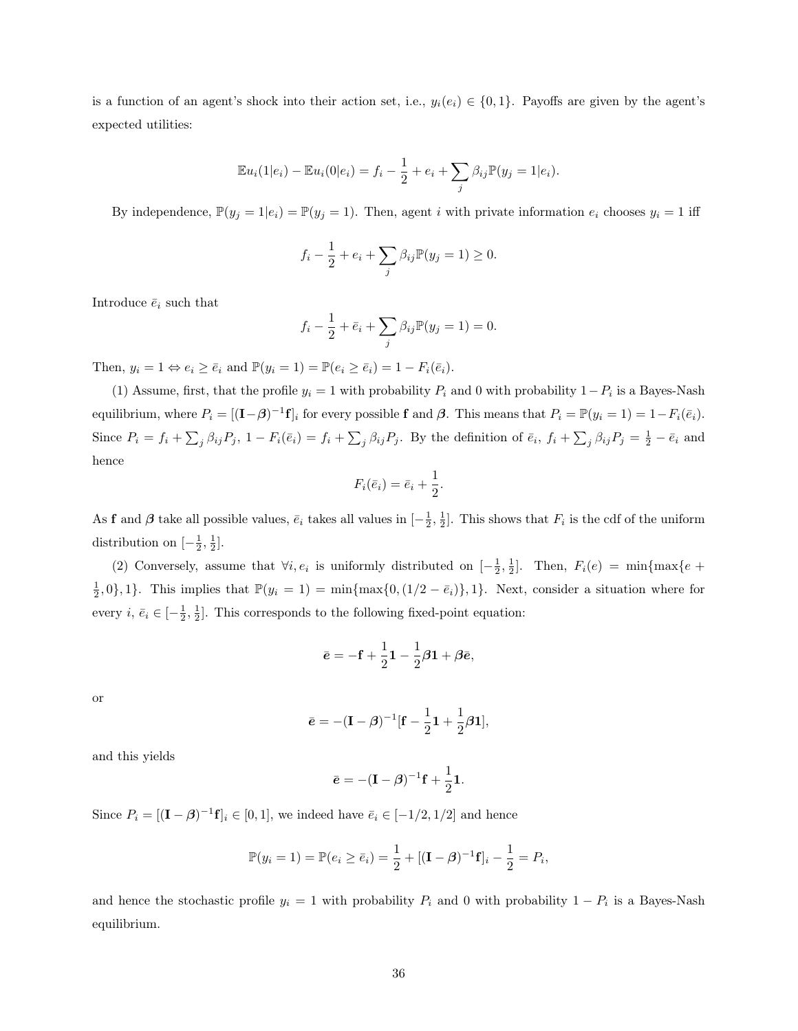is a function of an agent's shock into their action set, i.e.,  $y_i(e_i) \in \{0,1\}$ . Payoffs are given by the agent's expected utilities:

$$
\mathbb{E}u_i(1|e_i) - \mathbb{E}u_i(0|e_i) = f_i - \frac{1}{2} + e_i + \sum_j \beta_{ij} \mathbb{P}(y_j = 1|e_i).
$$

By independence,  $\mathbb{P}(y_j = 1 | e_i) = \mathbb{P}(y_j = 1)$ . Then, agent i with private information  $e_i$  chooses  $y_i = 1$  iff

$$
f_i - \frac{1}{2} + e_i + \sum_j \beta_{ij} \mathbb{P}(y_j = 1) \ge 0.
$$

Introduce  $\bar{e}_i$  such that

$$
f_i - \frac{1}{2} + \bar{e}_i + \sum_j \beta_{ij} \mathbb{P}(y_j = 1) = 0.
$$

Then,  $y_i = 1 \Leftrightarrow e_i \ge \overline{e}_i$  and  $\mathbb{P}(y_i = 1) = \mathbb{P}(e_i \ge \overline{e}_i) = 1 - F_i(\overline{e}_i)$ .

(1) Assume, first, that the profile  $y_i = 1$  with probability  $P_i$  and 0 with probability  $1 - P_i$  is a Bayes-Nash equilibrium, where  $P_i = [(\mathbf{I} - \boldsymbol{\beta})^{-1} \mathbf{f}]_i$  for every possible f and  $\boldsymbol{\beta}$ . This means that  $P_i = \mathbb{P}(y_i = 1) = 1 - F_i(\bar{e}_i)$ . Since  $P_i = f_i + \sum_j \beta_{ij} P_j$ ,  $1 - F_i(\bar{e}_i) = f_i + \sum_j \beta_{ij} P_j$ . By the definition of  $\bar{e}_i$ ,  $f_i + \sum_j \beta_{ij} P_j = \frac{1}{2} - \bar{e}_i$  and hence

$$
F_i(\bar{e}_i) = \bar{e}_i + \frac{1}{2}.
$$

As **f** and  $\beta$  take all possible values,  $\bar{e}_i$  takes all values in  $\left[-\frac{1}{2},\frac{1}{2}\right]$ . This shows that  $F_i$  is the cdf of the uniform distribution on  $\left[-\frac{1}{2},\frac{1}{2}\right]$ .

(2) Conversely, assume that  $\forall i, e_i$  is uniformly distributed on  $[-\frac{1}{2}, \frac{1}{2}]$ . Then,  $F_i(e) = \min\{\max\{e +$  $\frac{1}{2}$ , 0, 1, 1. This implies that  $\mathbb{P}(y_i = 1) = \min{\max\{0, (1/2 - \bar{e}_i)\}\text{, }1}.$  Next, consider a situation where for every  $i, \bar{e}_i \in [-\frac{1}{2}, \frac{1}{2}]$ . This corresponds to the following fixed-point equation:

$$
\bar{\mathbf{e}} = -\mathbf{f} + \frac{1}{2}\mathbf{1} - \frac{1}{2}\boldsymbol{\beta}\mathbf{1} + \boldsymbol{\beta}\bar{\mathbf{e}},
$$

or

$$
\bar{\mathbf{e}} = -(\mathbf{I} - \boldsymbol{\beta})^{-1} [\mathbf{f} - \frac{1}{2}\mathbf{1} + \frac{1}{2}\boldsymbol{\beta}\mathbf{1}],
$$

and this yields

$$
\bar{\mathbf{e}} = -(\mathbf{I} - \boldsymbol{\beta})^{-1}\mathbf{f} + \frac{1}{2}\mathbf{1}.
$$

Since  $P_i = [(\mathbf{I} - \boldsymbol{\beta})^{-1} \mathbf{f}]_i \in [0, 1]$ , we indeed have  $\bar{e}_i \in [-1/2, 1/2]$  and hence

$$
\mathbb{P}(y_i = 1) = \mathbb{P}(e_i \ge \bar{e}_i) = \frac{1}{2} + [(\mathbf{I} - \boldsymbol{\beta})^{-1}\mathbf{f}]_i - \frac{1}{2} = P_i,
$$

and hence the stochastic profile  $y_i = 1$  with probability  $P_i$  and 0 with probability  $1 - P_i$  is a Bayes-Nash equilibrium.